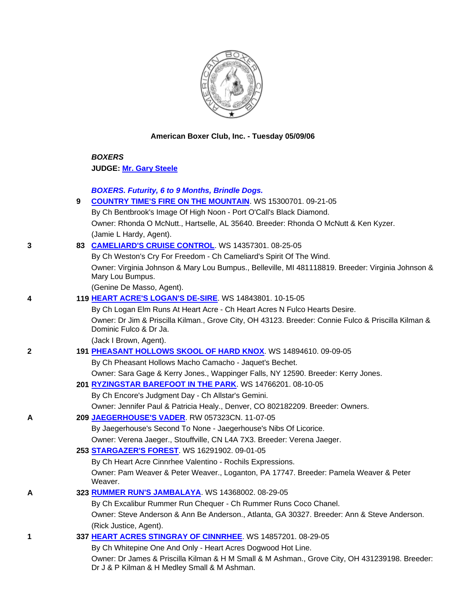

# **American Boxer Club, Inc. - Tuesday 05/09/06**

 *BOXERS* **JUDGE: Mr. Gary Steele**

# *BOXERS. Futurity, 6 to 9 Months, Brindle Dogs.*

| <b>COUNTRY TIME'S FIRE ON THE MOUNTAIN.</b> WS 15300701. 09-21-05                   |
|-------------------------------------------------------------------------------------|
| By Ch Bentbrook's Image Of High Noon - Port O'Call's Black Diamond.                 |
| Owner: Rhonda O McNutt., Hartselle, AL 35640. Breeder: Rhonda O McNutt & Ken Kyzer. |
| (Jamie L Hardy, Agent).                                                             |

### **3 83 CAMELIARD'S CRUISE CONTROL**. WS 14357301. 08-25-05

 By Ch Weston's Cry For Freedom - Ch Cameliard's Spirit Of The Wind. Owner: Virginia Johnson & Mary Lou Bumpus., Belleville, MI 481118819. Breeder: Virginia Johnson & Mary Lou Bumpus.

(Genine De Masso, Agent).

# **4 119 HEART ACRE'S LOGAN'S DE-SIRE**. WS 14843801. 10-15-05

 By Ch Logan Elm Runs At Heart Acre - Ch Heart Acres N Fulco Hearts Desire. Owner: Dr Jim & Priscilla Kilman., Grove City, OH 43123. Breeder: Connie Fulco & Priscilla Kilman & Dominic Fulco & Dr Ja.

(Jack I Brown, Agent).

# **2 191 PHEASANT HOLLOWS SKOOL OF HARD KNOX**. WS 14894610. 09-09-05

By Ch Pheasant Hollows Macho Camacho - Jaquet's Bechet.

Owner: Sara Gage & Kerry Jones., Wappinger Falls, NY 12590. Breeder: Kerry Jones.

**201 RYZINGSTAR BAREFOOT IN THE PARK**. WS 14766201. 08-10-05

By Ch Encore's Judgment Day - Ch Allstar's Gemini.

- Owner: Jennifer Paul & Patricia Healy., Denver, CO 802182209. Breeder: Owners.
- **A 209 JAEGERHOUSE'S VADER**. RW 057323CN. 11-07-05

By Jaegerhouse's Second To None - Jaegerhouse's Nibs Of Licorice.

Owner: Verena Jaeger., Stouffville, CN L4A 7X3. Breeder: Verena Jaeger.

**253 STARGAZER'S FOREST**. WS 16291902. 09-01-05

By Ch Heart Acre Cinnrhee Valentino - Rochils Expressions.

 Owner: Pam Weaver & Peter Weaver., Loganton, PA 17747. Breeder: Pamela Weaver & Peter Weaver.

# **A 323 RUMMER RUN'S JAMBALAYA**. WS 14368002. 08-29-05

 By Ch Excalibur Rummer Run Chequer - Ch Rummer Runs Coco Chanel. Owner: Steve Anderson & Ann Be Anderson., Atlanta, GA 30327. Breeder: Ann & Steve Anderson. (Rick Justice, Agent).

# **1 337 HEART ACRES STINGRAY OF CINNRHEE**. WS 14857201. 08-29-05

 By Ch Whitepine One And Only - Heart Acres Dogwood Hot Line. Owner: Dr James & Priscilla Kilman & H M Small & M Ashman., Grove City, OH 431239198. Breeder: Dr J & P Kilman & H Medley Small & M Ashman.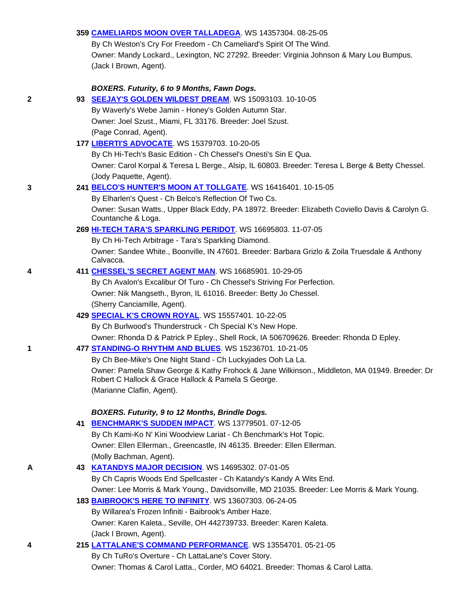### **359 CAMELIARDS MOON OVER TALLADEGA**. WS 14357304. 08-25-05

 By Ch Weston's Cry For Freedom - Ch Cameliard's Spirit Of The Wind. Owner: Mandy Lockard., Lexington, NC 27292. Breeder: Virginia Johnson & Mary Lou Bumpus. (Jack I Brown, Agent).

### *BOXERS. Futurity, 6 to 9 Months, Fawn Dogs.*

**2 93 SEEJAY'S GOLDEN WILDEST DREAM**. WS 15093103. 10-10-05

 By Waverly's Webe Jamin - Honey's Golden Autumn Star. Owner: Joel Szust., Miami, FL 33176. Breeder: Joel Szust.

(Page Conrad, Agent).

#### **177 LIBERTI'S ADVOCATE**. WS 15379703. 10-20-05

By Ch Hi-Tech's Basic Edition - Ch Chessel's Onesti's Sin E Qua.

 Owner: Carol Korpal & Teresa L Berge., Alsip, IL 60803. Breeder: Teresa L Berge & Betty Chessel. (Jody Paquette, Agent).

### **3 241 BELCO'S HUNTER'S MOON AT TOLLGATE**. WS 16416401. 10-15-05

 By Elharlen's Quest - Ch Belco's Reflection Of Two Cs. Owner: Susan Watts., Upper Black Eddy, PA 18972. Breeder: Elizabeth Coviello Davis & Carolyn G. Countanche & Loga.

### **269 HI-TECH TARA'S SPARKLING PERIDOT**. WS 16695803. 11-07-05

By Ch Hi-Tech Arbitrage - Tara's Sparkling Diamond.

 Owner: Sandee White., Boonville, IN 47601. Breeder: Barbara Grizlo & Zoila Truesdale & Anthony Calvacca.

### **4 411 CHESSEL'S SECRET AGENT MAN**. WS 16685901. 10-29-05

By Ch Avalon's Excalibur Of Turo - Ch Chessel's Striving For Perfection.

Owner: Nik Mangseth., Byron, IL 61016. Breeder: Betty Jo Chessel.

(Sherry Canciamille, Agent).

# **429 SPECIAL K'S CROWN ROYAL**. WS 15557401. 10-22-05

By Ch Burlwood's Thunderstruck - Ch Special K's New Hope.

Owner: Rhonda D & Patrick P Epley., Shell Rock, IA 506709626. Breeder: Rhonda D Epley.

#### **1 477 STANDING-O RHYTHM AND BLUES**. WS 15236701. 10-21-05

 By Ch Bee-Mike's One Night Stand - Ch Luckyjades Ooh La La. Owner: Pamela Shaw George & Kathy Frohock & Jane Wilkinson., Middleton, MA 01949. Breeder: Dr Robert C Hallock & Grace Hallock & Pamela S George. (Marianne Claflin, Agent).

# *BOXERS. Futurity, 9 to 12 Months, Brindle Dogs.*

 **41 BENCHMARK'S SUDDEN IMPACT**. WS 13779501. 07-12-05 By Ch Kami-Ko N' Kini Woodview Lariat - Ch Benchmark's Hot Topic. Owner: Ellen Ellerman., Greencastle, IN 46135. Breeder: Ellen Ellerman. (Molly Bachman, Agent).

# **A 43 KATANDYS MAJOR DECISION**. WS 14695302. 07-01-05

 By Ch Capris Woods End Spellcaster - Ch Katandy's Kandy A Wits End. Owner: Lee Morris & Mark Young., Davidsonville, MD 21035. Breeder: Lee Morris & Mark Young.

# **183 BAIBROOK'S HERE TO INFINITY**. WS 13607303. 06-24-05

By Willarea's Frozen Infiniti - Baibrook's Amber Haze.

Owner: Karen Kaleta., Seville, OH 442739733. Breeder: Karen Kaleta.

(Jack I Brown, Agent).

# **4 215 LATTALANE'S COMMAND PERFORMANCE**. WS 13554701. 05-21-05 By Ch TuRo's Overture - Ch LattaLane's Cover Story. Owner: Thomas & Carol Latta., Corder, MO 64021. Breeder: Thomas & Carol Latta.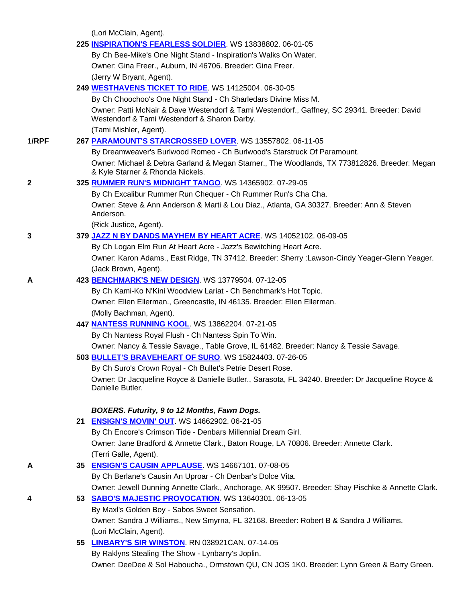(Lori McClain, Agent).

|       | 225 INSPIRATION'S FEARLESS SOLDIER. WS 13838802. 06-01-05                                                                                   |
|-------|---------------------------------------------------------------------------------------------------------------------------------------------|
|       | By Ch Bee-Mike's One Night Stand - Inspiration's Walks On Water.                                                                            |
|       | Owner: Gina Freer., Auburn, IN 46706. Breeder: Gina Freer.                                                                                  |
|       | (Jerry W Bryant, Agent).                                                                                                                    |
|       | 249 WESTHAVENS TICKET TO RIDE. WS 14125004. 06-30-05                                                                                        |
|       | By Ch Choochoo's One Night Stand - Ch Sharledars Divine Miss M.                                                                             |
|       | Owner: Patti McNair & Dave Westendorf & Tami Westendorf., Gaffney, SC 29341. Breeder: David<br>Westendorf & Tami Westendorf & Sharon Darby. |
|       | (Tami Mishler, Agent).                                                                                                                      |
| 1/RPF | 267 PARAMOUNT'S STARCROSSED LOVER. WS 13557802. 06-11-05                                                                                    |
|       | By Dreamweaver's Burlwood Romeo - Ch Burlwood's Starstruck Of Paramount.                                                                    |
|       | Owner: Michael & Debra Garland & Megan Starner., The Woodlands, TX 773812826. Breeder: Megan<br>& Kyle Starner & Rhonda Nickels.            |
| 2     | 325 RUMMER RUN'S MIDNIGHT TANGO. WS 14365902. 07-29-05                                                                                      |
|       | By Ch Excalibur Rummer Run Chequer - Ch Rummer Run's Cha Cha.                                                                               |
|       | Owner: Steve & Ann Anderson & Marti & Lou Diaz., Atlanta, GA 30327. Breeder: Ann & Steven                                                   |
|       | Anderson.                                                                                                                                   |
|       | (Rick Justice, Agent).                                                                                                                      |
| 3     | 379 JAZZ N BY DANDS MAYHEM BY HEART ACRE. WS 14052102. 06-09-05                                                                             |
|       | By Ch Logan Elm Run At Heart Acre - Jazz's Bewitching Heart Acre.                                                                           |
|       | Owner: Karon Adams., East Ridge, TN 37412. Breeder: Sherry : Lawson-Cindy Yeager-Glenn Yeager.                                              |
|       | (Jack Brown, Agent).                                                                                                                        |
| A     | 423 BENCHMARK'S NEW DESIGN. WS 13779504. 07-12-05                                                                                           |
|       | By Ch Kami-Ko N'Kini Woodview Lariat - Ch Benchmark's Hot Topic.                                                                            |
|       | Owner: Ellen Ellerman., Greencastle, IN 46135. Breeder: Ellen Ellerman.                                                                     |
|       | (Molly Bachman, Agent).                                                                                                                     |
|       | 447 NANTESS RUNNING KOOL. WS 13862204. 07-21-05                                                                                             |
|       | By Ch Nantess Royal Flush - Ch Nantess Spin To Win.                                                                                         |
|       | Owner: Nancy & Tessie Savage., Table Grove, IL 61482. Breeder: Nancy & Tessie Savage.                                                       |
|       | 503 BULLET'S BRAVEHEART OF SURO. WS 15824403. 07-26-05                                                                                      |
|       | By Ch Suro's Crown Royal - Ch Bullet's Petrie Desert Rose.                                                                                  |
|       | Owner: Dr Jacqueline Royce & Danielle Butler., Sarasota, FL 34240. Breeder: Dr Jacqueline Royce &<br>Danielle Butler.                       |
|       | BOXERS. Futurity, 9 to 12 Months, Fawn Dogs.                                                                                                |
|       | 21 ENSIGN'S MOVIN' OUT. WS 14662902. 06-21-05                                                                                               |
|       | By Ch Encore's Crimson Tide - Denbars Millennial Dream Girl.                                                                                |
|       | Owner: Jane Bradford & Annette Clark., Baton Rouge, LA 70806. Breeder: Annette Clark.                                                       |
|       | (Terri Galle, Agent).                                                                                                                       |
| А     | 35 ENSIGN'S CAUSIN APPLAUSE. WS 14667101. 07-08-05                                                                                          |
|       | By Ch Berlane's Causin An Uproar - Ch Denbar's Dolce Vita.                                                                                  |
|       | Owner: Jewell Dunning Annette Clark., Anchorage, AK 99507. Breeder: Shay Pischke & Annette Clark.                                           |
| 4     | 53 SABO'S MAJESTIC PROVOCATION. WS 13640301. 06-13-05                                                                                       |
|       | By Maxl's Golden Boy - Sabos Sweet Sensation.                                                                                               |
|       | Owner: Sandra J Williams., New Smyrna, FL 32168. Breeder: Robert B & Sandra J Williams.                                                     |
|       | (Lori McClain, Agent).                                                                                                                      |
|       | 55 <b>LINBARY'S SIR WINSTON.</b> RN 038921CAN. 07-14-05                                                                                     |
|       | By Raklyns Stealing The Show - Lynbarry's Joplin.                                                                                           |
|       | Owner: DeeDee & Sol Haboucha, Ormetown OLL CNLIOS 1KO, Broader: Lynn Groop & Barry Groop                                                    |

Owner: DeeDee & Sol Haboucha., Ormstown QU, CN JOS 1K0. Breeder: Lynn Green & Barry Green.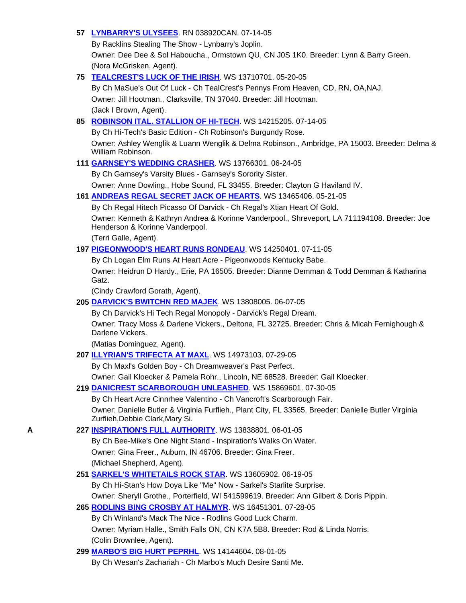# **57 LYNBARRY'S ULYSEES**. RN 038920CAN. 07-14-05

By Racklins Stealing The Show - Lynbarry's Joplin.

 Owner: Dee Dee & Sol Haboucha., Ormstown QU, CN J0S 1K0. Breeder: Lynn & Barry Green. (Nora McGrisken, Agent).

# **75 TEALCREST'S LUCK OF THE IRISH**. WS 13710701. 05-20-05

 By Ch MaSue's Out Of Luck - Ch TealCrest's Pennys From Heaven, CD, RN, OA,NAJ. Owner: Jill Hootman., Clarksville, TN 37040. Breeder: Jill Hootman. (Jack I Brown, Agent).

# **85 ROBINSON ITAL. STALLION OF HI-TECH**. WS 14215205. 07-14-05

By Ch Hi-Tech's Basic Edition - Ch Robinson's Burgundy Rose.

 Owner: Ashley Wenglik & Luann Wenglik & Delma Robinson., Ambridge, PA 15003. Breeder: Delma & William Robinson.

# **111 GARNSEY'S WEDDING CRASHER**. WS 13766301. 06-24-05

 By Ch Garnsey's Varsity Blues - Garnsey's Sorority Sister. Owner: Anne Dowling., Hobe Sound, FL 33455. Breeder: Clayton G Haviland IV.

# **161 ANDREAS REGAL SECRET JACK OF HEARTS**. WS 13465406. 05-21-05

By Ch Regal Hitech Picasso Of Darvick - Ch Regal's Xtian Heart Of Gold.

 Owner: Kenneth & Kathryn Andrea & Korinne Vanderpool., Shreveport, LA 711194108. Breeder: Joe Henderson & Korinne Vanderpool.

(Terri Galle, Agent).

# **197 PIGEONWOOD'S HEART RUNS RONDEAU**. WS 14250401. 07-11-05

By Ch Logan Elm Runs At Heart Acre - Pigeonwoods Kentucky Babe.

 Owner: Heidrun D Hardy., Erie, PA 16505. Breeder: Dianne Demman & Todd Demman & Katharina Gatz.

(Cindy Crawford Gorath, Agent).

# **205 DARVICK'S BWITCHN RED MAJEK**. WS 13808005. 06-07-05

By Ch Darvick's Hi Tech Regal Monopoly - Darvick's Regal Dream.

 Owner: Tracy Moss & Darlene Vickers., Deltona, FL 32725. Breeder: Chris & Micah Fernighough & Darlene Vickers.

(Matias Dominguez, Agent).

# **207 ILLYRIAN'S TRIFECTA AT MAXL**. WS 14973103. 07-29-05

By Ch Maxl's Golden Boy - Ch Dreamweaver's Past Perfect.

Owner: Gail Kloecker & Pamela Rohr., Lincoln, NE 68528. Breeder: Gail Kloecker.

# **219 DANICREST SCARBOROUGH UNLEASHED**. WS 15869601. 07-30-05

 By Ch Heart Acre Cinnrhee Valentino - Ch Vancroft's Scarborough Fair. Owner: Danielle Butler & Virginia Furflieh., Plant City, FL 33565. Breeder: Danielle Butler Virginia Zurflieh,Debbie Clark,Mary Si.

# **A 227 INSPIRATION'S FULL AUTHORITY**. WS 13838801. 06-01-05

 By Ch Bee-Mike's One Night Stand - Inspiration's Walks On Water. Owner: Gina Freer., Auburn, IN 46706. Breeder: Gina Freer. (Michael Shepherd, Agent).

# **251 SARKEL'S WHITETAILS ROCK STAR**. WS 13605902. 06-19-05

By Ch Hi-Stan's How Doya Like "Me" Now - Sarkel's Starlite Surprise.

Owner: Sheryll Grothe., Porterfield, WI 541599619. Breeder: Ann Gilbert & Doris Pippin.

# **265 RODLINS BING CROSBY AT HALMYR**. WS 16451301. 07-28-05

 By Ch Winland's Mack The Nice - Rodlins Good Luck Charm. Owner: Myriam Halle., Smith Falls ON, CN K7A 5B8. Breeder: Rod & Linda Norris. (Colin Brownlee, Agent).

# **299 MARBO'S BIG HURT PEPRHL**. WS 14144604. 08-01-05

By Ch Wesan's Zachariah - Ch Marbo's Much Desire Santi Me.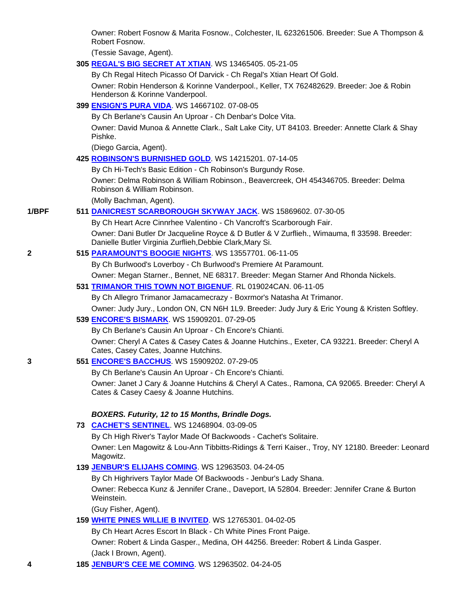Owner: Robert Fosnow & Marita Fosnow., Colchester, IL 623261506. Breeder: Sue A Thompson & Robert Fosnow.

(Tessie Savage, Agent).

**305 REGAL'S BIG SECRET AT XTIAN**. WS 13465405. 05-21-05

By Ch Regal Hitech Picasso Of Darvick - Ch Regal's Xtian Heart Of Gold.

 Owner: Robin Henderson & Korinne Vanderpool., Keller, TX 762482629. Breeder: Joe & Robin Henderson & Korinne Vanderpool.

### **399 ENSIGN'S PURA VIDA**. WS 14667102. 07-08-05

By Ch Berlane's Causin An Uproar - Ch Denbar's Dolce Vita.

 Owner: David Munoa & Annette Clark., Salt Lake City, UT 84103. Breeder: Annette Clark & Shay Pishke.

(Diego Garcia, Agent).

**425 ROBINSON'S BURNISHED GOLD**. WS 14215201. 07-14-05

By Ch Hi-Tech's Basic Edition - Ch Robinson's Burgundy Rose.

 Owner: Delma Robinson & William Robinson., Beavercreek, OH 454346705. Breeder: Delma Robinson & William Robinson.

(Molly Bachman, Agent).

### **1/BPF 511 DANICREST SCARBOROUGH SKYWAY JACK**. WS 15869602. 07-30-05

By Ch Heart Acre Cinnrhee Valentino - Ch Vancroft's Scarborough Fair.

 Owner: Dani Butler Dr Jacqueline Royce & D Butler & V Zurflieh., Wimauma, fl 33598. Breeder: Danielle Butler Virginia Zurflieh,Debbie Clark,Mary Si.

# **2 515 PARAMOUNT'S BOOGIE NIGHTS**. WS 13557701. 06-11-05

By Ch Burlwood's Loverboy - Ch Burlwood's Premiere At Paramount.

Owner: Megan Starner., Bennet, NE 68317. Breeder: Megan Starner And Rhonda Nickels.

# **531 TRIMANOR THIS TOWN NOT BIGENUF**. RL 019024CAN. 06-11-05

By Ch Allegro Trimanor Jamacamecrazy - Boxrmor's Natasha At Trimanor.

Owner: Judy Jury., London ON, CN N6H 1L9. Breeder: Judy Jury & Eric Young & Kristen Softley.

#### **539 ENCORE'S BISMARK**. WS 15909201. 07-29-05

By Ch Berlane's Causin An Uproar - Ch Encore's Chianti.

 Owner: Cheryl A Cates & Casey Cates & Joanne Hutchins., Exeter, CA 93221. Breeder: Cheryl A Cates, Casey Cates, Joanne Hutchins.

# **3 551 ENCORE'S BACCHUS**. WS 15909202. 07-29-05

By Ch Berlane's Causin An Uproar - Ch Encore's Chianti.

 Owner: Janet J Cary & Joanne Hutchins & Cheryl A Cates., Ramona, CA 92065. Breeder: Cheryl A Cates & Casey Caesy & Joanne Hutchins.

# *BOXERS. Futurity, 12 to 15 Months, Brindle Dogs.*

**73 CACHET'S SENTINEL**. WS 12468904. 03-09-05

By Ch High River's Taylor Made Of Backwoods - Cachet's Solitaire.

 Owner: Len Magowitz & Lou-Ann Tibbitts-Ridings & Terri Kaiser., Troy, NY 12180. Breeder: Leonard Magowitz.

# **139 JENBUR'S ELIJAHS COMING**. WS 12963503. 04-24-05

By Ch Highrivers Taylor Made Of Backwoods - Jenbur's Lady Shana.

 Owner: Rebecca Kunz & Jennifer Crane., Daveport, IA 52804. Breeder: Jennifer Crane & Burton Weinstein.

(Guy Fisher, Agent).

**159 WHITE PINES WILLIE B INVITED**. WS 12765301. 04-02-05

By Ch Heart Acres Escort In Black - Ch White Pines Front Paige.

Owner: Robert & Linda Gasper., Medina, OH 44256. Breeder: Robert & Linda Gasper.

(Jack I Brown, Agent).

**4 185 JENBUR'S CEE ME COMING**. WS 12963502. 04-24-05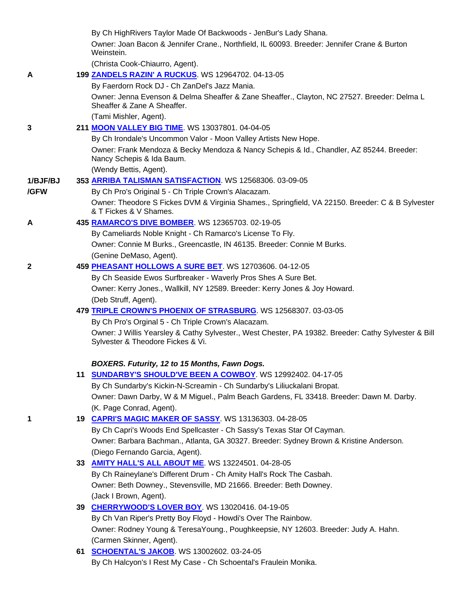|              | By Ch HighRivers Taylor Made Of Backwoods - JenBur's Lady Shana.                                                           |
|--------------|----------------------------------------------------------------------------------------------------------------------------|
|              | Owner: Joan Bacon & Jennifer Crane., Northfield, IL 60093. Breeder: Jennifer Crane & Burton<br>Weinstein.                  |
|              | (Christa Cook-Chiaurro, Agent).                                                                                            |
| A            | 199 ZANDELS RAZIN' A RUCKUS. WS 12964702. 04-13-05                                                                         |
|              | By Faerdorn Rock DJ - Ch ZanDel's Jazz Mania.                                                                              |
|              | Owner: Jenna Evenson & Delma Sheaffer & Zane Sheaffer., Clayton, NC 27527. Breeder: Delma L<br>Sheaffer & Zane A Sheaffer. |
|              | (Tami Mishler, Agent).                                                                                                     |
| 3            | 211 MOON VALLEY BIG TIME. WS 13037801. 04-04-05                                                                            |
|              | By Ch Irondale's Uncommon Valor - Moon Valley Artists New Hope.                                                            |
|              | Owner: Frank Mendoza & Becky Mendoza & Nancy Schepis & Id., Chandler, AZ 85244. Breeder:<br>Nancy Schepis & Ida Baum.      |
|              | (Wendy Bettis, Agent).                                                                                                     |
| 1/BJF/BJ     | 353 ARRIBA TALISMAN SATISFACTION. WS 12568306. 03-09-05                                                                    |
| /GFW         | By Ch Pro's Original 5 - Ch Triple Crown's Alacazam.                                                                       |
|              | Owner: Theodore S Fickes DVM & Virginia Shames., Springfield, VA 22150. Breeder: C & B Sylvester<br>& T Fickes & V Shames. |
| A            | 435 RAMARCO'S DIVE BOMBER. WS 12365703. 02-19-05                                                                           |
|              | By Cameliards Noble Knight - Ch Ramarco's License To Fly.                                                                  |
|              | Owner: Connie M Burks., Greencastle, IN 46135. Breeder: Connie M Burks.                                                    |
|              | (Genine DeMaso, Agent).                                                                                                    |
| $\mathbf{2}$ | 459 PHEASANT HOLLOWS A SURE BET. WS 12703606. 04-12-05                                                                     |
|              | By Ch Seaside Ewos Surfbreaker - Waverly Pros Shes A Sure Bet.                                                             |
|              | Owner: Kerry Jones., Wallkill, NY 12589. Breeder: Kerry Jones & Joy Howard.                                                |
|              | (Deb Struff, Agent).<br>479 TRIPLE CROWN'S PHOENIX OF STRASBURG. WS 12568307. 03-03-05                                     |
|              | By Ch Pro's Orginal 5 - Ch Triple Crown's Alacazam.                                                                        |
|              | Owner: J Willis Yearsley & Cathy Sylvester., West Chester, PA 19382. Breeder: Cathy Sylvester & Bill                       |
|              | Sylvester & Theodore Fickes & Vi.                                                                                          |
|              | BOXERS. Futurity, 12 to 15 Months, Fawn Dogs.                                                                              |
|              | 11 SUNDARBY'S SHOULD'VE BEEN A COWBOY. WS 12992402. 04-17-05                                                               |
|              | By Ch Sundarby's Kickin-N-Screamin - Ch Sundarby's Liliuckalani Bropat.                                                    |
|              | Owner: Dawn Darby, W & M Miguel., Palm Beach Gardens, FL 33418. Breeder: Dawn M. Darby.                                    |
|              | (K. Page Conrad, Agent).                                                                                                   |
| 1            | 19 CAPRI'S MAGIC MAKER OF SASSY. WS 13136303. 04-28-05                                                                     |
|              | By Ch Capri's Woods End Spellcaster - Ch Sassy's Texas Star Of Cayman.                                                     |
|              | Owner: Barbara Bachman., Atlanta, GA 30327. Breeder: Sydney Brown & Kristine Anderson.                                     |
|              | (Diego Fernando Garcia, Agent).                                                                                            |
|              | 33 <b>AMITY HALL'S ALL ABOUT ME</b> . WS 13224501. 04-28-05                                                                |
|              | By Ch Raineylane's Different Drum - Ch Amity Hall's Rock The Casbah.                                                       |
|              | Owner: Beth Downey., Stevensville, MD 21666. Breeder: Beth Downey.                                                         |
|              | (Jack I Brown, Agent).                                                                                                     |
|              | 39 CHERRYWOOD'S LOVER BOY WS 13020416.04-19-05                                                                             |
|              | By Ch Van Riper's Pretty Boy Floyd - Howdi's Over The Rainbow.                                                             |
|              | Owner: Rodney Young & TeresaYoung., Poughkeepsie, NY 12603. Breeder: Judy A. Hahn.                                         |
|              | (Carmen Skinner, Agent).                                                                                                   |
|              | 61 SCHOENTAL'S JAKOB. WS 13002602. 03-24-05                                                                                |
|              | By Ch Halcyon's I Rest My Case - Ch Schoental's Fraulein Monika.                                                           |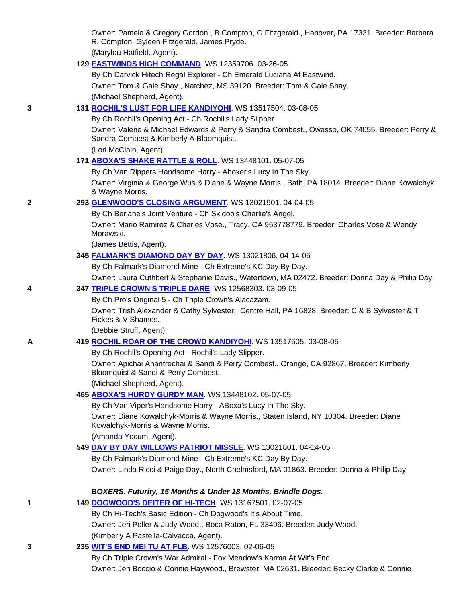Owner: Pamela & Gregory Gordon , B Compton, G Fitzgerald., Hanover, PA 17331. Breeder: Barbara R. Compton, Gyleen Fitzgerald, James Pryde. (Marylou Hatfield, Agent).

**129 EASTWINDS HIGH COMMAND**. WS 12359706. 03-26-05

 By Ch Darvick Hitech Regal Explorer - Ch Emerald Luciana At Eastwind. Owner: Tom & Gale Shay., Natchez, MS 39120. Breeder: Tom & Gale Shay. (Michael Shepherd, Agent).

# **3 131 ROCHIL'S LUST FOR LIFE KANDIYOHI**. WS 13517504. 03-08-05

By Ch Rochil's Opening Act - Ch Rochil's Lady Slipper.

 Owner: Valerie & Michael Edwards & Perry & Sandra Combest., Owasso, OK 74055. Breeder: Perry & Sandra Combest & Kimberly A Bloomquist.

(Lori McClain, Agent).

**171 ABOXA'S SHAKE RATTLE & ROLL**. WS 13448101. 05-07-05

By Ch Van Rippers Handsome Harry - Aboxer's Lucy In The Sky.

 Owner: Virginia & George Wus & Diane & Wayne Morris., Bath, PA 18014. Breeder: Diane Kowalchyk & Wayne Morris.

# **2 293 GLENWOOD'S CLOSING ARGUMENT**. WS 13021901. 04-04-05

By Ch Berlane's Joint Venture - Ch Skidoo's Charlie's Angel.

 Owner: Mario Ramirez & Charles Vose., Tracy, CA 953778779. Breeder: Charles Vose & Wendy Morawski.

(James Bettis, Agent).

# **345 FALMARK'S DIAMOND DAY BY DAY**. WS 13021806. 04-14-05

By Ch Falmark's Diamond Mine - Ch Extreme's KC Day By Day.

Owner: Laura Cuthbert & Stephanie Davis., Watertown, MA 02472. Breeder: Donna Day & Philip Day.

# **4 347 TRIPLE CROWN'S TRIPLE DARE**. WS 12568303. 03-09-05

By Ch Pro's Original 5 - Ch Triple Crown's Alacazam.

 Owner: Trish Alexander & Cathy Sylvester., Centre Hall, PA 16828. Breeder: C & B Sylvester & T Fickes & V Shames.

(Debbie Struff, Agent).

# **A 419 ROCHIL ROAR OF THE CROWD KANDIYOHI**. WS 13517505. 03-08-05

By Ch Rochil's Opening Act - Rochil's Lady Slipper.

 Owner: Apichai Anantrechai & Sandi & Perry Combest., Orange, CA 92867. Breeder: Kimberly Bloomquist & Sandi & Perry Combest.

(Michael Shepherd, Agent).

# **465 ABOXA'S HURDY GURDY MAN**. WS 13448102. 05-07-05

By Ch Van Viper's Handsome Harry - ABoxa's Lucy In The Sky.

 Owner: Diane Kowalchyk-Morris & Wayne Morris., Staten Island, NY 10304. Breeder: Diane Kowalchyk-Morris & Wayne Morris.

(Amanda Yocum, Agent).

# **549 DAY BY DAY WILLOWS PATRIOT MISSLE**. WS 13021801. 04-14-05

 By Ch Falmark's Diamond Mine - Ch Extreme's KC Day By Day. Owner: Linda Ricci & Paige Day., North Chelmsford, MA 01863. Breeder: Donna & Philip Day.

*BOXERS. Futurity, 15 Months & Under 18 Months, Brindle Dogs.*

| 149 DOGWOOD'S DEITER OF HI-TECH. WS 13167501. 02-07-05 |  |
|--------------------------------------------------------|--|
|                                                        |  |

By Ch Hi-Tech's Basic Edition - Ch Dogwood's It's About Time.

Owner: Jeri Poller & Judy Wood., Boca Raton, FL 33496. Breeder: Judy Wood.

(Kimberly A Pastella-Calvacca, Agent).

# **3 235 WIT'S END MEI TU AT FLB**. WS 12576003. 02-06-05

 By Ch Triple Crown's War Admiral - Fox Meadow's Karma At Wit's End. Owner: Jeri Boccio & Connie Haywood., Brewster, MA 02631. Breeder: Becky Clarke & Connie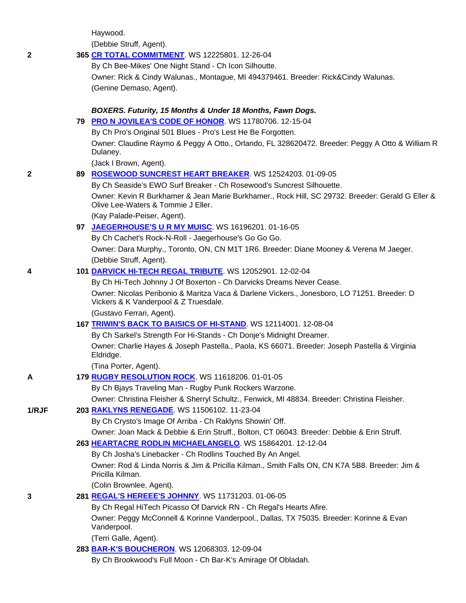Haywood.

(Debbie Struff, Agent).

|  | 365 CR TOTAL COMMITMENT. WS 12225801. 12-26-04 |
|--|------------------------------------------------|
|--|------------------------------------------------|

By Ch Bee-Mikes' One Night Stand - Ch Icon Silhoutte.

 Owner: Rick & Cindy Walunas., Montague, MI 494379461. Breeder: Rick&Cindy Walunas. (Genine Demaso, Agent).

#### *BOXERS. Futurity, 15 Months & Under 18 Months, Fawn Dogs.*

**79 PRO N JOVILEA'S CODE OF HONOR**. WS 11780706. 12-15-04

By Ch Pro's Original 501 Blues - Pro's Lest He Be Forgotten.

 Owner: Claudine Raymo & Peggy A Otto., Orlando, FL 328620472. Breeder: Peggy A Otto & William R Dulaney.

(Jack I Brown, Agent).

#### **2 89 ROSEWOOD SUNCREST HEART BREAKER**. WS 12524203. 01-09-05

 By Ch Seaside's EWO Surf Breaker - Ch Rosewood's Suncrest Silhouette. Owner: Kevin R Burkhamer & Jean Marie Burkhamer., Rock Hill, SC 29732. Breeder: Gerald G Eller & Olive Lee-Waters & Tommie J Eller.

(Kay Palade-Peiser, Agent).

**97 JAEGERHOUSE'S U R MY MUISC**. WS 16196201. 01-16-05

 By Ch Cachet's Rock-N-Roll - Jaegerhouse's Go Go Go. Owner: Dara Murphy., Toronto, ON, CN M1T 1R6. Breeder: Diane Mooney & Verena M Jaeger. (Debbie Struff, Agent).

#### **4 101 DARVICK HI-TECH REGAL TRIBUTE**. WS 12052901. 12-02-04

 By Ch Hi-Tech Johnny J Of Boxerton - Ch Darvicks Dreams Never Cease. Owner: Nicolas Peribonio & Maritza Vaca & Darlene Vickers., Jonesboro, LO 71251. Breeder: D Vickers & K Vanderpool & Z Truesdale.

(Gustavo Ferrari, Agent).

### **167 TRIWIN'S BACK TO BAISICS OF HI-STAND**. WS 12114001. 12-08-04

 By Ch Sarkel's Strength For Hi-Stands - Ch Donje's Midnight Dreamer. Owner: Charlie Hayes & Joseph Pastella., Paola, KS 66071. Breeder: Joseph Pastella & Virginia Eldridge.

(Tina Porter, Agent).

**A 179 RUGBY RESOLUTION ROCK**. WS 11618206. 01-01-05

By Ch Bjays Traveling Man - Rugby Punk Rockers Warzone.

Owner: Christina Fleisher & Sherryl Schultz., Fenwick, MI 48834. Breeder: Christina Fleisher.

### **1/RJF 203 RAKLYNS RENEGADE**. WS 11506102. 11-23-04

By Ch Crysto's Image Of Arriba - Ch Raklyns Showin' Off.

Owner: Joan Mack & Debbie & Erin Struff., Bolton, CT 06043. Breeder: Debbie & Erin Struff.

**263 HEARTACRE RODLIN MICHAELANGELO**. WS 15864201. 12-12-04

By Ch Josha's Linebacker - Ch Rodlins Touched By An Angel.

 Owner: Rod & Linda Norris & Jim & Pricilla Kilman., Smith Falls ON, CN K7A 5B8. Breeder: Jim & Pricilla Kilman.

(Colin Brownlee, Agent).

**3 281 REGAL'S HEREEE'S JOHNNY**. WS 11731203. 01-06-05

By Ch Regal HiTech Picasso Of Darvick RN - Ch Regal's Hearts Afire.

 Owner: Peggy McConnell & Korinne Vanderpool., Dallas, TX 75035. Breeder: Korinne & Evan Vanderpool.

(Terri Galle, Agent).

- **283 BAR-K'S BOUCHERON**. WS 12068303. 12-09-04
	- By Ch Brookwood's Full Moon Ch Bar-K's Amirage Of Obladah.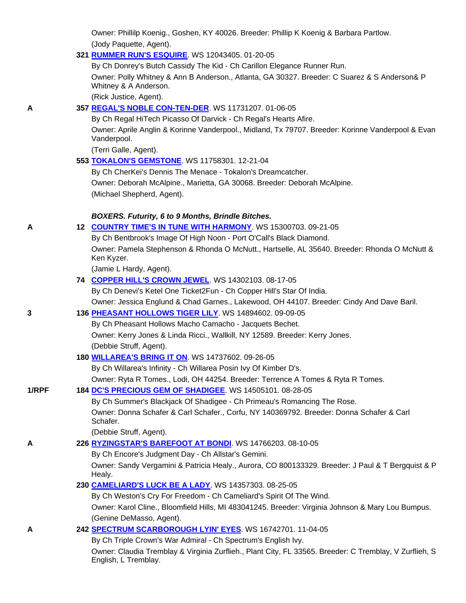Owner: Phillilp Koenig., Goshen, KY 40026. Breeder: Phillip K Koenig & Barbara Partlow. (Jody Paquette, Agent).

### **321 RUMMER RUN'S ESQUIRE**. WS 12043405. 01-20-05

 By Ch Donrey's Butch Cassidy The Kid - Ch Carillon Elegance Runner Run. Owner: Polly Whitney & Ann B Anderson., Atlanta, GA 30327. Breeder: C Suarez & S Anderson& P Whitney & A Anderson.

(Rick Justice, Agent).

# **A 357 REGAL'S NOBLE CON-TEN-DER**. WS 11731207. 01-06-05

 By Ch Regal HiTech Picasso Of Darvick - Ch Regal's Hearts Afire. Owner: Aprile Anglin & Korinne Vanderpool., Midland, Tx 79707. Breeder: Korinne Vanderpool & Evan Vanderpool.

(Terri Galle, Agent).

# **553 TOKALON'S GEMSTONE**. WS 11758301. 12-21-04

 By Ch CherKei's Dennis The Menace - Tokalon's Dreamcatcher. Owner: Deborah McAlpine., Marietta, GA 30068. Breeder: Deborah McAlpine. (Michael Shepherd, Agent).

#### *BOXERS. Futurity, 6 to 9 Months, Brindle Bitches.*

|  | 12 COUNTRY TIME'S IN TUNE WITH HARMONY. WS 15300703. 09-21-05 |  |
|--|---------------------------------------------------------------|--|
|--|---------------------------------------------------------------|--|

By Ch Bentbrook's Image Of High Noon - Port O'Call's Black Diamond.

 Owner: Pamela Stephenson & Rhonda O McNutt., Hartselle, AL 35640. Breeder: Rhonda O McNutt & Ken Kyzer.

(Jamie L Hardy, Agent).

**74 COPPER HILL'S CROWN JEWEL**. WS 14302103. 08-17-05

By Ch Denevi's Ketel One Ticket2Fun - Ch Copper Hill's Star Of India.

Owner: Jessica Englund & Chad Garnes., Lakewood, OH 44107. Breeder: Cindy And Dave Baril.

# **3 136 PHEASANT HOLLOWS TIGER LILY**. WS 14894602. 09-09-05

By Ch Pheasant Hollows Macho Camacho - Jacquets Bechet.

Owner: Kerry Jones & Linda Ricci., Wallkill, NY 12589. Breeder: Kerry Jones.

(Debbie Struff, Agent).

# **180 WILLAREA'S BRING IT ON**. WS 14737602. 09-26-05

By Ch Willarea's Infinity - Ch Willarea Posin Ivy Of Kimber D's.

Owner: Ryta R Tomes., Lodi, OH 44254. Breeder: Terrence A Tomes & Ryta R Tomes.

#### **1/RPF 184 DC'S PRECIOUS GEM OF SHADIGEE**. WS 14505101. 08-28-05

 By Ch Summer's Blackjack Of Shadigee - Ch Primeau's Romancing The Rose. Owner: Donna Schafer & Carl Schafer., Corfu, NY 140369792. Breeder: Donna Schafer & Carl Schafer.

(Debbie Struff, Agent).

# **A 226 RYZINGSTAR'S BAREFOOT AT BONDI**. WS 14766203. 08-10-05

By Ch Encore's Judgment Day - Ch Allstar's Gemini.

 Owner: Sandy Vergamini & Patricia Healy., Aurora, CO 800133329. Breeder: J Paul & T Bergquist & P Healy.

# **230 CAMELIARD'S LUCK BE A LADY**. WS 14357303. 08-25-05

By Ch Weston's Cry For Freedom - Ch Cameliard's Spirit Of The Wind.

 Owner: Karol Cline., Bloomfield Hills, MI 483041245. Breeder: Virginia Johnson & Mary Lou Bumpus. (Genine DeMasso, Agent).

**A 242 SPECTRUM SCARBOROUGH LYIN' EYES**. WS 16742701. 11-04-05

By Ch Triple Crown's War Admiral - Ch Spectrum's English Ivy.

 Owner: Claudia Tremblay & Virginia Zurflieh., Plant City, FL 33565. Breeder: C Tremblay, V Zurflieh, S English, L Tremblay.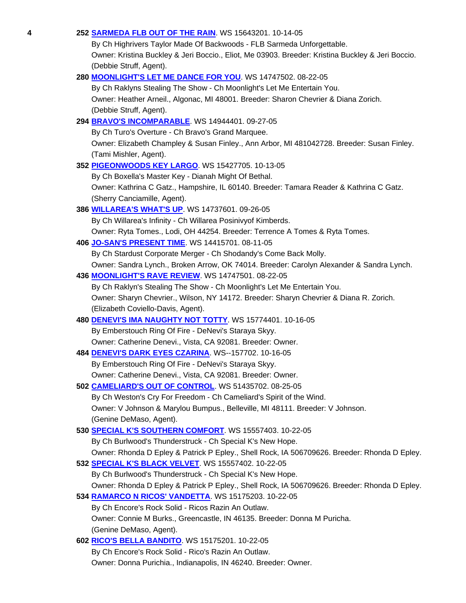**4 252 SARMEDA FLB OUT OF THE RAIN**. WS 15643201. 10-14-05

 By Ch Highrivers Taylor Made Of Backwoods - FLB Sarmeda Unforgettable. Owner: Kristina Buckley & Jeri Boccio., Eliot, Me 03903. Breeder: Kristina Buckley & Jeri Boccio. (Debbie Struff, Agent).

#### **280 MOONLIGHT'S LET ME DANCE FOR YOU**. WS 14747502. 08-22-05

 By Ch Raklyns Stealing The Show - Ch Moonlight's Let Me Entertain You. Owner: Heather Arneil., Algonac, MI 48001. Breeder: Sharon Chevrier & Diana Zorich. (Debbie Struff, Agent).

# **294 BRAVO'S INCOMPARABLE**. WS 14944401. 09-27-05 By Ch Turo's Overture - Ch Bravo's Grand Marquee. Owner: Elizabeth Champley & Susan Finley., Ann Arbor, MI 481042728. Breeder: Susan Finley. (Tami Mishler, Agent). **352 PIGEONWOODS KEY LARGO**. WS 15427705. 10-13-05 By Ch Boxella's Master Key - Dianah Might Of Bethal. Owner: Kathrina C Gatz., Hampshire, IL 60140. Breeder: Tamara Reader & Kathrina C Gatz. (Sherry Canciamille, Agent). **386 WILLAREA'S WHAT'S UP**. WS 14737601. 09-26-05 By Ch Willarea's Infinity - Ch Willarea Posinivyof Kimberds. Owner: Ryta Tomes., Lodi, OH 44254. Breeder: Terrence A Tomes & Ryta Tomes. **406 JO-SAN'S PRESENT TIME**. WS 14415701. 08-11-05 By Ch Stardust Corporate Merger - Ch Shodandy's Come Back Molly.

Owner: Sandra Lynch., Broken Arrow, OK 74014. Breeder: Carolyn Alexander & Sandra Lynch.

### **436 MOONLIGHT'S RAVE REVIEW**. WS 14747501. 08-22-05

 By Ch Raklyn's Stealing The Show - Ch Moonlight's Let Me Entertain You. Owner: Sharyn Chevrier., Wilson, NY 14172. Breeder: Sharyn Chevrier & Diana R. Zorich. (Elizabeth Coviello-Davis, Agent).

# **480 DENEVI'S IMA NAUGHTY NOT TOTTY**. WS 15774401. 10-16-05

 By Emberstouch Ring Of Fire - DeNevi's Staraya Skyy. Owner: Catherine Denevi., Vista, CA 92081. Breeder: Owner.

# **484 DENEVI'S DARK EYES CZARINA**. WS--157702. 10-16-05

By Emberstouch Ring Of Fire - DeNevi's Staraya Skyy.

Owner: Catherine Denevi., Vista, CA 92081. Breeder: Owner.

# **502 CAMELIARD'S OUT OF CONTROL**. WS 51435702. 08-25-05

 By Ch Weston's Cry For Freedom - Ch Cameliard's Spirit of the Wind. Owner: V Johnson & Marylou Bumpus., Belleville, MI 48111. Breeder: V Johnson. (Genine DeMaso, Agent).

# **530 SPECIAL K'S SOUTHERN COMFORT**. WS 15557403. 10-22-05

By Ch Burlwood's Thunderstruck - Ch Special K's New Hope.

# Owner: Rhonda D Epley & Patrick P Epley., Shell Rock, IA 506709626. Breeder: Rhonda D Epley.

# **532 SPECIAL K'S BLACK VELVET**. WS 15557402. 10-22-05 By Ch Burlwood's Thunderstruck - Ch Special K's New Hope. Owner: Rhonda D Epley & Patrick P Epley., Shell Rock, IA 506709626. Breeder: Rhonda D Epley. **534 RAMARCO N RICOS' VANDETTA**. WS 15175203. 10-22-05

 By Ch Encore's Rock Solid - Ricos Razin An Outlaw. Owner: Connie M Burks., Greencastle, IN 46135. Breeder: Donna M Puricha.

(Genine DeMaso, Agent).

# **602 RICO'S BELLA BANDITO**. WS 15175201. 10-22-05 By Ch Encore's Rock Solid - Rico's Razin An Outlaw. Owner: Donna Purichia., Indianapolis, IN 46240. Breeder: Owner.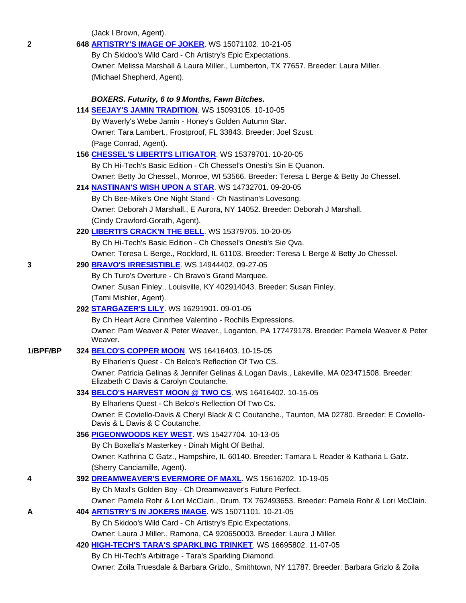(Jack I Brown, Agent).

| 2        | 648 ARTISTRY'S IMAGE OF JOKER. WS 15071102. 10-21-05                                                                                   |
|----------|----------------------------------------------------------------------------------------------------------------------------------------|
|          | By Ch Skidoo's Wild Card - Ch Artistry's Epic Expectations.                                                                            |
|          | Owner: Melissa Marshall & Laura Miller., Lumberton, TX 77657. Breeder: Laura Miller.                                                   |
|          | (Michael Shepherd, Agent).                                                                                                             |
|          | <b>BOXERS. Futurity, 6 to 9 Months, Fawn Bitches.</b>                                                                                  |
|          | 114 SEEJAY'S JAMIN TRADITION. WS 15093105. 10-10-05                                                                                    |
|          | By Waverly's Webe Jamin - Honey's Golden Autumn Star.                                                                                  |
|          | Owner: Tara Lambert., Frostproof, FL 33843. Breeder: Joel Szust.                                                                       |
|          | (Page Conrad, Agent).                                                                                                                  |
|          | 156 CHESSEL'S LIBERTI'S LITIGATOR. WS 15379701. 10-20-05                                                                               |
|          | By Ch Hi-Tech's Basic Edition - Ch Chessel's Onesti's Sin E Quanon.                                                                    |
|          | Owner: Betty Jo Chessel., Monroe, WI 53566. Breeder: Teresa L Berge & Betty Jo Chessel.                                                |
|          | 214 <b>NASTINAN'S WISH UPON A STAR.</b> WS 14732701. 09-20-05                                                                          |
|          | By Ch Bee-Mike's One Night Stand - Ch Nastinan's Lovesong.                                                                             |
|          | Owner: Deborah J Marshall., E Aurora, NY 14052. Breeder: Deborah J Marshall.                                                           |
|          | (Cindy Crawford-Gorath, Agent).                                                                                                        |
|          | 220 LIBERTI'S CRACK'N THE BELL. WS 15379705. 10-20-05                                                                                  |
|          | By Ch Hi-Tech's Basic Edition - Ch Chessel's Onesti's Sie Qva.                                                                         |
|          | Owner: Teresa L Berge., Rockford, IL 61103. Breeder: Teresa L Berge & Betty Jo Chessel.                                                |
| 3        | 290 BRAVO'S IRRESISTIBLE. WS 14944402. 09-27-05                                                                                        |
|          | By Ch Turo's Overture - Ch Bravo's Grand Marquee.                                                                                      |
|          | Owner: Susan Finley., Louisville, KY 402914043. Breeder: Susan Finley.                                                                 |
|          | (Tami Mishler, Agent).                                                                                                                 |
|          | 292 STARGAZER'S LILY WS 16291901.09-01-05                                                                                              |
|          | By Ch Heart Acre Cinnrhee Valentino - Rochils Expressions.                                                                             |
|          | Owner: Pam Weaver & Peter Weaver., Loganton, PA 177479178. Breeder: Pamela Weaver & Peter<br>Weaver.                                   |
| 1/BPF/BP | 324 BELCO'S COPPER MOON. WS 16416403. 10-15-05                                                                                         |
|          | By Elharlen's Quest - Ch Belco's Reflection Of Two CS.                                                                                 |
|          | Owner: Patricia Gelinas & Jennifer Gelinas & Logan Davis., Lakeville, MA 023471508. Breeder:<br>Elizabeth C Davis & Carolyn Coutanche. |
|          | 334 BELCO'S HARVEST MOON @ TWO CS. WS 16416402. 10-15-05                                                                               |
|          | By Elharlens Quest - Ch Belco's Reflection Of Two Cs.                                                                                  |
|          | Owner: E Coviello-Davis & Cheryl Black & C Coutanche., Taunton, MA 02780. Breeder: E Coviello-<br>Davis & L Davis & C Coutanche.       |
|          | 356 PIGEONWOODS KEY WEST. WS 15427704. 10-13-05                                                                                        |
|          | By Ch Boxella's Masterkey - Dinah Might Of Bethal.                                                                                     |
|          | Owner: Kathrina C Gatz., Hampshire, IL 60140. Breeder: Tamara L Reader & Katharia L Gatz.                                              |
|          | (Sherry Canciamille, Agent).                                                                                                           |
| 4        | 392 DREAMWEAVER'S EVERMORE OF MAXL. WS 15616202. 10-19-05                                                                              |
|          | By Ch Maxl's Golden Boy - Ch Dreamweaver's Future Perfect.                                                                             |
|          | Owner: Pamela Rohr & Lori McClain., Drum, TX 762493653. Breeder: Pamela Rohr & Lori McClain.                                           |
| А        | 404 ARTISTRY'S IN JOKERS IMAGE. WS 15071101. 10-21-05                                                                                  |
|          | By Ch Skidoo's Wild Card - Ch Artistry's Epic Expectations.                                                                            |
|          | Owner: Laura J Miller., Ramona, CA 920650003. Breeder: Laura J Miller.                                                                 |
|          | 420 HIGH-TECH'S TARA'S SPARKLING TRINKET. WS 16695802. 11-07-05                                                                        |
|          | By Ch Hi-Tech's Arbitrage - Tara's Sparkling Diamond.                                                                                  |
|          | Owner: Zoila Truesdale & Barbara Grizlo., Smithtown, NY 11787. Breeder: Barbara Grizlo & Zoila                                         |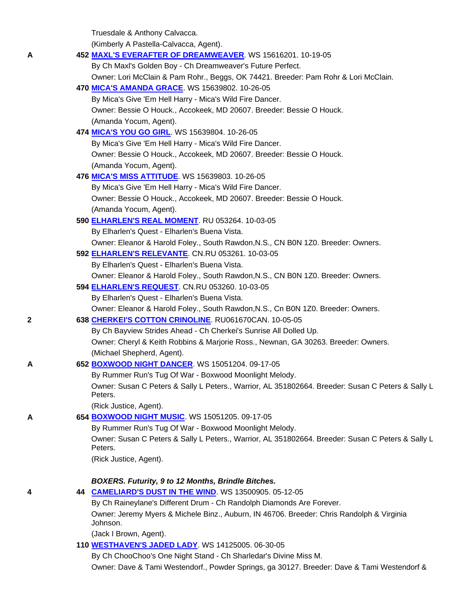Truesdale & Anthony Calvacca.

(Kimberly A Pastella-Calvacca, Agent).

| A | 452 MAXL'S EVERAFTER OF DREAMWEAVER. WS 15616201. 10-19-05                                                   |
|---|--------------------------------------------------------------------------------------------------------------|
|   | By Ch Maxl's Golden Boy - Ch Dreamweaver's Future Perfect.                                                   |
|   | Owner: Lori McClain & Pam Rohr., Beggs, OK 74421. Breeder: Pam Rohr & Lori McClain.                          |
|   | 470 MICA'S AMANDA GRACE. WS 15639802. 10-26-05                                                               |
|   | By Mica's Give 'Em Hell Harry - Mica's Wild Fire Dancer.                                                     |
|   | Owner: Bessie O Houck., Accokeek, MD 20607. Breeder: Bessie O Houck.                                         |
|   | (Amanda Yocum, Agent).                                                                                       |
|   | 474 MICA'S YOU GO GIRL WS 15639804. 10-26-05                                                                 |
|   | By Mica's Give 'Em Hell Harry - Mica's Wild Fire Dancer.                                                     |
|   | Owner: Bessie O Houck., Accokeek, MD 20607. Breeder: Bessie O Houck.                                         |
|   | (Amanda Yocum, Agent).                                                                                       |
|   | 476 MICA'S MISS ATTITUDE. WS 15639803. 10-26-05                                                              |
|   | By Mica's Give 'Em Hell Harry - Mica's Wild Fire Dancer.                                                     |
|   | Owner: Bessie O Houck., Accokeek, MD 20607. Breeder: Bessie O Houck.                                         |
|   | (Amanda Yocum, Agent).                                                                                       |
|   | 590 ELHARLEN'S REAL MOMENT RU 053264. 10-03-05                                                               |
|   | By Elharlen's Quest - Elharlen's Buena Vista.                                                                |
|   | Owner: Eleanor & Harold Foley., South Rawdon, N.S., CN B0N 1Z0. Breeder: Owners.                             |
|   |                                                                                                              |
|   | 592 ELHARLEN'S RELEVANTE. CN.RU 053261. 10-03-05                                                             |
|   | By Elharlen's Quest - Elharlen's Buena Vista.                                                                |
|   | Owner: Eleanor & Harold Foley., South Rawdon, N.S., CN B0N 1Z0. Breeder: Owners.                             |
|   | 594 ELHARLEN'S REQUEST. CN.RU 053260. 10-03-05                                                               |
|   | By Elharlen's Quest - Elharlen's Buena Vista.                                                                |
|   | Owner: Eleanor & Harold Foley., South Rawdon, N.S., Cn B0N 1Z0. Breeder: Owners.                             |
| 2 | 638 CHERKEI'S COTTON CRINOLINE. RU061670CAN. 10-05-05                                                        |
|   | By Ch Bayview Strides Ahead - Ch Cherkei's Sunrise All Dolled Up.                                            |
|   | Owner: Cheryl & Keith Robbins & Marjorie Ross., Newnan, GA 30263. Breeder: Owners.                           |
|   | (Michael Shepherd, Agent).                                                                                   |
| A | 652 BOXWOOD NIGHT DANCER. WS 15051204. 09-17-05                                                              |
|   | By Rummer Run's Tug Of War - Boxwood Moonlight Melody.                                                       |
|   | Owner: Susan C Peters & Sally L Peters., Warrior, AL 351802664. Breeder: Susan C Peters & Sally L<br>Peters. |
|   | (Rick Justice, Agent).                                                                                       |
| A | 654 BOXWOOD NIGHT MUSIC. WS 15051205. 09-17-05                                                               |
|   | By Rummer Run's Tug Of War - Boxwood Moonlight Melody.                                                       |
|   | Owner: Susan C Peters & Sally L Peters., Warrior, AL 351802664. Breeder: Susan C Peters & Sally L            |
|   | Peters.                                                                                                      |
|   | (Rick Justice, Agent).                                                                                       |
|   |                                                                                                              |
|   | BOXERS. Futurity, 9 to 12 Months, Brindle Bitches.                                                           |
| 4 | 44 CAMELIARD'S DUST IN THE WIND. WS 13500905. 05-12-05                                                       |
|   | By Ch Raineylane's Different Drum - Ch Randolph Diamonds Are Forever.                                        |
|   | Owner: Jeremy Myers & Michele Binz., Auburn, IN 46706. Breeder: Chris Randolph & Virginia                    |
|   | Johnson.                                                                                                     |
|   | (Jack I Brown, Agent).                                                                                       |
|   | 110 <b>WESTHAVEN'S JADED LADY</b> WS 14125005. 06-30-05                                                      |
|   | By Ch ChooChoo's One Night Stand - Ch Sharledar's Divine Miss M.                                             |
|   | Owner: Dave & Tami Westendorf., Powder Springs, ga 30127. Breeder: Dave & Tami Westendorf &                  |
|   |                                                                                                              |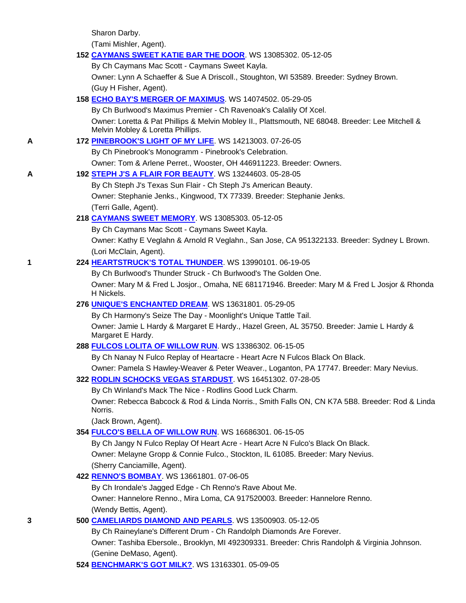Sharon Darby.

(Tami Mishler, Agent).

### **152 CAYMANS SWEET KATIE BAR THE DOOR**. WS 13085302. 05-12-05

By Ch Caymans Mac Scott - Caymans Sweet Kayla.

 Owner: Lynn A Schaeffer & Sue A Driscoll., Stoughton, WI 53589. Breeder: Sydney Brown. (Guy H Fisher, Agent).

# **158 ECHO BAY'S MERGER OF MAXIMUS**. WS 14074502. 05-29-05

 By Ch Burlwood's Maximus Premier - Ch Ravenoak's Calalily Of Xcel. Owner: Loretta & Pat Phillips & Melvin Mobley II., Plattsmouth, NE 68048. Breeder: Lee Mitchell & Melvin Mobley & Loretta Phillips.

# **A 172 PINEBROOK'S LIGHT OF MY LIFE**. WS 14213003. 07-26-05

By Ch Pinebrook's Monogramm - Pinebrook's Celebration.

Owner: Tom & Arlene Perret., Wooster, OH 446911223. Breeder: Owners.

# **A 192 STEPH J'S A FLAIR FOR BEAUTY**. WS 13244603. 05-28-05

 By Ch Steph J's Texas Sun Flair - Ch Steph J's American Beauty. Owner: Stephanie Jenks., Kingwood, TX 77339. Breeder: Stephanie Jenks. (Terri Galle, Agent).

# **218 CAYMANS SWEET MEMORY**. WS 13085303. 05-12-05

By Ch Caymans Mac Scott - Caymans Sweet Kayla.

 Owner: Kathy E Veglahn & Arnold R Veglahn., San Jose, CA 951322133. Breeder: Sydney L Brown. (Lori McClain, Agent).

# **1 224 HEARTSTRUCK'S TOTAL THUNDER**. WS 13990101. 06-19-05

By Ch Burlwood's Thunder Struck - Ch Burlwood's The Golden One.

 Owner: Mary M & Fred L Josjor., Omaha, NE 681171946. Breeder: Mary M & Fred L Josjor & Rhonda H Nickels.

# **276 UNIQUE'S ENCHANTED DREAM**. WS 13631801. 05-29-05

 By Ch Harmony's Seize The Day - Moonlight's Unique Tattle Tail. Owner: Jamie L Hardy & Margaret E Hardy., Hazel Green, AL 35750. Breeder: Jamie L Hardy & Margaret E Hardy.

# **288 FULCOS LOLITA OF WILLOW RUN**. WS 13386302. 06-15-05

By Ch Nanay N Fulco Replay of Heartacre - Heart Acre N Fulcos Black On Black.

Owner: Pamela S Hawley-Weaver & Peter Weaver., Loganton, PA 17747. Breeder: Mary Nevius.

# **322 RODLIN SCHOCKS VEGAS STARDUST**. WS 16451302. 07-28-05

By Ch Winland's Mack The Nice - Rodlins Good Luck Charm.

 Owner: Rebecca Babcock & Rod & Linda Norris., Smith Falls ON, CN K7A 5B8. Breeder: Rod & Linda Norris.

(Jack Brown, Agent).

# **354 FULCO'S BELLA OF WILLOW RUN**. WS 16686301. 06-15-05

 By Ch Jangy N Fulco Replay Of Heart Acre - Heart Acre N Fulco's Black On Black. Owner: Melayne Gropp & Connie Fulco., Stockton, IL 61085. Breeder: Mary Nevius. (Sherry Canciamille, Agent).

# **422 RENNO'S BOMBAY**. WS 13661801. 07-06-05

 By Ch Irondale's Jagged Edge - Ch Renno's Rave About Me. Owner: Hannelore Renno., Mira Loma, CA 917520003. Breeder: Hannelore Renno.

(Wendy Bettis, Agent).

# **3 500 CAMELIARDS DIAMOND AND PEARLS**. WS 13500903. 05-12-05

 By Ch Raineylane's Different Drum - Ch Randolph Diamonds Are Forever. Owner: Tashiba Ebersole., Brooklyn, MI 492309331. Breeder: Chris Randolph & Virginia Johnson. (Genine DeMaso, Agent).

# **524 BENCHMARK'S GOT MILK?**. WS 13163301. 05-09-05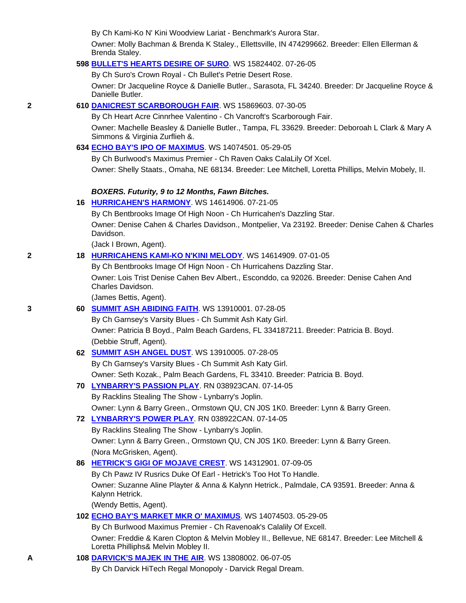By Ch Kami-Ko N' Kini Woodview Lariat - Benchmark's Aurora Star.

 Owner: Molly Bachman & Brenda K Staley., Ellettsville, IN 474299662. Breeder: Ellen Ellerman & Brenda Staley.

#### **598 BULLET'S HEARTS DESIRE OF SURO**. WS 15824402. 07-26-05

By Ch Suro's Crown Royal - Ch Bullet's Petrie Desert Rose.

 Owner: Dr Jacqueline Royce & Danielle Butler., Sarasota, FL 34240. Breeder: Dr Jacqueline Royce & Danielle Butler.

### **2 610 DANICREST SCARBOROUGH FAIR**. WS 15869603. 07-30-05

By Ch Heart Acre Cinnrhee Valentino - Ch Vancroft's Scarborough Fair.

 Owner: Machelle Beasley & Danielle Butler., Tampa, FL 33629. Breeder: Deboroah L Clark & Mary A Simmons & Virginia Zurflieh &.

### **634 ECHO BAY'S IPO OF MAXIMUS**. WS 14074501. 05-29-05

By Ch Burlwood's Maximus Premier - Ch Raven Oaks CalaLily Of Xcel.

Owner: Shelly Staats., Omaha, NE 68134. Breeder: Lee Mitchell, Loretta Phillips, Melvin Mobely, II.

#### *BOXERS. Futurity, 9 to 12 Months, Fawn Bitches.*

#### **16 HURRICAHEN'S HARMONY**. WS 14614906. 07-21-05

By Ch Bentbrooks Image Of High Noon - Ch Hurricahen's Dazzling Star.

 Owner: Denise Cahen & Charles Davidson., Montpelier, Va 23192. Breeder: Denise Cahen & Charles Davidson.

(Jack I Brown, Agent).

#### **2 18 HURRICAHENS KAMI-KO N'KINI MELODY**. WS 14614909. 07-01-05

 By Ch Bentbrooks Image Of Hign Noon - Ch Hurricahens Dazzling Star. Owner: Lois Trist Denise Cahen Bev Albert., Esconddo, ca 92026. Breeder: Denise Cahen And

Charles Davidson.

(James Bettis, Agent).

### **3 60 SUMMIT ASH ABIDING FAITH**. WS 13910001. 07-28-05

 By Ch Garnsey's Varsity Blues - Ch Summit Ash Katy Girl. Owner: Patricia B Boyd., Palm Beach Gardens, FL 334187211. Breeder: Patricia B. Boyd. (Debbie Struff, Agent).

# **62 SUMMIT ASH ANGEL DUST**. WS 13910005. 07-28-05

 By Ch Garnsey's Varsity Blues - Ch Summit Ash Katy Girl. Owner: Seth Kozak., Palm Beach Gardens, FL 33410. Breeder: Patricia B. Boyd.

#### **70 LYNBARRY'S PASSION PLAY**. RN 038923CAN. 07-14-05

By Racklins Stealing The Show - Lynbarry's Joplin.

Owner: Lynn & Barry Green., Ormstown QU, CN J0S 1K0. Breeder: Lynn & Barry Green.

**72 LYNBARRY'S POWER PLAY**. RN 038922CAN. 07-14-05

By Racklins Stealing The Show - Lynbarry's Joplin.

 Owner: Lynn & Barry Green., Ormstown QU, CN J0S 1K0. Breeder: Lynn & Barry Green. (Nora McGrisken, Agent).

#### **86 HETRICK'S GIGI OF MOJAVE CREST**. WS 14312901. 07-09-05

By Ch Pawz IV Rusrics Duke Of Earl - Hetrick's Too Hot To Handle.

 Owner: Suzanne Aline Playter & Anna & Kalynn Hetrick., Palmdale, CA 93591. Breeder: Anna & Kalynn Hetrick.

(Wendy Bettis, Agent).

**102 ECHO BAY'S MARKET MKR O' MAXIMUS**. WS 14074503. 05-29-05

By Ch Burlwood Maximus Premier - Ch Ravenoak's Calalily Of Excell.

 Owner: Freddie & Karen Clopton & Melvin Mobley II., Bellevue, NE 68147. Breeder: Lee Mitchell & Loretta Philliphs& Melvin Mobley II.

# **A 108 DARVICK'S MAJEK IN THE AIR**. WS 13808002. 06-07-05

By Ch Darvick HiTech Regal Monopoly - Darvick Regal Dream.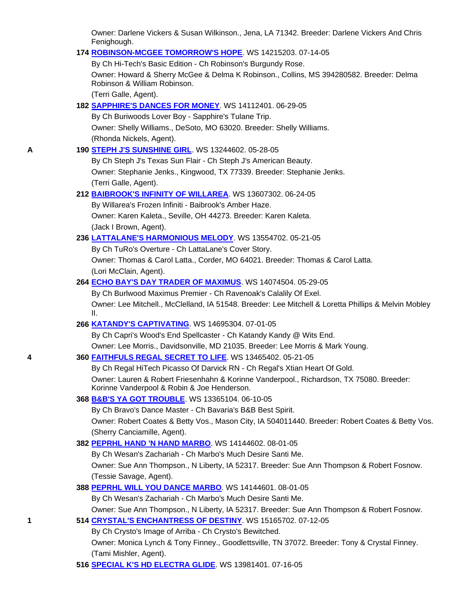Owner: Darlene Vickers & Susan Wilkinson., Jena, LA 71342. Breeder: Darlene Vickers And Chris Fenighough.

#### **174 ROBINSON-MCGEE TOMORROW'S HOPE**. WS 14215203. 07-14-05

 By Ch Hi-Tech's Basic Edition - Ch Robinson's Burgundy Rose. Owner: Howard & Sherry McGee & Delma K Robinson., Collins, MS 394280582. Breeder: Delma Robinson & William Robinson.

(Terri Galle, Agent).

**182 SAPPHIRE'S DANCES FOR MONEY**. WS 14112401. 06-29-05

 By Ch Buriwoods Lover Boy - Sapphire's Tulane Trip. Owner: Shelly Williams., DeSoto, MO 63020. Breeder: Shelly Williams. (Rhonda Nickels, Agent).

# **A 190 STEPH J'S SUNSHINE GIRL**. WS 13244602. 05-28-05

 By Ch Steph J's Texas Sun Flair - Ch Steph J's American Beauty. Owner: Stephanie Jenks., Kingwood, TX 77339. Breeder: Stephanie Jenks. (Terri Galle, Agent).

### **212 BAIBROOK'S INFINITY OF WILLAREA**. WS 13607302. 06-24-05

 By Willarea's Frozen Infiniti - Baibrook's Amber Haze. Owner: Karen Kaleta., Seville, OH 44273. Breeder: Karen Kaleta. (Jack I Brown, Agent).

### **236 LATTALANE'S HARMONIOUS MELODY**. WS 13554702. 05-21-05

 By Ch TuRo's Overture - Ch LattaLane's Cover Story. Owner: Thomas & Carol Latta., Corder, MO 64021. Breeder: Thomas & Carol Latta. (Lori McClain, Agent).

### **264 ECHO BAY'S DAY TRADER OF MAXIMUS**. WS 14074504. 05-29-05

 By Ch Burlwood Maximus Premier - Ch Ravenoak's Calalily Of Exel. Owner: Lee Mitchell., McClelland, IA 51548. Breeder: Lee Mitchell & Loretta Phillips & Melvin Mobley II.

# **266 KATANDY'S CAPTIVATING**. WS 14695304. 07-01-05

 By Ch Capri's Wood's End Spellcaster - Ch Katandy Kandy @ Wits End. Owner: Lee Morris., Davidsonville, MD 21035. Breeder: Lee Morris & Mark Young.

# **4 360 FAITHFULS REGAL SECRET TO LIFE**. WS 13465402. 05-21-05

 By Ch Regal HiTech Picasso Of Darvick RN - Ch Regal's Xtian Heart Of Gold. Owner: Lauren & Robert Friesenhahn & Korinne Vanderpool., Richardson, TX 75080. Breeder: Korinne Vanderpool & Robin & Joe Henderson.

# **368 B&B'S YA GOT TROUBLE**. WS 13365104. 06-10-05

By Ch Bravo's Dance Master - Ch Bavaria's B&B Best Spirit.

 Owner: Robert Coates & Betty Vos., Mason City, IA 504011440. Breeder: Robert Coates & Betty Vos. (Sherry Canciamille, Agent).

# **382 PEPRHL HAND 'N HAND MARBO**. WS 14144602. 08-01-05

By Ch Wesan's Zachariah - Ch Marbo's Much Desire Santi Me.

 Owner: Sue Ann Thompson., N Liberty, IA 52317. Breeder: Sue Ann Thompson & Robert Fosnow. (Tessie Savage, Agent).

# **388 PEPRHL WILL YOU DANCE MARBO**. WS 14144601. 08-01-05

By Ch Wesan's Zachariah - Ch Marbo's Much Desire Santi Me.

Owner: Sue Ann Thompson., N Liberty, IA 52317. Breeder: Sue Ann Thompson & Robert Fosnow.

# **1 514 CRYSTAL'S ENCHANTRESS OF DESTINY**. WS 15165702. 07-12-05

By Ch Crysto's Image of Arriba - Ch Crysto's Bewitched.

 Owner: Monica Lynch & Tony Finney., Goodlettsville, TN 37072. Breeder: Tony & Crystal Finney. (Tami Mishler, Agent).

# **516 SPECIAL K'S HD ELECTRA GLIDE**. WS 13981401. 07-16-05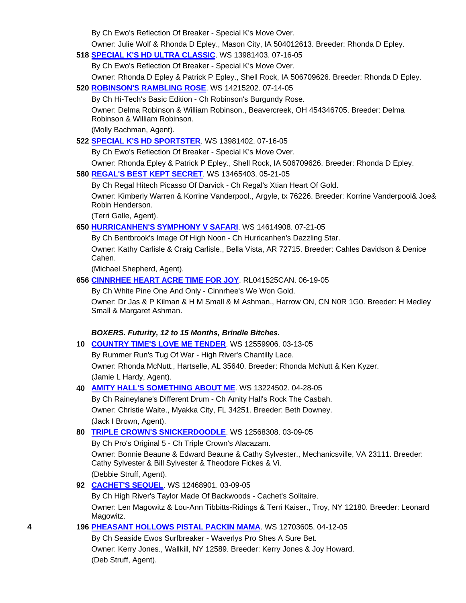By Ch Ewo's Reflection Of Breaker - Special K's Move Over.

Owner: Julie Wolf & Rhonda D Epley., Mason City, IA 504012613. Breeder: Rhonda D Epley.

**518 SPECIAL K'S HD ULTRA CLASSIC**. WS 13981403. 07-16-05

By Ch Ewo's Reflection Of Breaker - Special K's Move Over.

Owner: Rhonda D Epley & Patrick P Epley., Shell Rock, IA 506709626. Breeder: Rhonda D Epley.

**520 ROBINSON'S RAMBLING ROSE**. WS 14215202. 07-14-05

By Ch Hi-Tech's Basic Edition - Ch Robinson's Burgundy Rose.

 Owner: Delma Robinson & William Robinson., Beavercreek, OH 454346705. Breeder: Delma Robinson & William Robinson.

(Molly Bachman, Agent).

**522 SPECIAL K'S HD SPORTSTER**. WS 13981402. 07-16-05

By Ch Ewo's Reflection Of Breaker - Special K's Move Over.

Owner: Rhonda Epley & Patrick P Epley., Shell Rock, IA 506709626. Breeder: Rhonda D Epley.

# **580 REGAL'S BEST KEPT SECRET**. WS 13465403. 05-21-05

By Ch Regal Hitech Picasso Of Darvick - Ch Regal's Xtian Heart Of Gold.

 Owner: Kimberly Warren & Korrine Vanderpool., Argyle, tx 76226. Breeder: Korrine Vanderpool& Joe& Robin Henderson.

(Terri Galle, Agent).

# **650 HURRICANHEN'S SYMPHONY V SAFARI**. WS 14614908. 07-21-05

By Ch Bentbrook's Image Of High Noon - Ch Hurricanhen's Dazzling Star.

 Owner: Kathy Carlisle & Craig Carlisle., Bella Vista, AR 72715. Breeder: Cahles Davidson & Denice Cahen.

(Michael Shepherd, Agent).

# **656 CINNRHEE HEART ACRE TIME FOR JOY**. RL041525CAN. 06-19-05

By Ch White Pine One And Only - Cinnrhee's We Won Gold.

 Owner: Dr Jas & P Kilman & H M Small & M Ashman., Harrow ON, CN N0R 1G0. Breeder: H Medley Small & Margaret Ashman.

# *BOXERS. Futurity, 12 to 15 Months, Brindle Bitches.*

- **10 COUNTRY TIME'S LOVE ME TENDER**. WS 12559906. 03-13-05 By Rummer Run's Tug Of War - High River's Chantilly Lace. Owner: Rhonda McNutt., Hartselle, AL 35640. Breeder: Rhonda McNutt & Ken Kyzer. (Jamie L Hardy, Agent).
- **40 AMITY HALL'S SOMETHING ABOUT ME**. WS 13224502. 04-28-05

 By Ch Raineylane's Different Drum - Ch Amity Hall's Rock The Casbah. Owner: Christie Waite., Myakka City, FL 34251. Breeder: Beth Downey. (Jack I Brown, Agent).

# **80 TRIPLE CROWN'S SNICKERDOODLE**. WS 12568308. 03-09-05

 By Ch Pro's Original 5 - Ch Triple Crown's Alacazam. Owner: Bonnie Beaune & Edward Beaune & Cathy Sylvester., Mechanicsville, VA 23111. Breeder: Cathy Sylvester & Bill Sylvester & Theodore Fickes & Vi. (Debbie Struff, Agent).

# **92 CACHET'S SEQUEL**. WS 12468901. 03-09-05

 By Ch High River's Taylor Made Of Backwoods - Cachet's Solitaire. Owner: Len Magowitz & Lou-Ann Tibbitts-Ridings & Terri Kaiser., Troy, NY 12180. Breeder: Leonard Magowitz.

# **4 196 PHEASANT HOLLOWS PISTAL PACKIN MAMA**. WS 12703605. 04-12-05

 By Ch Seaside Ewos Surfbreaker - Waverlys Pro Shes A Sure Bet. Owner: Kerry Jones., Wallkill, NY 12589. Breeder: Kerry Jones & Joy Howard. (Deb Struff, Agent).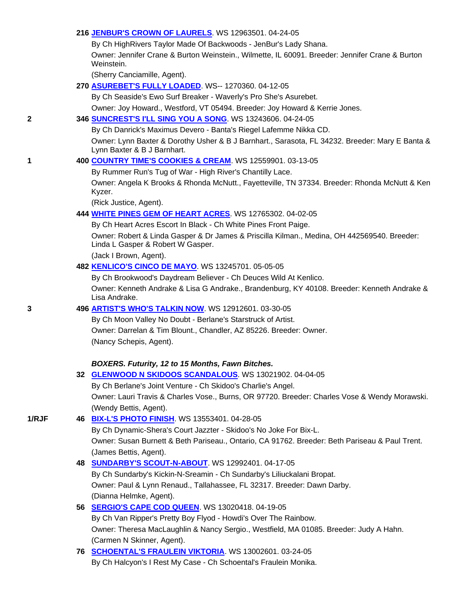### **216 JENBUR'S CROWN OF LAURELS**. WS 12963501. 04-24-05

By Ch HighRivers Taylor Made Of Backwoods - JenBur's Lady Shana.

 Owner: Jennifer Crane & Burton Weinstein., Wilmette, IL 60091. Breeder: Jennifer Crane & Burton Weinstein.

(Sherry Canciamille, Agent).

**270 ASUREBET'S FULLY LOADED**. WS-- 1270360. 04-12-05

By Ch Seaside's Ewo Surf Breaker - Waverly's Pro She's Asurebet.

Owner: Joy Howard., Westford, VT 05494. Breeder: Joy Howard & Kerrie Jones.

### **2 346 SUNCREST'S I'LL SING YOU A SONG**. WS 13243606. 04-24-05

By Ch Danrick's Maximus Devero - Banta's Riegel Lafemme Nikka CD.

 Owner: Lynn Baxter & Dorothy Usher & B J Barnhart., Sarasota, FL 34232. Breeder: Mary E Banta & Lynn Baxter & B J Barnhart.

# **1 400 COUNTRY TIME'S COOKIES & CREAM**. WS 12559901. 03-13-05

By Rummer Run's Tug of War - High River's Chantilly Lace.

 Owner: Angela K Brooks & Rhonda McNutt., Fayetteville, TN 37334. Breeder: Rhonda McNutt & Ken Kyzer.

(Rick Justice, Agent).

### **444 WHITE PINES GEM OF HEART ACRES**. WS 12765302. 04-02-05

By Ch Heart Acres Escort In Black - Ch White Pines Front Paige.

 Owner: Robert & Linda Gasper & Dr James & Priscilla Kilman., Medina, OH 442569540. Breeder: Linda L Gasper & Robert W Gasper.

(Jack I Brown, Agent).

#### **482 KENLICO'S CINCO DE MAYO**. WS 13245701. 05-05-05

By Ch Brookwood's Daydream Believer - Ch Deuces Wild At Kenlico.

 Owner: Kenneth Andrake & Lisa G Andrake., Brandenburg, KY 40108. Breeder: Kenneth Andrake & Lisa Andrake.

#### **3 496 ARTIST'S WHO'S TALKIN NOW**. WS 12912601. 03-30-05

 By Ch Moon Valley No Doubt - Berlane's Starstruck of Artist. Owner: Darrelan & Tim Blount., Chandler, AZ 85226. Breeder: Owner. (Nancy Schepis, Agent).

#### *BOXERS. Futurity, 12 to 15 Months, Fawn Bitches.*

**32 GLENWOOD N SKIDOOS SCANDALOUS**. WS 13021902. 04-04-05

 By Ch Berlane's Joint Venture - Ch Skidoo's Charlie's Angel. Owner: Lauri Travis & Charles Vose., Burns, OR 97720. Breeder: Charles Vose & Wendy Morawski. (Wendy Bettis, Agent).

### **1/RJF 46 BIX-L'S PHOTO FINISH**. WS 13553401. 04-28-05

 By Ch Dynamic-Shera's Court Jazzter - Skidoo's No Joke For Bix-L. Owner: Susan Burnett & Beth Pariseau., Ontario, CA 91762. Breeder: Beth Pariseau & Paul Trent. (James Bettis, Agent).

### **48 SUNDARBY'S SCOUT-N-ABOUT**. WS 12992401. 04-17-05 By Ch Sundarby's Kickin-N-Sreamin - Ch Sundarby's Liliuckalani Bropat.

 Owner: Paul & Lynn Renaud., Tallahassee, FL 32317. Breeder: Dawn Darby. (Dianna Helmke, Agent).

# **56 SERGIO'S CAPE COD QUEEN**. WS 13020418. 04-19-05

 By Ch Van Ripper's Pretty Boy Flyod - Howdi's Over The Rainbow. Owner: Theresa MacLaughlin & Nancy Sergio., Westfield, MA 01085. Breeder: Judy A Hahn. (Carmen N Skinner, Agent).

 **76 SCHOENTAL'S FRAULEIN VIKTORIA**. WS 13002601. 03-24-05 By Ch Halcyon's I Rest My Case - Ch Schoental's Fraulein Monika.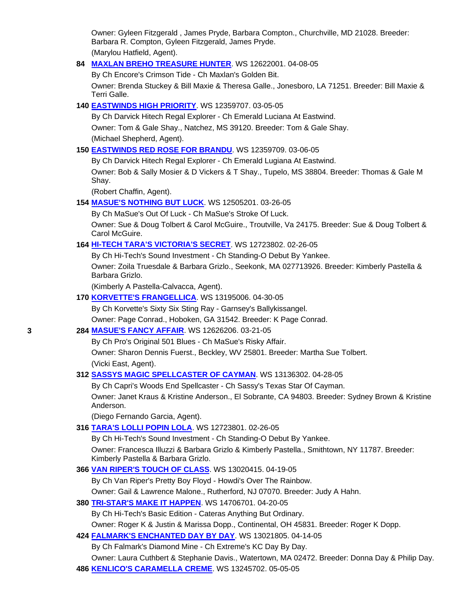Owner: Gyleen Fitzgerald , James Pryde, Barbara Compton., Churchville, MD 21028. Breeder: Barbara R. Compton, Gyleen Fitzgerald, James Pryde. (Marylou Hatfield, Agent).

**84 MAXLAN BREHO TREASURE HUNTER**. WS 12622001. 04-08-05

By Ch Encore's Crimson Tide - Ch Maxlan's Golden Bit.

 Owner: Brenda Stuckey & Bill Maxie & Theresa Galle., Jonesboro, LA 71251. Breeder: Bill Maxie & Terri Galle.

# **140 EASTWINDS HIGH PRIORITY**. WS 12359707. 03-05-05

 By Ch Darvick Hitech Regal Explorer - Ch Emerald Luciana At Eastwind. Owner: Tom & Gale Shay., Natchez, MS 39120. Breeder: Tom & Gale Shay. (Michael Shepherd, Agent).

# **150 EASTWINDS RED ROSE FOR BRANDU**. WS 12359709. 03-06-05

By Ch Darvick Hitech Regal Explorer - Ch Emerald Lugiana At Eastwind.

 Owner: Bob & Sally Mosier & D Vickers & T Shay., Tupelo, MS 38804. Breeder: Thomas & Gale M Shay.

(Robert Chaffin, Agent).

# **154 MASUE'S NOTHING BUT LUCK**. WS 12505201. 03-26-05

By Ch MaSue's Out Of Luck - Ch MaSue's Stroke Of Luck.

 Owner: Sue & Doug Tolbert & Carol McGuire., Troutville, Va 24175. Breeder: Sue & Doug Tolbert & Carol McGuire.

# **164 HI-TECH TARA'S VICTORIA'S SECRET**. WS 12723802. 02-26-05

By Ch Hi-Tech's Sound Investment - Ch Standing-O Debut By Yankee.

 Owner: Zoila Truesdale & Barbara Grizlo., Seekonk, MA 027713926. Breeder: Kimberly Pastella & Barbara Grizlo.

(Kimberly A Pastella-Calvacca, Agent).

# **170 KORVETTE'S FRANGELLICA**. WS 13195006. 04-30-05

By Ch Korvette's Sixty Six Sting Ray - Garnsey's Ballykissangel.

Owner: Page Conrad., Hoboken, GA 31542. Breeder: K Page Conrad.

# **3 284 MASUE'S FANCY AFFAIR**. WS 12626206. 03-21-05

By Ch Pro's Original 501 Blues - Ch MaSue's Risky Affair.

 Owner: Sharon Dennis Fuerst., Beckley, WV 25801. Breeder: Martha Sue Tolbert. (Vicki East, Agent).

# **312 SASSYS MAGIC SPELLCASTER OF CAYMAN**. WS 13136302. 04-28-05

By Ch Capri's Woods End Spellcaster - Ch Sassy's Texas Star Of Cayman.

 Owner: Janet Kraus & Kristine Anderson., El Sobrante, CA 94803. Breeder: Sydney Brown & Kristine Anderson.

(Diego Fernando Garcia, Agent).

# **316 TARA'S LOLLI POPIN LOLA**. WS 12723801. 02-26-05

By Ch Hi-Tech's Sound Investment - Ch Standing-O Debut By Yankee.

 Owner: Francesca Illuzzi & Barbara Grizlo & Kimberly Pastella., Smithtown, NY 11787. Breeder: Kimberly Pastella & Barbara Grizlo.

**366 VAN RIPER'S TOUCH OF CLASS**. WS 13020415. 04-19-05

By Ch Van Riper's Pretty Boy Floyd - Howdi's Over The Rainbow.

Owner: Gail & Lawrence Malone., Rutherford, NJ 07070. Breeder: Judy A Hahn.

**380 TRI-STAR'S MAKE IT HAPPEN**. WS 14706701. 04-20-05

By Ch Hi-Tech's Basic Edition - Cateras Anything But Ordinary.

Owner: Roger K & Justin & Marissa Dopp., Continental, OH 45831. Breeder: Roger K Dopp.

# **424 FALMARK'S ENCHANTED DAY BY DAY**. WS 13021805. 04-14-05

By Ch Falmark's Diamond Mine - Ch Extreme's KC Day By Day.

Owner: Laura Cuthbert & Stephanie Davis., Watertown, MA 02472. Breeder: Donna Day & Philip Day.

**486 KENLICO'S CARAMELLA CREME**. WS 13245702. 05-05-05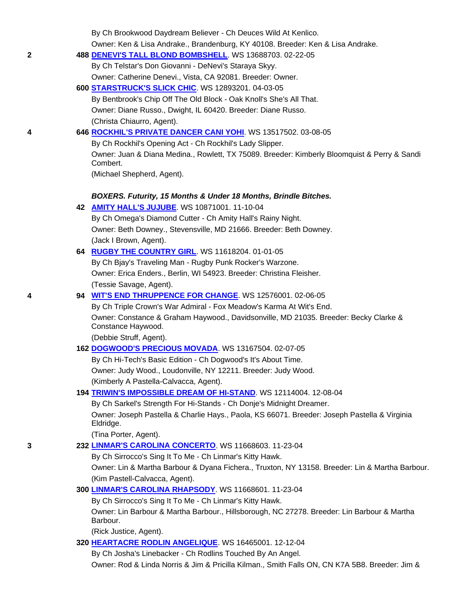|   | By Ch Brookwood Daydream Believer - Ch Deuces Wild At Kenlico.                                           |
|---|----------------------------------------------------------------------------------------------------------|
|   | Owner: Ken & Lisa Andrake., Brandenburg, KY 40108. Breeder: Ken & Lisa Andrake.                          |
| 2 | 488 DENEVI'S TALL BLOND BOMBSHELL. WS 13688703. 02-22-05                                                 |
|   | By Ch Telstar's Don Giovanni - DeNevi's Staraya Skyy.                                                    |
|   | Owner: Catherine Denevi., Vista, CA 92081. Breeder: Owner.                                               |
|   | 600 STARSTRUCK'S SLICK CHIC. WS 12893201. 04-03-05                                                       |
|   | By Bentbrook's Chip Off The Old Block - Oak Knoll's She's All That.                                      |
|   | Owner: Diane Russo., Dwight, IL 60420. Breeder: Diane Russo.                                             |
|   | (Christa Chiaurro, Agent).                                                                               |
| 4 | 646 ROCKHIL'S PRIVATE DANCER CANI YOHI. WS 13517502. 03-08-05                                            |
|   | By Ch Rockhil's Opening Act - Ch Rockhil's Lady Slipper.                                                 |
|   | Owner: Juan & Diana Medina., Rowlett, TX 75089. Breeder: Kimberly Bloomquist & Perry & Sandi<br>Combert. |
|   | (Michael Shepherd, Agent).                                                                               |
|   |                                                                                                          |
|   | BOXERS. Futurity, 15 Months & Under 18 Months, Brindle Bitches.                                          |
|   | 42 AMITY HALL'S JUJUBE. WS 10871001. 11-10-04                                                            |
|   | By Ch Omega's Diamond Cutter - Ch Amity Hall's Rainy Night.                                              |
|   | Owner: Beth Downey., Stevensville, MD 21666. Breeder: Beth Downey.                                       |
|   | (Jack I Brown, Agent).                                                                                   |
|   | 64 RUGBY THE COUNTRY GIRL. WS 11618204. 01-01-05                                                         |
|   | By Ch Bjay's Traveling Man - Rugby Punk Rocker's Warzone.                                                |
|   | Owner: Erica Enders., Berlin, WI 54923. Breeder: Christina Fleisher.                                     |
|   | (Tessie Savage, Agent).                                                                                  |
| 4 | 94 WIT'S END THRUPPENCE FOR CHANGE. WS 12576001. 02-06-05                                                |
|   | By Ch Triple Crown's War Admiral - Fox Meadow's Karma At Wit's End.                                      |
|   | Owner: Constance & Graham Haywood., Davidsonville, MD 21035. Breeder: Becky Clarke &                     |
|   | Constance Haywood.                                                                                       |
|   | (Debbie Struff, Agent).                                                                                  |
|   | 162 DOGWOOD'S PRECIOUS MOVADA. WS 13167504. 02-07-05                                                     |
|   | By Ch Hi-Tech's Basic Edition - Ch Dogwood's It's About Time.                                            |
|   | Owner: Judy Wood., Loudonville, NY 12211. Breeder: Judy Wood.                                            |
|   | (Kimberly A Pastella-Calvacca, Agent).                                                                   |
|   | 194 TRIWIN'S IMPOSSIBLE DREAM OF HI-STAND. WS 12114004. 12-08-04                                         |
|   | By Ch Sarkel's Strength For Hi-Stands - Ch Donje's Midnight Dreamer.                                     |
|   | Owner: Joseph Pastella & Charlie Hays., Paola, KS 66071. Breeder: Joseph Pastella & Virginia             |
|   | Eldridge.                                                                                                |
|   | (Tina Porter, Agent).                                                                                    |
| 3 | 232 LINMAR'S CAROLINA CONCERTO. WS 11668603. 11-23-04                                                    |
|   | By Ch Sirrocco's Sing It To Me - Ch Linmar's Kitty Hawk.                                                 |
|   | Owner: Lin & Martha Barbour & Dyana Fichera., Truxton, NY 13158. Breeder: Lin & Martha Barbour.          |
|   | (Kim Pastell-Calvacca, Agent).                                                                           |
|   | 300 LINMAR'S CAROLINA RHAPSODY. WS 11668601. 11-23-04                                                    |
|   | By Ch Sirrocco's Sing It To Me - Ch Linmar's Kitty Hawk.                                                 |
|   | Owner: Lin Barbour & Martha Barbour., Hillsborough, NC 27278. Breeder: Lin Barbour & Martha              |
|   | Barbour.                                                                                                 |
|   | (Rick Justice, Agent).                                                                                   |
|   | 320 HEARTACRE RODLIN ANGELIQUE. WS 16465001. 12-12-04                                                    |
|   | By Ch Josha's Linebacker - Ch Rodlins Touched By An Angel.                                               |
|   | Owner: Rod & Linda Norris & Jim & Pricilla Kilman., Smith Falls ON, CN K7A 5B8. Breeder: Jim &           |
|   |                                                                                                          |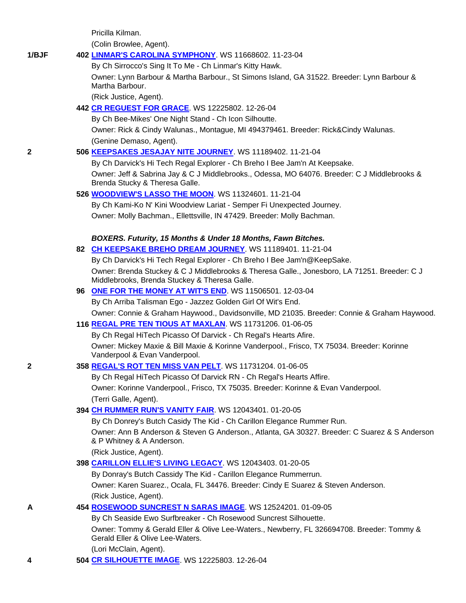Pricilla Kilman.

(Colin Browlee, Agent).

### **1/BJF 402 LINMAR'S CAROLINA SYMPHONY**. WS 11668602. 11-23-04

By Ch Sirrocco's Sing It To Me - Ch Linmar's Kitty Hawk.

 Owner: Lynn Barbour & Martha Barbour., St Simons Island, GA 31522. Breeder: Lynn Barbour & Martha Barbour.

(Rick Justice, Agent).

# **442 CR REGUEST FOR GRACE**. WS 12225802. 12-26-04

By Ch Bee-Mikes' One Night Stand - Ch Icon Silhoutte.

 Owner: Rick & Cindy Walunas., Montague, MI 494379461. Breeder: Rick&Cindy Walunas. (Genine Demaso, Agent).

# **2 506 KEEPSAKES JESAJAY NITE JOURNEY**. WS 11189402. 11-21-04

By Ch Darvick's Hi Tech Regal Explorer - Ch Breho I Bee Jam'n At Keepsake.

 Owner: Jeff & Sabrina Jay & C J Middlebrooks., Odessa, MO 64076. Breeder: C J Middlebrooks & Brenda Stucky & Theresa Galle.

### **526 WOODVIEW'S LASSO THE MOON**. WS 11324601. 11-21-04

 By Ch Kami-Ko N' Kini Woodview Lariat - Semper Fi Unexpected Journey. Owner: Molly Bachman., Ellettsville, IN 47429. Breeder: Molly Bachman.

### *BOXERS. Futurity, 15 Months & Under 18 Months, Fawn Bitches.*

# **82 CH KEEPSAKE BREHO DREAM JOURNEY**. WS 11189401. 11-21-04

 By Ch Darvick's Hi Tech Regal Explorer - Ch Breho I Bee Jam'n@KeepSake. Owner: Brenda Stuckey & C J Middlebrooks & Theresa Galle., Jonesboro, LA 71251. Breeder: C J Middlebrooks, Brenda Stuckey & Theresa Galle.

# **96 ONE FOR THE MONEY AT WIT'S END**. WS 11506501. 12-03-04

By Ch Arriba Talisman Ego - Jazzez Golden Girl Of Wit's End.

Owner: Connie & Graham Haywood., Davidsonville, MD 21035. Breeder: Connie & Graham Haywood.

# **116 REGAL PRE TEN TIOUS AT MAXLAN**. WS 11731206. 01-06-05

 By Ch Regal HiTech Picasso Of Darvick - Ch Regal's Hearts Afire. Owner: Mickey Maxie & Bill Maxie & Korinne Vanderpool., Frisco, TX 75034. Breeder: Korinne Vanderpool & Evan Vanderpool.

### **2 358 REGAL'S ROT TEN MISS VAN PELT**. WS 11731204. 01-06-05

 By Ch Regal HiTech Picasso Of Darvick RN - Ch Regal's Hearts Affire. Owner: Korinne Vanderpool., Frisco, TX 75035. Breeder: Korinne & Evan Vanderpool. (Terri Galle, Agent).

# **394 CH RUMMER RUN'S VANITY FAIR**. WS 12043401. 01-20-05

By Ch Donrey's Butch Casidy The Kid - Ch Carillon Elegance Rummer Run.

 Owner: Ann B Anderson & Steven G Anderson., Atlanta, GA 30327. Breeder: C Suarez & S Anderson & P Whitney & A Anderson.

(Rick Justice, Agent).

# **398 CARILLON ELLIE'S LIVING LEGACY**. WS 12043403. 01-20-05

By Donray's Butch Cassidy The Kid - Carillon Elegance Rummerrun.

 Owner: Karen Suarez., Ocala, FL 34476. Breeder: Cindy E Suarez & Steven Anderson. (Rick Justice, Agent).

# **A 454 ROSEWOOD SUNCREST N SARAS IMAGE**. WS 12524201. 01-09-05

 By Ch Seaside Ewo Surfbreaker - Ch Rosewood Suncrest Silhouette. Owner: Tommy & Gerald Eller & Olive Lee-Waters., Newberry, FL 326694708. Breeder: Tommy & Gerald Eller & Olive Lee-Waters.

(Lori McClain, Agent).

#### **4 504 CR SILHOUETTE IMAGE**. WS 12225803. 12-26-04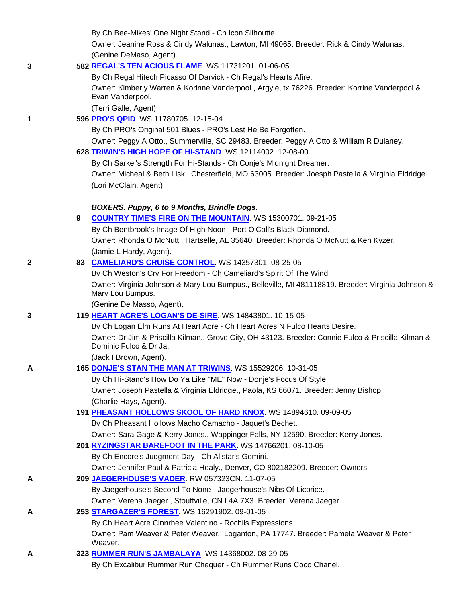|   |   | By Ch Bee-Mikes' One Night Stand - Ch Icon Silhoutte.                                                                 |
|---|---|-----------------------------------------------------------------------------------------------------------------------|
|   |   | Owner: Jeanine Ross & Cindy Walunas., Lawton, MI 49065. Breeder: Rick & Cindy Walunas.                                |
|   |   | (Genine DeMaso, Agent).                                                                                               |
| 3 |   | 582 REGAL'S TEN ACIOUS FLAME. WS 11731201. 01-06-05                                                                   |
|   |   | By Ch Regal Hitech Picasso Of Darvick - Ch Regal's Hearts Afire.                                                      |
|   |   | Owner: Kimberly Warren & Korinne Vanderpool., Argyle, tx 76226. Breeder: Korrine Vanderpool &                         |
|   |   | Evan Vanderpool.                                                                                                      |
|   |   | (Terri Galle, Agent).                                                                                                 |
| 1 |   | 596 PRO'S QPID. WS 11780705. 12-15-04                                                                                 |
|   |   | By Ch PRO's Original 501 Blues - PRO's Lest He Be Forgotten.                                                          |
|   |   | Owner: Peggy A Otto., Summerville, SC 29483. Breeder: Peggy A Otto & William R Dulaney.                               |
|   |   | 628 TRIWIN'S HIGH HOPE OF HI-STAND. WS 12114002. 12-08-00                                                             |
|   |   | By Ch Sarkel's Strength For Hi-Stands - Ch Conje's Midnight Dreamer.                                                  |
|   |   | Owner: Micheal & Beth Lisk., Chesterfield, MO 63005. Breeder: Joesph Pastella & Virginia Eldridge.                    |
|   |   | (Lori McClain, Agent).                                                                                                |
|   |   |                                                                                                                       |
|   |   | BOXERS. Puppy, 6 to 9 Months, Brindle Dogs.                                                                           |
|   | 9 | <b>COUNTRY TIME'S FIRE ON THE MOUNTAIN. WS 15300701. 09-21-05</b>                                                     |
|   |   | By Ch Bentbrook's Image Of High Noon - Port O'Call's Black Diamond.                                                   |
|   |   | Owner: Rhonda O McNutt., Hartselle, AL 35640. Breeder: Rhonda O McNutt & Ken Kyzer.                                   |
|   |   | (Jamie L Hardy, Agent).                                                                                               |
| 2 |   | 83 CAMELIARD'S CRUISE CONTROL. WS 14357301. 08-25-05                                                                  |
|   |   | By Ch Weston's Cry For Freedom - Ch Cameliard's Spirit Of The Wind.                                                   |
|   |   | Owner: Virginia Johnson & Mary Lou Bumpus., Belleville, MI 481118819. Breeder: Virginia Johnson &<br>Mary Lou Bumpus. |
|   |   | (Genine De Masso, Agent).                                                                                             |
| 3 |   | 119 HEART ACRE'S LOGAN'S DE-SIRE. WS 14843801. 10-15-05                                                               |
|   |   | By Ch Logan Elm Runs At Heart Acre - Ch Heart Acres N Fulco Hearts Desire.                                            |
|   |   | Owner: Dr Jim & Priscilla Kilman., Grove City, OH 43123. Breeder: Connie Fulco & Priscilla Kilman &                   |
|   |   | Dominic Fulco & Dr Ja.                                                                                                |
|   |   | (Jack I Brown, Agent).                                                                                                |
| Α |   | 165 DONJE'S STAN THE MAN AT TRIWINS. WS 15529206. 10-31-05                                                            |
|   |   | By Ch Hi-Stand's How Do Ya Like "ME" Now - Donje's Focus Of Style.                                                    |
|   |   | Owner: Joseph Pastella & Virginia Eldridge., Paola, KS 66071. Breeder: Jenny Bishop.                                  |
|   |   | (Charlie Hays, Agent).                                                                                                |
|   |   | 191 PHEASANT HOLLOWS SKOOL OF HARD KNOX. WS 14894610. 09-09-05                                                        |
|   |   | By Ch Pheasant Hollows Macho Camacho - Jaquet's Bechet.                                                               |
|   |   | Owner: Sara Gage & Kerry Jones., Wappinger Falls, NY 12590. Breeder: Kerry Jones.                                     |
|   |   | 201 RYZINGSTAR BAREFOOT IN THE PARK. WS 14766201. 08-10-05                                                            |
|   |   | By Ch Encore's Judgment Day - Ch Allstar's Gemini.                                                                    |
|   |   | Owner: Jennifer Paul & Patricia Healy., Denver, CO 802182209. Breeder: Owners.                                        |
| A |   | 209 JAEGERHOUSE'S VADER. RW 057323CN. 11-07-05                                                                        |
|   |   | By Jaegerhouse's Second To None - Jaegerhouse's Nibs Of Licorice.                                                     |
|   |   | Owner: Verena Jaeger., Stouffville, CN L4A 7X3. Breeder: Verena Jaeger.                                               |
| Α |   | 253 STARGAZER'S FOREST. WS 16291902. 09-01-05                                                                         |
|   |   | By Ch Heart Acre Cinnrhee Valentino - Rochils Expressions.                                                            |
|   |   | Owner: Pam Weaver & Peter Weaver., Loganton, PA 17747. Breeder: Pamela Weaver & Peter                                 |
|   |   | Weaver.<br>323 RUMMER RUN'S JAMBALAYA. WS 14368002. 08-29-05                                                          |
| A |   |                                                                                                                       |
|   |   | By Ch Excalibur Rummer Run Chequer - Ch Rummer Runs Coco Chanel.                                                      |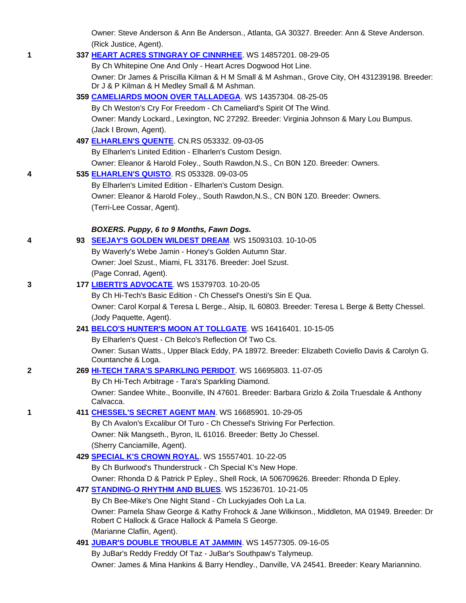Owner: Steve Anderson & Ann Be Anderson., Atlanta, GA 30327. Breeder: Ann & Steve Anderson. (Rick Justice, Agent).

### **1 337 HEART ACRES STINGRAY OF CINNRHEE**. WS 14857201. 08-29-05

By Ch Whitepine One And Only - Heart Acres Dogwood Hot Line.

 Owner: Dr James & Priscilla Kilman & H M Small & M Ashman., Grove City, OH 431239198. Breeder: Dr J & P Kilman & H Medley Small & M Ashman.

### **359 CAMELIARDS MOON OVER TALLADEGA**. WS 14357304. 08-25-05

 By Ch Weston's Cry For Freedom - Ch Cameliard's Spirit Of The Wind. Owner: Mandy Lockard., Lexington, NC 27292. Breeder: Virginia Johnson & Mary Lou Bumpus.

(Jack I Brown, Agent).

# **497 ELHARLEN'S QUENTE**. CN.RS 053332. 09-03-05

By Elharlen's Linited Edition - Elharlen's Custom Design.

Owner: Eleanor & Harold Foley., South Rawdon,N.S., Cn B0N 1Z0. Breeder: Owners.

### **4 535 ELHARLEN'S QUISTO**. RS 053328. 09-03-05

 By Elharlen's Limited Edition - Elharlen's Custom Design. Owner: Eleanor & Harold Foley., South Rawdon,N.S., CN B0N 1Z0. Breeder: Owners.

(Terri-Lee Cossar, Agent).

# *BOXERS. Puppy, 6 to 9 Months, Fawn Dogs.*

| 4 | 93 SEEJAY'S GOLDEN WILDEST DREAM. WS 15093103. 10-10-05   |
|---|-----------------------------------------------------------|
|   | By Waverly's Webe Jamin - Honey's Golden Autumn Star.     |
|   | Owner: Joel Szust., Miami, FL 33176. Breeder: Joel Szust. |
|   | (Page Conrad, Agent).                                     |

# **3 177 LIBERTI'S ADVOCATE**. WS 15379703. 10-20-05

By Ch Hi-Tech's Basic Edition - Ch Chessel's Onesti's Sin E Qua.

 Owner: Carol Korpal & Teresa L Berge., Alsip, IL 60803. Breeder: Teresa L Berge & Betty Chessel. (Jody Paquette, Agent).

# **241 BELCO'S HUNTER'S MOON AT TOLLGATE**. WS 16416401. 10-15-05

 By Elharlen's Quest - Ch Belco's Reflection Of Two Cs. Owner: Susan Watts., Upper Black Eddy, PA 18972. Breeder: Elizabeth Coviello Davis & Carolyn G. Countanche & Loga.

# **2 269 HI-TECH TARA'S SPARKLING PERIDOT**. WS 16695803. 11-07-05

 By Ch Hi-Tech Arbitrage - Tara's Sparkling Diamond. Owner: Sandee White., Boonville, IN 47601. Breeder: Barbara Grizlo & Zoila Truesdale & Anthony Calvacca.

# **1 411 CHESSEL'S SECRET AGENT MAN**. WS 16685901. 10-29-05

 By Ch Avalon's Excalibur Of Turo - Ch Chessel's Striving For Perfection. Owner: Nik Mangseth., Byron, IL 61016. Breeder: Betty Jo Chessel. (Sherry Canciamille, Agent).

# **429 SPECIAL K'S CROWN ROYAL**. WS 15557401. 10-22-05

By Ch Burlwood's Thunderstruck - Ch Special K's New Hope.

Owner: Rhonda D & Patrick P Epley., Shell Rock, IA 506709626. Breeder: Rhonda D Epley.

# **477 STANDING-O RHYTHM AND BLUES**. WS 15236701. 10-21-05

By Ch Bee-Mike's One Night Stand - Ch Luckyjades Ooh La La.

 Owner: Pamela Shaw George & Kathy Frohock & Jane Wilkinson., Middleton, MA 01949. Breeder: Dr Robert C Hallock & Grace Hallock & Pamela S George.

(Marianne Claflin, Agent).

**491 JUBAR'S DOUBLE TROUBLE AT JAMMIN**. WS 14577305. 09-16-05

By JuBar's Reddy Freddy Of Taz - JuBar's Southpaw's Talymeup.

Owner: James & Mina Hankins & Barry Hendley., Danville, VA 24541. Breeder: Keary Mariannino.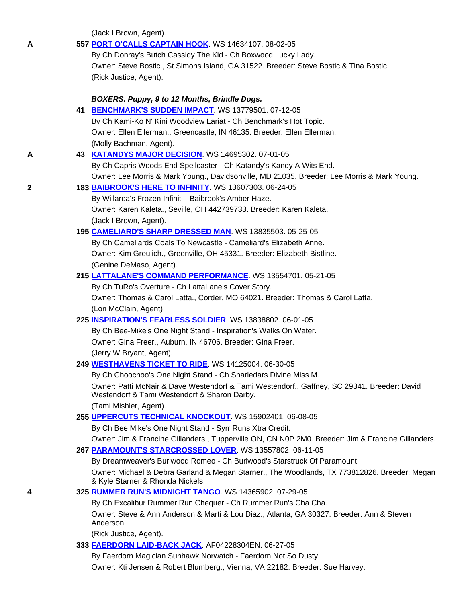(Jack I Brown, Agent).

| A | 557 PORT O'CALLS CAPTAIN HOOK. WS 14634107. 08-02-05                                                                             |
|---|----------------------------------------------------------------------------------------------------------------------------------|
|   | By Ch Donray's Butch Cassidy The Kid - Ch Boxwood Lucky Lady.                                                                    |
|   | Owner: Steve Bostic., St Simons Island, GA 31522. Breeder: Steve Bostic & Tina Bostic.                                           |
|   | (Rick Justice, Agent).                                                                                                           |
|   | BOXERS. Puppy, 9 to 12 Months, Brindle Dogs.                                                                                     |
|   | 41 BENCHMARK'S SUDDEN IMPACT. WS 13779501. 07-12-05                                                                              |
|   | By Ch Kami-Ko N' Kini Woodview Lariat - Ch Benchmark's Hot Topic.                                                                |
|   | Owner: Ellen Ellerman., Greencastle, IN 46135. Breeder: Ellen Ellerman.                                                          |
|   | (Molly Bachman, Agent).                                                                                                          |
| Α | 43 KATANDYS MAJOR DECISION WS 14695302. 07-01-05                                                                                 |
|   | By Ch Capris Woods End Spellcaster - Ch Katandy's Kandy A Wits End.                                                              |
|   | Owner: Lee Morris & Mark Young., Davidsonville, MD 21035. Breeder: Lee Morris & Mark Young.                                      |
| 2 | 183 BAIBROOK'S HERE TO INFINITY. WS 13607303. 06-24-05                                                                           |
|   | By Willarea's Frozen Infiniti - Baibrook's Amber Haze.                                                                           |
|   | Owner: Karen Kaleta., Seville, OH 442739733. Breeder: Karen Kaleta.                                                              |
|   | (Jack I Brown, Agent).                                                                                                           |
|   | 195 CAMELIARD'S SHARP DRESSED MAN. WS 13835503. 05-25-05                                                                         |
|   | By Ch Cameliards Coals To Newcastle - Cameliard's Elizabeth Anne.                                                                |
|   | Owner: Kim Greulich., Greenville, OH 45331. Breeder: Elizabeth Bistline.                                                         |
|   | (Genine DeMaso, Agent).                                                                                                          |
|   | 215 LATTALANE'S COMMAND PERFORMANCE. WS 13554701. 05-21-05                                                                       |
|   | By Ch TuRo's Overture - Ch LattaLane's Cover Story.                                                                              |
|   | Owner: Thomas & Carol Latta., Corder, MO 64021. Breeder: Thomas & Carol Latta.                                                   |
|   | (Lori McClain, Agent).                                                                                                           |
|   | 225 INSPIRATION'S FEARLESS SOLDIER. WS 13838802. 06-01-05                                                                        |
|   | By Ch Bee-Mike's One Night Stand - Inspiration's Walks On Water.                                                                 |
|   | Owner: Gina Freer., Auburn, IN 46706. Breeder: Gina Freer.                                                                       |
|   | (Jerry W Bryant, Agent).                                                                                                         |
|   | 249 <b>WESTHAVENS TICKET TO RIDE.</b> WS 14125004. 06-30-05                                                                      |
|   | By Ch Choochoo's One Night Stand - Ch Sharledars Divine Miss M.                                                                  |
|   | Owner: Patti McNair & Dave Westendorf & Tami Westendorf., Gaffney, SC 29341. Breeder: David                                      |
|   | Westendorf & Tami Westendorf & Sharon Darby.                                                                                     |
|   | (Tami Mishler, Agent).                                                                                                           |
|   | 255 UPPERCUTS TECHNICAL KNOCKOUT. WS 15902401. 06-08-05                                                                          |
|   | By Ch Bee Mike's One Night Stand - Syrr Runs Xtra Credit.                                                                        |
|   | Owner: Jim & Francine Gillanders., Tupperville ON, CN N0P 2M0. Breeder: Jim & Francine Gillanders.                               |
|   | 267 PARAMOUNT'S STARCROSSED LOVER. WS 13557802. 06-11-05                                                                         |
|   | By Dreamweaver's Burlwood Romeo - Ch Burlwood's Starstruck Of Paramount.                                                         |
|   | Owner: Michael & Debra Garland & Megan Starner., The Woodlands, TX 773812826. Breeder: Megan<br>& Kyle Starner & Rhonda Nickels. |
| 4 | 325 RUMMER RUN'S MIDNIGHT TANGO. WS 14365902. 07-29-05                                                                           |
|   | By Ch Excalibur Rummer Run Chequer - Ch Rummer Run's Cha Cha.                                                                    |
|   | Owner: Steve & Ann Anderson & Marti & Lou Diaz., Atlanta, GA 30327. Breeder: Ann & Steven<br>Anderson.                           |
|   | (Rick Justice, Agent).                                                                                                           |
|   | 333 FAERDORN LAID-BACK JACK. AF04228304EN. 06-27-05                                                                              |
|   | By Faerdorn Magician Sunhawk Norwatch - Faerdorn Not So Dusty.                                                                   |
|   | Owner: Kti Jensen & Robert Blumberg., Vienna, VA 22182. Breeder: Sue Harvey.                                                     |
|   |                                                                                                                                  |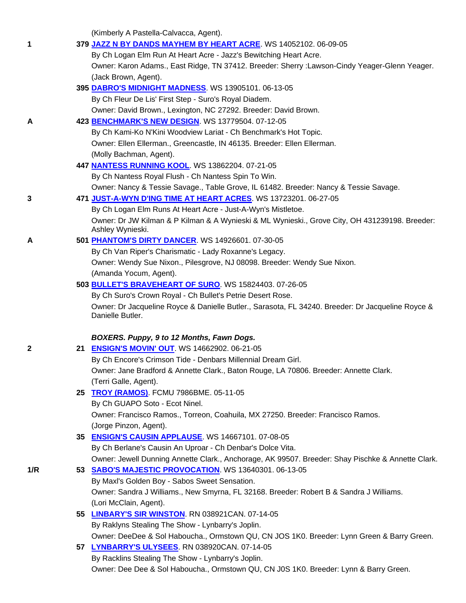(Kimberly A Pastella-Calvacca, Agent).

| 1            | 379 JAZZ N BY DANDS MAYHEM BY HEART ACRE. WS 14052102. 06-09-05                                                                                            |
|--------------|------------------------------------------------------------------------------------------------------------------------------------------------------------|
|              | By Ch Logan Elm Run At Heart Acre - Jazz's Bewitching Heart Acre.                                                                                          |
|              | Owner: Karon Adams., East Ridge, TN 37412. Breeder: Sherry : Lawson-Cindy Yeager-Glenn Yeager.                                                             |
|              | (Jack Brown, Agent).                                                                                                                                       |
|              | 395 DABRO'S MIDNIGHT MADNESS. WS 13905101.06-13-05                                                                                                         |
|              | By Ch Fleur De Lis' First Step - Suro's Royal Diadem.                                                                                                      |
|              | Owner: David Brown., Lexington, NC 27292. Breeder: David Brown.                                                                                            |
| A            | 423 BENCHMARK'S NEW DESIGN. WS 13779504. 07-12-05                                                                                                          |
|              | By Ch Kami-Ko N'Kini Woodview Lariat - Ch Benchmark's Hot Topic.                                                                                           |
|              | Owner: Ellen Ellerman., Greencastle, IN 46135. Breeder: Ellen Ellerman.                                                                                    |
|              | (Molly Bachman, Agent).                                                                                                                                    |
|              | 447 NANTESS RUNNING KOOL. WS 13862204. 07-21-05                                                                                                            |
|              | By Ch Nantess Royal Flush - Ch Nantess Spin To Win.                                                                                                        |
|              | Owner: Nancy & Tessie Savage., Table Grove, IL 61482. Breeder: Nancy & Tessie Savage.                                                                      |
| 3            | 471 JUST-A-WYN D'ING TIME AT HEART ACRES. WS 13723201. 06-27-05                                                                                            |
|              | By Ch Logan Elm Runs At Heart Acre - Just-A-Wyn's Mistletoe.                                                                                               |
|              | Owner: Dr JW Kilman & P Kilman & A Wynieski & ML Wynieski., Grove City, OH 431239198. Breeder:                                                             |
|              | Ashley Wynieski.                                                                                                                                           |
| A            | 501 PHANTOM'S DIRTY DANCER. WS 14926601. 07-30-05                                                                                                          |
|              | By Ch Van Riper's Charismatic - Lady Roxanne's Legacy.                                                                                                     |
|              | Owner: Wendy Sue Nixon., Pilesgrove, NJ 08098. Breeder: Wendy Sue Nixon.                                                                                   |
|              | (Amanda Yocum, Agent).                                                                                                                                     |
|              | 503 BULLET'S BRAVEHEART OF SURO. WS 15824403. 07-26-05                                                                                                     |
|              | By Ch Suro's Crown Royal - Ch Bullet's Petrie Desert Rose.                                                                                                 |
|              | Owner: Dr Jacqueline Royce & Danielle Butler., Sarasota, FL 34240. Breeder: Dr Jacqueline Royce &                                                          |
|              |                                                                                                                                                            |
|              | Danielle Butler.                                                                                                                                           |
|              |                                                                                                                                                            |
|              | BOXERS. Puppy, 9 to 12 Months, Fawn Dogs.                                                                                                                  |
| $\mathbf{2}$ | 21 ENSIGN'S MOVIN' OUT. WS 14662902. 06-21-05                                                                                                              |
|              | By Ch Encore's Crimson Tide - Denbars Millennial Dream Girl.                                                                                               |
|              | Owner: Jane Bradford & Annette Clark., Baton Rouge, LA 70806. Breeder: Annette Clark.                                                                      |
|              | (Terri Galle, Agent).                                                                                                                                      |
|              | 25 TROY (RAMOS). FCMU 7986BME. 05-11-05                                                                                                                    |
|              | By Ch GUAPO Soto - Ecot Ninel.                                                                                                                             |
|              | Owner: Francisco Ramos., Torreon, Coahuila, MX 27250. Breeder: Francisco Ramos.                                                                            |
|              | (Jorge Pinzon, Agent).                                                                                                                                     |
|              | 35 ENSIGN'S CAUSIN APPLAUSE. WS 14667101. 07-08-05<br>By Ch Berlane's Causin An Uproar - Ch Denbar's Dolce Vita.                                           |
|              |                                                                                                                                                            |
| 1/R          | Owner: Jewell Dunning Annette Clark., Anchorage, AK 99507. Breeder: Shay Pischke & Annette Clark.<br>53 SABO'S MAJESTIC PROVOCATION. WS 13640301. 06-13-05 |
|              | By Maxl's Golden Boy - Sabos Sweet Sensation.                                                                                                              |
|              | Owner: Sandra J Williams., New Smyrna, FL 32168. Breeder: Robert B & Sandra J Williams.                                                                    |
|              | (Lori McClain, Agent).                                                                                                                                     |
|              |                                                                                                                                                            |
|              | 55 LINBARY'S SIR WINSTON. RN 038921CAN. 07-14-05<br>By Raklyns Stealing The Show - Lynbarry's Joplin.                                                      |
|              | Owner: DeeDee & Sol Haboucha., Ormstown QU, CN JOS 1K0. Breeder: Lynn Green & Barry Green.                                                                 |
|              | 57 LYNBARRY'S ULYSEES. RN 038920CAN. 07-14-05                                                                                                              |
|              | By Racklins Stealing The Show - Lynbarry's Joplin.                                                                                                         |
|              | Owner: Dee Dee & Sol Haboucha., Ormstown QU, CN J0S 1K0. Breeder: Lynn & Barry Green.                                                                      |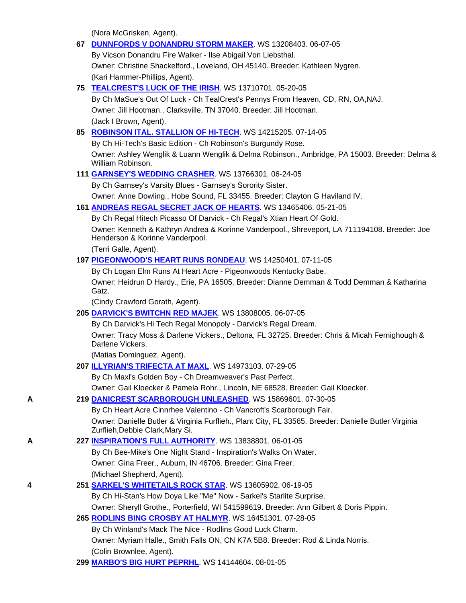(Nora McGrisken, Agent).

|   | 67 DUNNFORDS V DONANDRU STORM MAKER. WS 13208403. 06-07-05                                                                               |
|---|------------------------------------------------------------------------------------------------------------------------------------------|
|   | By Vicson Donandru Fire Walker - Ilse Abigail Von Liebsthal.                                                                             |
|   | Owner: Christine Shackelford., Loveland, OH 45140. Breeder: Kathleen Nygren.                                                             |
|   | (Kari Hammer-Phillips, Agent).                                                                                                           |
|   | 75 TEALCREST'S LUCK OF THE IRISH. WS 13710701. 05-20-05                                                                                  |
|   | By Ch MaSue's Out Of Luck - Ch TealCrest's Pennys From Heaven, CD, RN, OA, NAJ.                                                          |
|   | Owner: Jill Hootman., Clarksville, TN 37040. Breeder: Jill Hootman.                                                                      |
|   | (Jack I Brown, Agent).                                                                                                                   |
|   | 85 ROBINSON ITAL. STALLION OF HI-TECH. WS 14215205. 07-14-05                                                                             |
|   | By Ch Hi-Tech's Basic Edition - Ch Robinson's Burgundy Rose.                                                                             |
|   | Owner: Ashley Wenglik & Luann Wenglik & Delma Robinson., Ambridge, PA 15003. Breeder: Delma &<br>William Robinson.                       |
|   | 111 <b>GARNSEY'S WEDDING CRASHER.</b> WS 13766301. 06-24-05                                                                              |
|   | By Ch Garnsey's Varsity Blues - Garnsey's Sorority Sister.                                                                               |
|   | Owner: Anne Dowling., Hobe Sound, FL 33455. Breeder: Clayton G Haviland IV.                                                              |
|   | 161 ANDREAS REGAL SECRET JACK OF HEARTS. WS 13465406. 05-21-05                                                                           |
|   | By Ch Regal Hitech Picasso Of Darvick - Ch Regal's Xtian Heart Of Gold.                                                                  |
|   | Owner: Kenneth & Kathryn Andrea & Korinne Vanderpool., Shreveport, LA 711194108. Breeder: Joe<br>Henderson & Korinne Vanderpool.         |
|   | (Terri Galle, Agent).                                                                                                                    |
|   | 197 PIGEONWOOD'S HEART RUNS RONDEAU. WS 14250401.07-11-05                                                                                |
|   | By Ch Logan Elm Runs At Heart Acre - Pigeonwoods Kentucky Babe.                                                                          |
|   | Owner: Heidrun D Hardy., Erie, PA 16505. Breeder: Dianne Demman & Todd Demman & Katharina<br>Gatz.                                       |
|   | (Cindy Crawford Gorath, Agent).                                                                                                          |
|   | 205 DARVICK'S BWITCHN RED MAJEK. WS 13808005. 06-07-05                                                                                   |
|   | By Ch Darvick's Hi Tech Regal Monopoly - Darvick's Regal Dream.                                                                          |
|   | Owner: Tracy Moss & Darlene Vickers., Deltona, FL 32725. Breeder: Chris & Micah Fernighough &<br>Darlene Vickers.                        |
|   | (Matias Dominguez, Agent).                                                                                                               |
|   | 207 ILLYRIAN'S TRIFECTA AT MAXL. WS 14973103. 07-29-05                                                                                   |
|   | By Ch Maxl's Golden Boy - Ch Dreamweaver's Past Perfect.                                                                                 |
|   | Owner: Gail Kloecker & Pamela Rohr., Lincoln, NE 68528. Breeder: Gail Kloecker.                                                          |
| Α | 219 DANICREST SCARBOROUGH UNLEASHED. WS 15869601. 07-30-05                                                                               |
|   | By Ch Heart Acre Cinnrhee Valentino - Ch Vancroft's Scarborough Fair.                                                                    |
|   | Owner: Danielle Butler & Virginia Furflieh., Plant City, FL 33565. Breeder: Danielle Butler Virginia<br>Zurflieh, Debbie Clark, Mary Si. |
| Α | 227 INSPIRATION'S FULL AUTHORITY. WS 13838801. 06-01-05                                                                                  |
|   | By Ch Bee-Mike's One Night Stand - Inspiration's Walks On Water.                                                                         |
|   | Owner: Gina Freer., Auburn, IN 46706. Breeder: Gina Freer.                                                                               |
|   | (Michael Shepherd, Agent).                                                                                                               |
| 4 | 251 SARKEL'S WHITETAILS ROCK STAR. WS 13605902. 06-19-05                                                                                 |
|   | By Ch Hi-Stan's How Doya Like "Me" Now - Sarkel's Starlite Surprise.                                                                     |
|   | Owner: Sheryll Grothe., Porterfield, WI 541599619. Breeder: Ann Gilbert & Doris Pippin.                                                  |
|   | 265 RODLINS BING CROSBY AT HALMYR. WS 16451301. 07-28-05                                                                                 |
|   | By Ch Winland's Mack The Nice - Rodlins Good Luck Charm.                                                                                 |
|   | Owner: Myriam Halle., Smith Falls ON, CN K7A 5B8. Breeder: Rod & Linda Norris.                                                           |
|   | (Colin Brownlee, Agent).                                                                                                                 |
|   | 299 MARBO'S BIG HURT PEPRHL. WS 14144604. 08-01-05                                                                                       |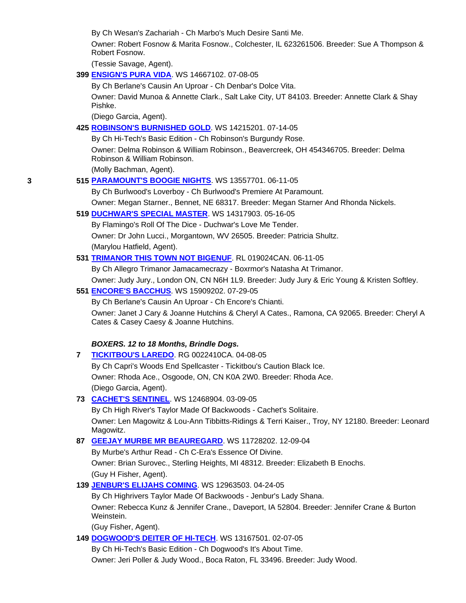By Ch Wesan's Zachariah - Ch Marbo's Much Desire Santi Me.

 Owner: Robert Fosnow & Marita Fosnow., Colchester, IL 623261506. Breeder: Sue A Thompson & Robert Fosnow.

(Tessie Savage, Agent).

# **399 ENSIGN'S PURA VIDA**. WS 14667102. 07-08-05

By Ch Berlane's Causin An Uproar - Ch Denbar's Dolce Vita.

 Owner: David Munoa & Annette Clark., Salt Lake City, UT 84103. Breeder: Annette Clark & Shay Pishke.

(Diego Garcia, Agent).

#### **425 ROBINSON'S BURNISHED GOLD**. WS 14215201. 07-14-05

By Ch Hi-Tech's Basic Edition - Ch Robinson's Burgundy Rose.

 Owner: Delma Robinson & William Robinson., Beavercreek, OH 454346705. Breeder: Delma Robinson & William Robinson.

(Molly Bachman, Agent).

**3 515 PARAMOUNT'S BOOGIE NIGHTS**. WS 13557701. 06-11-05

By Ch Burlwood's Loverboy - Ch Burlwood's Premiere At Paramount.

Owner: Megan Starner., Bennet, NE 68317. Breeder: Megan Starner And Rhonda Nickels.

#### **519 DUCHWAR'S SPECIAL MASTER**. WS 14317903. 05-16-05

By Flamingo's Roll Of The Dice - Duchwar's Love Me Tender.

Owner: Dr John Lucci., Morgantown, WV 26505. Breeder: Patricia Shultz.

(Marylou Hatfield, Agent).

#### **531 TRIMANOR THIS TOWN NOT BIGENUF**. RL 019024CAN. 06-11-05

By Ch Allegro Trimanor Jamacamecrazy - Boxrmor's Natasha At Trimanor.

Owner: Judy Jury., London ON, CN N6H 1L9. Breeder: Judy Jury & Eric Young & Kristen Softley.

#### **551 ENCORE'S BACCHUS**. WS 15909202. 07-29-05

By Ch Berlane's Causin An Uproar - Ch Encore's Chianti.

 Owner: Janet J Cary & Joanne Hutchins & Cheryl A Cates., Ramona, CA 92065. Breeder: Cheryl A Cates & Casey Caesy & Joanne Hutchins.

#### *BOXERS. 12 to 18 Months, Brindle Dogs.*

**7 TICKITBOU'S LAREDO**. RG 0022410CA. 04-08-05

 By Ch Capri's Woods End Spellcaster - Tickitbou's Caution Black Ice. Owner: Rhoda Ace., Osgoode, ON, CN K0A 2W0. Breeder: Rhoda Ace. (Diego Garcia, Agent).

#### **73 CACHET'S SENTINEL**. WS 12468904. 03-09-05

 By Ch High River's Taylor Made Of Backwoods - Cachet's Solitaire. Owner: Len Magowitz & Lou-Ann Tibbitts-Ridings & Terri Kaiser., Troy, NY 12180. Breeder: Leonard Magowitz.

#### **87 GEEJAY MURBE MR BEAUREGARD**. WS 11728202. 12-09-04

 By Murbe's Arthur Read - Ch C-Era's Essence Of Divine. Owner: Brian Surovec., Sterling Heights, MI 48312. Breeder: Elizabeth B Enochs. (Guy H Fisher, Agent).

#### **139 JENBUR'S ELIJAHS COMING**. WS 12963503. 04-24-05

 By Ch Highrivers Taylor Made Of Backwoods - Jenbur's Lady Shana. Owner: Rebecca Kunz & Jennifer Crane., Daveport, IA 52804. Breeder: Jennifer Crane & Burton Weinstein.

(Guy Fisher, Agent).

**149 DOGWOOD'S DEITER OF HI-TECH**. WS 13167501. 02-07-05

By Ch Hi-Tech's Basic Edition - Ch Dogwood's It's About Time.

Owner: Jeri Poller & Judy Wood., Boca Raton, FL 33496. Breeder: Judy Wood.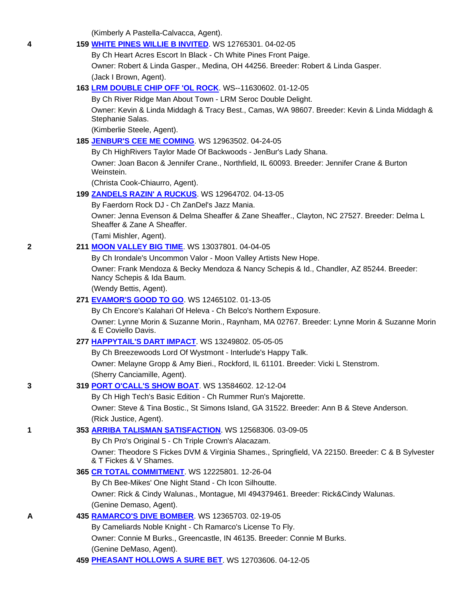(Kimberly A Pastella-Calvacca, Agent).

#### **4 159 WHITE PINES WILLIE B INVITED**. WS 12765301. 04-02-05

By Ch Heart Acres Escort In Black - Ch White Pines Front Paige.

Owner: Robert & Linda Gasper., Medina, OH 44256. Breeder: Robert & Linda Gasper.

(Jack I Brown, Agent).

### **163 LRM DOUBLE CHIP OFF 'OL ROCK**. WS--11630602. 01-12-05

By Ch River Ridge Man About Town - LRM Seroc Double Delight.

 Owner: Kevin & Linda Middagh & Tracy Best., Camas, WA 98607. Breeder: Kevin & Linda Middagh & Stephanie Salas.

(Kimberlie Steele, Agent).

# **185 JENBUR'S CEE ME COMING**. WS 12963502. 04-24-05

By Ch HighRivers Taylor Made Of Backwoods - JenBur's Lady Shana.

 Owner: Joan Bacon & Jennifer Crane., Northfield, IL 60093. Breeder: Jennifer Crane & Burton Weinstein.

(Christa Cook-Chiaurro, Agent).

**199 ZANDELS RAZIN' A RUCKUS**. WS 12964702. 04-13-05

By Faerdorn Rock DJ - Ch ZanDel's Jazz Mania.

 Owner: Jenna Evenson & Delma Sheaffer & Zane Sheaffer., Clayton, NC 27527. Breeder: Delma L Sheaffer & Zane A Sheaffer.

(Tami Mishler, Agent).

# **2 211 MOON VALLEY BIG TIME**. WS 13037801. 04-04-05

By Ch Irondale's Uncommon Valor - Moon Valley Artists New Hope.

 Owner: Frank Mendoza & Becky Mendoza & Nancy Schepis & Id., Chandler, AZ 85244. Breeder: Nancy Schepis & Ida Baum.

(Wendy Bettis, Agent).

### **271 EVAMOR'S GOOD TO GO**. WS 12465102. 01-13-05

By Ch Encore's Kalahari Of Heleva - Ch Belco's Northern Exposure.

 Owner: Lynne Morin & Suzanne Morin., Raynham, MA 02767. Breeder: Lynne Morin & Suzanne Morin & E Coviello Davis.

#### **277 HAPPYTAIL'S DART IMPACT**. WS 13249802. 05-05-05

By Ch Breezewoods Lord Of Wystmont - Interlude's Happy Talk.

 Owner: Melayne Gropp & Amy Bieri., Rockford, IL 61101. Breeder: Vicki L Stenstrom. (Sherry Canciamille, Agent).

#### **3 319 PORT O'CALL'S SHOW BOAT**. WS 13584602. 12-12-04

By Ch High Tech's Basic Edition - Ch Rummer Run's Majorette.

 Owner: Steve & Tina Bostic., St Simons Island, GA 31522. Breeder: Ann B & Steve Anderson. (Rick Justice, Agent).

#### **1 353 ARRIBA TALISMAN SATISFACTION**. WS 12568306. 03-09-05

By Ch Pro's Original 5 - Ch Triple Crown's Alacazam.

 Owner: Theodore S Fickes DVM & Virginia Shames., Springfield, VA 22150. Breeder: C & B Sylvester & T Fickes & V Shames.

# **365 CR TOTAL COMMITMENT**. WS 12225801. 12-26-04

By Ch Bee-Mikes' One Night Stand - Ch Icon Silhoutte.

 Owner: Rick & Cindy Walunas., Montague, MI 494379461. Breeder: Rick&Cindy Walunas. (Genine Demaso, Agent).

# **A 435 RAMARCO'S DIVE BOMBER**. WS 12365703. 02-19-05

 By Cameliards Noble Knight - Ch Ramarco's License To Fly. Owner: Connie M Burks., Greencastle, IN 46135. Breeder: Connie M Burks. (Genine DeMaso, Agent).

**459 PHEASANT HOLLOWS A SURE BET**. WS 12703606. 04-12-05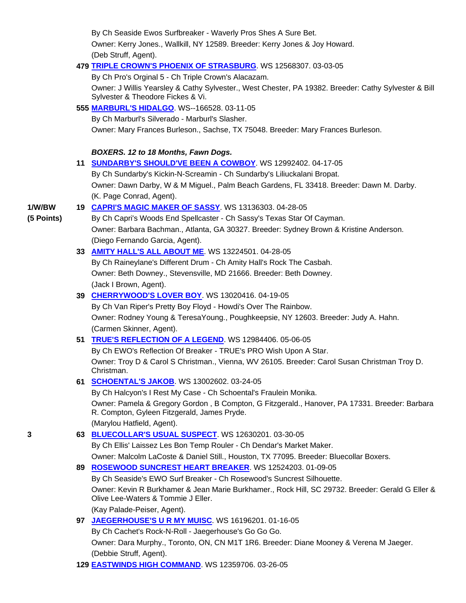By Ch Seaside Ewos Surfbreaker - Waverly Pros Shes A Sure Bet. Owner: Kerry Jones., Wallkill, NY 12589. Breeder: Kerry Jones & Joy Howard. (Deb Struff, Agent).

# **479 TRIPLE CROWN'S PHOENIX OF STRASBURG**. WS 12568307. 03-03-05

By Ch Pro's Orginal 5 - Ch Triple Crown's Alacazam.

 Owner: J Willis Yearsley & Cathy Sylvester., West Chester, PA 19382. Breeder: Cathy Sylvester & Bill Sylvester & Theodore Fickes & Vi.

# **555 MARBURL'S HIDALGO**. WS--166528. 03-11-05

By Ch Marburl's Silverado - Marburl's Slasher.

Owner: Mary Frances Burleson., Sachse, TX 75048. Breeder: Mary Frances Burleson.

*BOXERS. 12 to 18 Months, Fawn Dogs.*

**11 SUNDARBY'S SHOULD'VE BEEN A COWBOY**. WS 12992402. 04-17-05

 By Ch Sundarby's Kickin-N-Screamin - Ch Sundarby's Liliuckalani Bropat. Owner: Dawn Darby, W & M Miguel., Palm Beach Gardens, FL 33418. Breeder: Dawn M. Darby. (K. Page Conrad, Agent).

# **1/W/BW 19 CAPRI'S MAGIC MAKER OF SASSY**. WS 13136303. 04-28-05

**(5 Points)** By Ch Capri's Woods End Spellcaster - Ch Sassy's Texas Star Of Cayman. Owner: Barbara Bachman., Atlanta, GA 30327. Breeder: Sydney Brown & Kristine Anderson. (Diego Fernando Garcia, Agent).

# **33 AMITY HALL'S ALL ABOUT ME**. WS 13224501. 04-28-05

 By Ch Raineylane's Different Drum - Ch Amity Hall's Rock The Casbah. Owner: Beth Downey., Stevensville, MD 21666. Breeder: Beth Downey. (Jack I Brown, Agent).

# **39 CHERRYWOOD'S LOVER BOY**. WS 13020416. 04-19-05

 By Ch Van Riper's Pretty Boy Floyd - Howdi's Over The Rainbow. Owner: Rodney Young & TeresaYoung., Poughkeepsie, NY 12603. Breeder: Judy A. Hahn. (Carmen Skinner, Agent).

# **51 TRUE'S REFLECTION OF A LEGEND**. WS 12984406. 05-06-05

 By Ch EWO's Reflection Of Breaker - TRUE's PRO Wish Upon A Star. Owner: Troy D & Carol S Christman., Vienna, WV 26105. Breeder: Carol Susan Christman Troy D. Christman.

**61 SCHOENTAL'S JAKOB**. WS 13002602. 03-24-05

By Ch Halcyon's I Rest My Case - Ch Schoental's Fraulein Monika.

 Owner: Pamela & Gregory Gordon , B Compton, G Fitzgerald., Hanover, PA 17331. Breeder: Barbara R. Compton, Gyleen Fitzgerald, James Pryde. (Marylou Hatfield, Agent).

# **3 63 BLUECOLLAR'S USUAL SUSPECT**. WS 12630201. 03-30-05

By Ch Ellis' Laissez Les Bon Temp Rouler - Ch Dendar's Market Maker.

Owner: Malcolm LaCoste & Daniel Still., Houston, TX 77095. Breeder: Bluecollar Boxers.

**89 ROSEWOOD SUNCREST HEART BREAKER**. WS 12524203. 01-09-05

 By Ch Seaside's EWO Surf Breaker - Ch Rosewood's Suncrest Silhouette. Owner: Kevin R Burkhamer & Jean Marie Burkhamer., Rock Hill, SC 29732. Breeder: Gerald G Eller & Olive Lee-Waters & Tommie J Eller. (Kay Palade-Peiser, Agent).

**97 JAEGERHOUSE'S U R MY MUISC**. WS 16196201. 01-16-05

 By Ch Cachet's Rock-N-Roll - Jaegerhouse's Go Go Go. Owner: Dara Murphy., Toronto, ON, CN M1T 1R6. Breeder: Diane Mooney & Verena M Jaeger. (Debbie Struff, Agent).

**129 EASTWINDS HIGH COMMAND**. WS 12359706. 03-26-05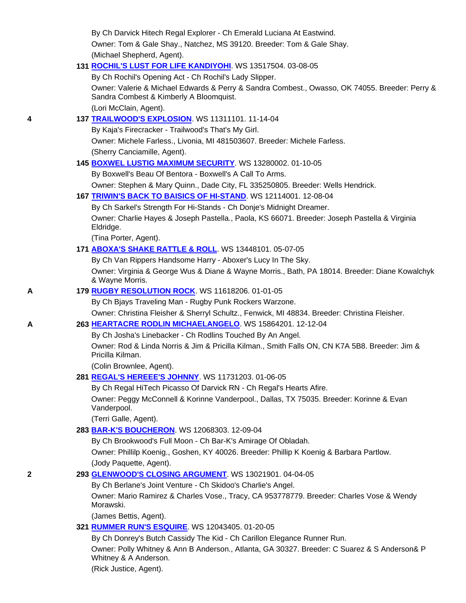By Ch Darvick Hitech Regal Explorer - Ch Emerald Luciana At Eastwind. Owner: Tom & Gale Shay., Natchez, MS 39120. Breeder: Tom & Gale Shay. (Michael Shepherd, Agent).

#### **131 ROCHIL'S LUST FOR LIFE KANDIYOHI**. WS 13517504. 03-08-05

By Ch Rochil's Opening Act - Ch Rochil's Lady Slipper.

 Owner: Valerie & Michael Edwards & Perry & Sandra Combest., Owasso, OK 74055. Breeder: Perry & Sandra Combest & Kimberly A Bloomquist.

(Lori McClain, Agent).

# **4 137 TRAILWOOD'S EXPLOSION**. WS 11311101. 11-14-04

By Kaja's Firecracker - Trailwood's That's My Girl.

 Owner: Michele Farless., Livonia, MI 481503607. Breeder: Michele Farless. (Sherry Canciamille, Agent).

#### **145 BOXWEL LUSTIG MAXIMUM SECURITY**. WS 13280002. 01-10-05

By Boxwell's Beau Of Bentora - Boxwell's A Call To Arms.

Owner: Stephen & Mary Quinn., Dade City, FL 335250805. Breeder: Wells Hendrick.

#### **167 TRIWIN'S BACK TO BAISICS OF HI-STAND**. WS 12114001. 12-08-04

By Ch Sarkel's Strength For Hi-Stands - Ch Donje's Midnight Dreamer.

 Owner: Charlie Hayes & Joseph Pastella., Paola, KS 66071. Breeder: Joseph Pastella & Virginia Eldridge.

(Tina Porter, Agent).

### **171 ABOXA'S SHAKE RATTLE & ROLL**. WS 13448101. 05-07-05

By Ch Van Rippers Handsome Harry - Aboxer's Lucy In The Sky.

 Owner: Virginia & George Wus & Diane & Wayne Morris., Bath, PA 18014. Breeder: Diane Kowalchyk & Wayne Morris.

#### **A 179 RUGBY RESOLUTION ROCK**. WS 11618206. 01-01-05

By Ch Bjays Traveling Man - Rugby Punk Rockers Warzone.

Owner: Christina Fleisher & Sherryl Schultz., Fenwick, MI 48834. Breeder: Christina Fleisher.

#### **A 263 HEARTACRE RODLIN MICHAELANGELO**. WS 15864201. 12-12-04

By Ch Josha's Linebacker - Ch Rodlins Touched By An Angel.

 Owner: Rod & Linda Norris & Jim & Pricilla Kilman., Smith Falls ON, CN K7A 5B8. Breeder: Jim & Pricilla Kilman.

(Colin Brownlee, Agent).

# **281 REGAL'S HEREEE'S JOHNNY**. WS 11731203. 01-06-05

By Ch Regal HiTech Picasso Of Darvick RN - Ch Regal's Hearts Afire.

 Owner: Peggy McConnell & Korinne Vanderpool., Dallas, TX 75035. Breeder: Korinne & Evan Vanderpool.

(Terri Galle, Agent).

# **283 BAR-K'S BOUCHERON**. WS 12068303. 12-09-04

By Ch Brookwood's Full Moon - Ch Bar-K's Amirage Of Obladah.

 Owner: Phillilp Koenig., Goshen, KY 40026. Breeder: Phillip K Koenig & Barbara Partlow. (Jody Paquette, Agent).

#### **2 293 GLENWOOD'S CLOSING ARGUMENT**. WS 13021901. 04-04-05

By Ch Berlane's Joint Venture - Ch Skidoo's Charlie's Angel.

 Owner: Mario Ramirez & Charles Vose., Tracy, CA 953778779. Breeder: Charles Vose & Wendy Morawski.

(James Bettis, Agent).

# **321 RUMMER RUN'S ESQUIRE**. WS 12043405. 01-20-05

 By Ch Donrey's Butch Cassidy The Kid - Ch Carillon Elegance Runner Run. Owner: Polly Whitney & Ann B Anderson., Atlanta, GA 30327. Breeder: C Suarez & S Anderson& P Whitney & A Anderson.

(Rick Justice, Agent).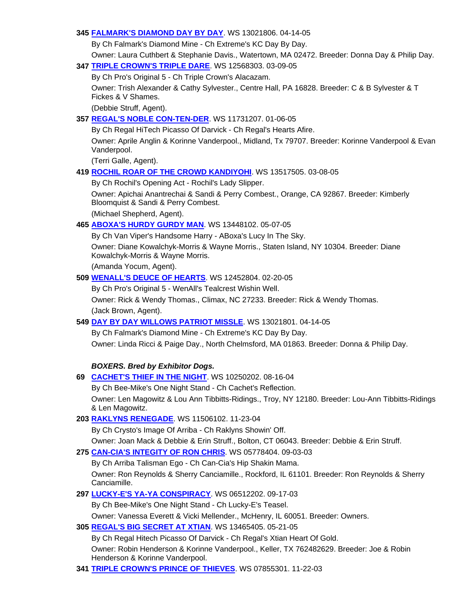### **345 FALMARK'S DIAMOND DAY BY DAY**. WS 13021806. 04-14-05

By Ch Falmark's Diamond Mine - Ch Extreme's KC Day By Day.

 Owner: Laura Cuthbert & Stephanie Davis., Watertown, MA 02472. Breeder: Donna Day & Philip Day. **347 TRIPLE CROWN'S TRIPLE DARE**. WS 12568303. 03-09-05

# By Ch Pro's Original 5 - Ch Triple Crown's Alacazam.

 Owner: Trish Alexander & Cathy Sylvester., Centre Hall, PA 16828. Breeder: C & B Sylvester & T Fickes & V Shames.

(Debbie Struff, Agent).

# **357 REGAL'S NOBLE CON-TEN-DER**. WS 11731207. 01-06-05

By Ch Regal HiTech Picasso Of Darvick - Ch Regal's Hearts Afire.

 Owner: Aprile Anglin & Korinne Vanderpool., Midland, Tx 79707. Breeder: Korinne Vanderpool & Evan Vanderpool.

(Terri Galle, Agent).

# **419 ROCHIL ROAR OF THE CROWD KANDIYOHI**. WS 13517505. 03-08-05

By Ch Rochil's Opening Act - Rochil's Lady Slipper.

 Owner: Apichai Anantrechai & Sandi & Perry Combest., Orange, CA 92867. Breeder: Kimberly Bloomquist & Sandi & Perry Combest.

(Michael Shepherd, Agent).

# **465 ABOXA'S HURDY GURDY MAN**. WS 13448102. 05-07-05

By Ch Van Viper's Handsome Harry - ABoxa's Lucy In The Sky.

 Owner: Diane Kowalchyk-Morris & Wayne Morris., Staten Island, NY 10304. Breeder: Diane Kowalchyk-Morris & Wayne Morris.

(Amanda Yocum, Agent).

# **509 WENALL'S DEUCE OF HEARTS**. WS 12452804. 02-20-05

By Ch Pro's Original 5 - WenAll's Tealcrest Wishin Well.

 Owner: Rick & Wendy Thomas., Climax, NC 27233. Breeder: Rick & Wendy Thomas. (Jack Brown, Agent).

# **549 DAY BY DAY WILLOWS PATRIOT MISSLE**. WS 13021801. 04-14-05

 By Ch Falmark's Diamond Mine - Ch Extreme's KC Day By Day. Owner: Linda Ricci & Paige Day., North Chelmsford, MA 01863. Breeder: Donna & Philip Day.

# *BOXERS. Bred by Exhibitor Dogs.*

- **69 CACHET'S THIEF IN THE NIGHT**. WS 10250202. 08-16-04 By Ch Bee-Mike's One Night Stand - Ch Cachet's Reflection. Owner: Len Magowitz & Lou Ann Tibbitts-Ridings., Troy, NY 12180. Breeder: Lou-Ann Tibbitts-Ridings & Len Magowitz.
- **203 RAKLYNS RENEGADE**. WS 11506102. 11-23-04

By Ch Crysto's Image Of Arriba - Ch Raklyns Showin' Off.

Owner: Joan Mack & Debbie & Erin Struff., Bolton, CT 06043. Breeder: Debbie & Erin Struff.

# **275 CAN-CIA'S INTEGITY OF RON CHRIS**. WS 05778404. 09-03-03

 By Ch Arriba Talisman Ego - Ch Can-Cia's Hip Shakin Mama. Owner: Ron Reynolds & Sherry Canciamille., Rockford, IL 61101. Breeder: Ron Reynolds & Sherry Canciamille.

**297 LUCKY-E'S YA-YA CONSPIRACY**. WS 06512202. 09-17-03

By Ch Bee-Mike's One Night Stand - Ch Lucky-E's Teasel.

Owner: Vanessa Everett & Vicki Mellender., McHenry, IL 60051. Breeder: Owners.

# **305 REGAL'S BIG SECRET AT XTIAN**. WS 13465405. 05-21-05

 By Ch Regal Hitech Picasso Of Darvick - Ch Regal's Xtian Heart Of Gold. Owner: Robin Henderson & Korinne Vanderpool., Keller, TX 762482629. Breeder: Joe & Robin Henderson & Korinne Vanderpool.

**341 TRIPLE CROWN'S PRINCE OF THIEVES**. WS 07855301. 11-22-03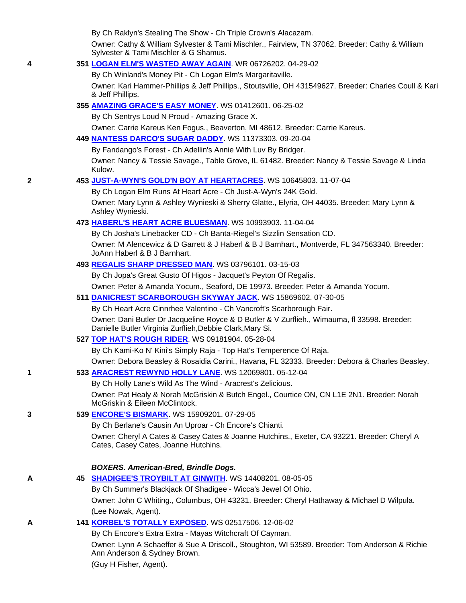By Ch Raklyn's Stealing The Show - Ch Triple Crown's Alacazam.

 Owner: Cathy & William Sylvester & Tami Mischler., Fairview, TN 37062. Breeder: Cathy & William Sylvester & Tami Mischler & G Shamus.

# **4 351 LOGAN ELM'S WASTED AWAY AGAIN**. WR 06726202. 04-29-02

 By Ch Winland's Money Pit - Ch Logan Elm's Margaritaville. Owner: Kari Hammer-Phillips & Jeff Phillips., Stoutsville, OH 431549627. Breeder: Charles Coull & Kari & Jeff Phillips.

# **355 AMAZING GRACE'S EASY MONEY**. WS 01412601. 06-25-02

By Ch Sentrys Loud N Proud - Amazing Grace X.

Owner: Carrie Kareus Ken Fogus., Beaverton, MI 48612. Breeder: Carrie Kareus.

### **449 NANTESS DARCO'S SUGAR DADDY**. WS 11373303. 09-20-04

By Fandango's Forest - Ch Adellin's Annie With Luv By Bridger.

 Owner: Nancy & Tessie Savage., Table Grove, IL 61482. Breeder: Nancy & Tessie Savage & Linda Kulow.

### **2 453 JUST-A-WYN'S GOLD'N BOY AT HEARTACRES**. WS 10645803. 11-07-04

By Ch Logan Elm Runs At Heart Acre - Ch Just-A-Wyn's 24K Gold.

 Owner: Mary Lynn & Ashley Wynieski & Sherry Glatte., Elyria, OH 44035. Breeder: Mary Lynn & Ashley Wynieski.

### **473 HABERL'S HEART ACRE BLUESMAN**. WS 10993903. 11-04-04

By Ch Josha's Linebacker CD - Ch Banta-Riegel's Sizzlin Sensation CD.

 Owner: M Alencewicz & D Garrett & J Haberl & B J Barnhart., Montverde, FL 347563340. Breeder: JoAnn Haberl & B J Barnhart.

# **493 REGALIS SHARP DRESSED MAN**. WS 03796101. 03-15-03

By Ch Jopa's Great Gusto Of Higos - Jacquet's Peyton Of Regalis.

Owner: Peter & Amanda Yocum., Seaford, DE 19973. Breeder: Peter & Amanda Yocum.

#### **511 DANICREST SCARBOROUGH SKYWAY JACK**. WS 15869602. 07-30-05

By Ch Heart Acre Cinnrhee Valentino - Ch Vancroft's Scarborough Fair.

 Owner: Dani Butler Dr Jacqueline Royce & D Butler & V Zurflieh., Wimauma, fl 33598. Breeder: Danielle Butler Virginia Zurflieh,Debbie Clark,Mary Si.

# **527 TOP HAT'S ROUGH RIDER**. WS 09181904. 05-28-04

By Ch Kami-Ko N' Kini's Simply Raja - Top Hat's Temperence Of Raja.

Owner: Debora Beasley & Rosaidia Carini., Havana, FL 32333. Breeder: Debora & Charles Beasley.

# **1 533 ARACREST REWYND HOLLY LANE**. WS 12069801. 05-12-04

By Ch Holly Lane's Wild As The Wind - Aracrest's Zelicious.

 Owner: Pat Healy & Norah McGriskin & Butch Engel., Courtice ON, CN L1E 2N1. Breeder: Norah McGriskin & Eileen McClintock.

# **3 539 ENCORE'S BISMARK**. WS 15909201. 07-29-05

By Ch Berlane's Causin An Uproar - Ch Encore's Chianti.

 Owner: Cheryl A Cates & Casey Cates & Joanne Hutchins., Exeter, CA 93221. Breeder: Cheryl A Cates, Casey Cates, Joanne Hutchins.

# *BOXERS. American-Bred, Brindle Dogs.*

# **A 45 SHADIGEE'S TROYBILT AT GINWITH**. WS 14408201. 08-05-05

 By Ch Summer's Blackjack Of Shadigee - Wicca's Jewel Of Ohio. Owner: John C Whiting., Columbus, OH 43231. Breeder: Cheryl Hathaway & Michael D Wilpula. (Lee Nowak, Agent).

# **A 141 KORBEL'S TOTALLY EXPOSED**. WS 02517506. 12-06-02

By Ch Encore's Extra Extra - Mayas Witchcraft Of Cayman.

 Owner: Lynn A Schaeffer & Sue A Driscoll., Stoughton, WI 53589. Breeder: Tom Anderson & Richie Ann Anderson & Sydney Brown.

(Guy H Fisher, Agent).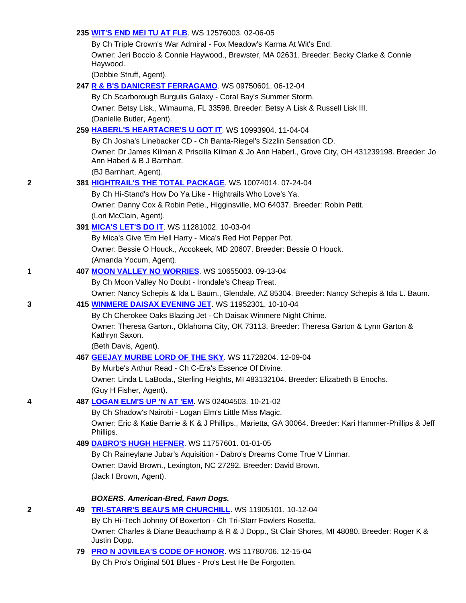### **235 WIT'S END MEI TU AT FLB**. WS 12576003. 02-06-05

 By Ch Triple Crown's War Admiral - Fox Meadow's Karma At Wit's End. Owner: Jeri Boccio & Connie Haywood., Brewster, MA 02631. Breeder: Becky Clarke & Connie Haywood.

(Debbie Struff, Agent).

### **247 R & B'S DANICREST FERRAGAMO**. WS 09750601. 06-12-04

By Ch Scarborough Burgulis Galaxy - Coral Bay's Summer Storm.

 Owner: Betsy Lisk., Wimauma, FL 33598. Breeder: Betsy A Lisk & Russell Lisk III. (Danielle Butler, Agent).

#### **259 HABERL'S HEARTACRE'S U GOT IT**. WS 10993904. 11-04-04

 By Ch Josha's Linebacker CD - Ch Banta-Riegel's Sizzlin Sensation CD. Owner: Dr James Kilman & Priscilla Kilman & Jo Ann Haberl., Grove City, OH 431239198. Breeder: Jo Ann Haberl & B J Barnhart.

(BJ Barnhart, Agent).

#### **2 381 HIGHTRAIL'S THE TOTAL PACKAGE**. WS 10074014. 07-24-04

 By Ch Hi-Stand's How Do Ya Like - Hightrails Who Love's Ya. Owner: Danny Cox & Robin Petie., Higginsville, MO 64037. Breeder: Robin Petit. (Lori McClain, Agent).

#### **391 MICA'S LET'S DO IT**. WS 11281002. 10-03-04

 By Mica's Give 'Em Hell Harry - Mica's Red Hot Pepper Pot. Owner: Bessie O Houck., Accokeek, MD 20607. Breeder: Bessie O Houck. (Amanda Yocum, Agent).

#### **1 407 MOON VALLEY NO WORRIES**. WS 10655003. 09-13-04

By Ch Moon Valley No Doubt - Irondale's Cheap Treat.

Owner: Nancy Schepis & Ida L Baum., Glendale, AZ 85304. Breeder: Nancy Schepis & Ida L. Baum.

#### **3 415 WINMERE DAISAX EVENING JET**. WS 11952301. 10-10-04

By Ch Cherokee Oaks Blazing Jet - Ch Daisax Winmere Night Chime.

 Owner: Theresa Garton., Oklahoma City, OK 73113. Breeder: Theresa Garton & Lynn Garton & Kathryn Saxon.

(Beth Davis, Agent).

#### **467 GEEJAY MURBE LORD OF THE SKY**. WS 11728204. 12-09-04

By Murbe's Arthur Read - Ch C-Era's Essence Of Divine.

 Owner: Linda L LaBoda., Sterling Heights, MI 483132104. Breeder: Elizabeth B Enochs. (Guy H Fisher, Agent).

# **4 487 LOGAN ELM'S UP 'N AT 'EM**. WS 02404503. 10-21-02

By Ch Shadow's Nairobi - Logan Elm's Little Miss Magic.

 Owner: Eric & Katie Barrie & K & J Phillips., Marietta, GA 30064. Breeder: Kari Hammer-Phillips & Jeff Phillips.

### **489 DABRO'S HUGH HEFNER**. WS 11757601. 01-01-05

 By Ch Raineylane Jubar's Aquisition - Dabro's Dreams Come True V Linmar. Owner: David Brown., Lexington, NC 27292. Breeder: David Brown. (Jack I Brown, Agent).

### *BOXERS. American-Bred, Fawn Dogs.*

**2 49 TRI-STARR'S BEAU'S MR CHURCHILL**. WS 11905101. 10-12-04

By Ch Hi-Tech Johnny Of Boxerton - Ch Tri-Starr Fowlers Rosetta.

 Owner: Charles & Diane Beauchamp & R & J Dopp., St Clair Shores, MI 48080. Breeder: Roger K & Justin Dopp.

**79 PRO N JOVILEA'S CODE OF HONOR**. WS 11780706. 12-15-04

By Ch Pro's Original 501 Blues - Pro's Lest He Be Forgotten.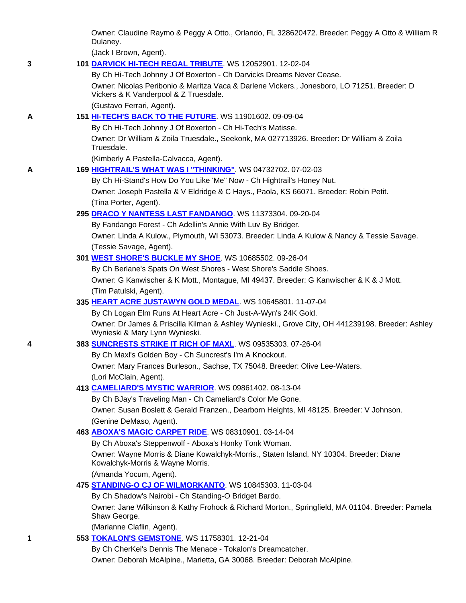Owner: Claudine Raymo & Peggy A Otto., Orlando, FL 328620472. Breeder: Peggy A Otto & William R Dulaney.

(Jack I Brown, Agent).

**3 101 DARVICK HI-TECH REGAL TRIBUTE**. WS 12052901. 12-02-04

By Ch Hi-Tech Johnny J Of Boxerton - Ch Darvicks Dreams Never Cease.

 Owner: Nicolas Peribonio & Maritza Vaca & Darlene Vickers., Jonesboro, LO 71251. Breeder: D Vickers & K Vanderpool & Z Truesdale.

(Gustavo Ferrari, Agent).

# **A 151 HI-TECH'S BACK TO THE FUTURE**. WS 11901602. 09-09-04

By Ch Hi-Tech Johnny J Of Boxerton - Ch Hi-Tech's Matisse.

 Owner: Dr William & Zoila Truesdale., Seekonk, MA 027713926. Breeder: Dr William & Zoila Truesdale.

(Kimberly A Pastella-Calvacca, Agent).

**A 169 HIGHTRAIL'S WHAT WAS I "THINKING"**. WS 04732702. 07-02-03

 By Ch Hi-Stand's How Do You Like 'Me" Now - Ch Hightrail's Honey Nut. Owner: Joseph Pastella & V Eldridge & C Hays., Paola, KS 66071. Breeder: Robin Petit. (Tina Porter, Agent).

#### **295 DRACO Y NANTESS LAST FANDANGO**. WS 11373304. 09-20-04

By Fandango Forest - Ch Adellin's Annie With Luv By Bridger.

 Owner: Linda A Kulow., Plymouth, WI 53073. Breeder: Linda A Kulow & Nancy & Tessie Savage. (Tessie Savage, Agent).

#### **301 WEST SHORE'S BUCKLE MY SHOE**. WS 10685502. 09-26-04

 By Ch Berlane's Spats On West Shores - West Shore's Saddle Shoes. Owner: G Kanwischer & K Mott., Montague, MI 49437. Breeder: G Kanwischer & K & J Mott. (Tim Patulski, Agent).

#### **335 HEART ACRE JUSTAWYN GOLD MEDAL**. WS 10645801. 11-07-04

 By Ch Logan Elm Runs At Heart Acre - Ch Just-A-Wyn's 24K Gold. Owner: Dr James & Priscilla Kilman & Ashley Wynieski., Grove City, OH 441239198. Breeder: Ashley Wynieski & Mary Lynn Wynieski.

#### **4 383 SUNCRESTS STRIKE IT RICH OF MAXL**. WS 09535303. 07-26-04

 By Ch Maxl's Golden Boy - Ch Suncrest's I'm A Knockout. Owner: Mary Frances Burleson., Sachse, TX 75048. Breeder: Olive Lee-Waters. (Lori McClain, Agent).

#### **413 CAMELIARD'S MYSTIC WARRIOR**. WS 09861402. 08-13-04

By Ch BJay's Traveling Man - Ch Cameliard's Color Me Gone.

 Owner: Susan Boslett & Gerald Franzen., Dearborn Heights, MI 48125. Breeder: V Johnson. (Genine DeMaso, Agent).

#### **463 ABOXA'S MAGIC CARPET RIDE**. WS 08310901. 03-14-04

 By Ch Aboxa's Steppenwolf - Aboxa's Honky Tonk Woman. Owner: Wayne Morris & Diane Kowalchyk-Morris., Staten Island, NY 10304. Breeder: Diane Kowalchyk-Morris & Wayne Morris. (Amanda Yocum, Agent).

#### **475 STANDING-O CJ OF WILMORKANTO**. WS 10845303. 11-03-04

By Ch Shadow's Nairobi - Ch Standing-O Bridget Bardo.

 Owner: Jane Wilkinson & Kathy Frohock & Richard Morton., Springfield, MA 01104. Breeder: Pamela Shaw George.

(Marianne Claflin, Agent).

### **1 553 TOKALON'S GEMSTONE**. WS 11758301. 12-21-04

By Ch CherKei's Dennis The Menace - Tokalon's Dreamcatcher.

Owner: Deborah McAlpine., Marietta, GA 30068. Breeder: Deborah McAlpine.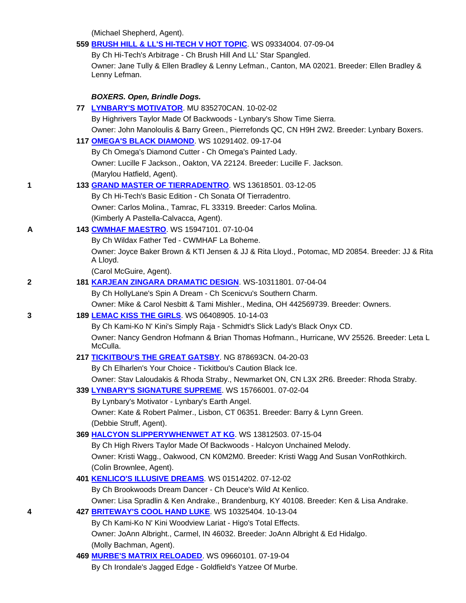(Michael Shepherd, Agent).

|   | 559 BRUSH HILL & LL'S HI-TECH V HOT TOPIC. WS 09334004. 07-09-04                                                                                                          |  |
|---|---------------------------------------------------------------------------------------------------------------------------------------------------------------------------|--|
|   | By Ch Hi-Tech's Arbitrage - Ch Brush Hill And LL' Star Spangled.                                                                                                          |  |
|   | Owner: Jane Tully & Ellen Bradley & Lenny Lefman., Canton, MA 02021. Breeder: Ellen Bradley &<br>Lenny Lefman.                                                            |  |
|   | <b>BOXERS. Open, Brindle Dogs.</b>                                                                                                                                        |  |
|   | 77 LYNBARY'S MOTIVATOR. MU 835270CAN. 10-02-02                                                                                                                            |  |
|   | By Highrivers Taylor Made Of Backwoods - Lynbary's Show Time Sierra.                                                                                                      |  |
|   | Owner: John Manoloulis & Barry Green., Pierrefonds QC, CN H9H 2W2. Breeder: Lynbary Boxers.                                                                               |  |
|   | 117 OMEGA'S BLACK DIAMOND. WS 10291402. 09-17-04                                                                                                                          |  |
|   | By Ch Omega's Diamond Cutter - Ch Omega's Painted Lady.                                                                                                                   |  |
|   | Owner: Lucille F Jackson., Oakton, VA 22124. Breeder: Lucille F. Jackson.                                                                                                 |  |
|   | (Marylou Hatfield, Agent).                                                                                                                                                |  |
| 1 | 133 GRAND MASTER OF TIERRADENTRO. WS 13618501. 03-12-05                                                                                                                   |  |
|   | By Ch Hi-Tech's Basic Edition - Ch Sonata Of Tierradentro.                                                                                                                |  |
|   | Owner: Carlos Molina., Tamrac, FL 33319. Breeder: Carlos Molina.                                                                                                          |  |
|   | (Kimberly A Pastella-Calvacca, Agent).                                                                                                                                    |  |
| A | 143 CWMHAF MAESTRO. WS 15947101. 07-10-04                                                                                                                                 |  |
|   | By Ch Wildax Father Ted - CWMHAF La Boheme.                                                                                                                               |  |
|   | Owner: Joyce Baker Brown & KTI Jensen & JJ & Rita Lloyd., Potomac, MD 20854. Breeder: JJ & Rita<br>A Lloyd.                                                               |  |
|   | (Carol McGuire, Agent).                                                                                                                                                   |  |
| 2 | 181 KARJEAN ZINGARA DRAMATIC DESIGN. WS-10311801. 07-04-04                                                                                                                |  |
|   | By Ch HollyLane's Spin A Dream - Ch Scenicvu's Southern Charm.                                                                                                            |  |
|   | Owner: Mike & Carol Nesbitt & Tami Mishler., Medina, OH 442569739. Breeder: Owners.                                                                                       |  |
| 3 | 189 LEMAC KISS THE GIRLS. WS 06408905. 10-14-03                                                                                                                           |  |
|   | By Ch Kami-Ko N' Kini's Simply Raja - Schmidt's Slick Lady's Black Onyx CD.<br>Owner: Nancy Gendron Hofmann & Brian Thomas Hofmann., Hurricane, WV 25526. Breeder: Leta L |  |
|   | McCulla.                                                                                                                                                                  |  |
|   | 217 TICKITBOU'S THE GREAT GATSBY. NG 878693CN. 04-20-03                                                                                                                   |  |
|   | By Ch Elharlen's Your Choice - Tickitbou's Caution Black Ice.                                                                                                             |  |
|   | Owner: Stav Laloudakis & Rhoda Straby., Newmarket ON, CN L3X 2R6. Breeder: Rhoda Straby.<br>339 LYNBARY'S SIGNATURE SUPREME. WS 15766001. 07-02-04                        |  |
|   | By Lynbary's Motivator - Lynbary's Earth Angel.                                                                                                                           |  |
|   | Owner: Kate & Robert Palmer., Lisbon, CT 06351. Breeder: Barry & Lynn Green.                                                                                              |  |
|   | (Debbie Struff, Agent).                                                                                                                                                   |  |
|   | 369 HALCYON SLIPPERYWHENWET AT KG. WS 13812503. 07-15-04                                                                                                                  |  |
|   | By Ch High Rivers Taylor Made Of Backwoods - Halcyon Unchained Melody.                                                                                                    |  |
|   | Owner: Kristi Wagg., Oakwood, CN K0M2M0. Breeder: Kristi Wagg And Susan VonRothkirch.                                                                                     |  |
|   | (Colin Brownlee, Agent).                                                                                                                                                  |  |
|   | 401 KENLICO'S ILLUSIVE DREAMS. WS 01514202. 07-12-02                                                                                                                      |  |
|   | By Ch Brookwoods Dream Dancer - Ch Deuce's Wild At Kenlico.                                                                                                               |  |
|   | Owner: Lisa Spradlin & Ken Andrake., Brandenburg, KY 40108. Breeder: Ken & Lisa Andrake.                                                                                  |  |
| 4 | 427 BRITEWAY'S COOL HAND LUKE. WS 10325404. 10-13-04                                                                                                                      |  |
|   | By Ch Kami-Ko N' Kini Woodview Lariat - Higo's Total Effects.                                                                                                             |  |
|   | Owner: JoAnn Albright., Carmel, IN 46032. Breeder: JoAnn Albright & Ed Hidalgo.                                                                                           |  |
|   | (Molly Bachman, Agent).                                                                                                                                                   |  |
|   | 469 <b>MURBE'S MATRIX RELOADED</b> . WS 09660101. 07-19-04                                                                                                                |  |
|   | By Ch Irondale's Jagged Edge - Goldfield's Yatzee Of Murbe.                                                                                                               |  |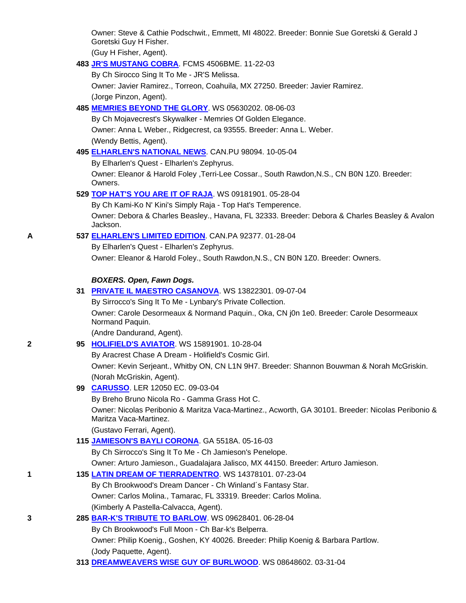Owner: Steve & Cathie Podschwit., Emmett, MI 48022. Breeder: Bonnie Sue Goretski & Gerald J Goretski Guy H Fisher.

(Guy H Fisher, Agent).

# **483 JR'S MUSTANG COBRA**. FCMS 4506BME. 11-22-03

By Ch Sirocco Sing It To Me - JR'S Melissa.

 Owner: Javier Ramirez., Torreon, Coahuila, MX 27250. Breeder: Javier Ramirez. (Jorge Pinzon, Agent).

# **485 MEMRIES BEYOND THE GLORY**. WS 05630202. 08-06-03

 By Ch Mojavecrest's Skywalker - Memries Of Golden Elegance. Owner: Anna L Weber., Ridgecrest, ca 93555. Breeder: Anna L. Weber. (Wendy Bettis, Agent).

# **495 ELHARLEN'S NATIONAL NEWS**. CAN.PU 98094. 10-05-04

By Elharlen's Quest - Elharlen's Zephyrus.

 Owner: Eleanor & Harold Foley ,Terri-Lee Cossar., South Rawdon,N.S., CN B0N 1Z0. Breeder: Owners.

# **529 TOP HAT'S YOU ARE IT OF RAJA**. WS 09181901. 05-28-04

By Ch Kami-Ko N' Kini's Simply Raja - Top Hat's Temperence.

 Owner: Debora & Charles Beasley., Havana, FL 32333. Breeder: Debora & Charles Beasley & Avalon Jackson.

# **A 537 ELHARLEN'S LIMITED EDITION**. CAN.PA 92377. 01-28-04

 By Elharlen's Quest - Elharlen's Zephyrus. Owner: Eleanor & Harold Foley., South Rawdon,N.S., CN B0N 1Z0. Breeder: Owners.

# *BOXERS. Open, Fawn Dogs.*

|  |  |  |  | 31 PRIVATE IL MAESTRO CASANOVA. WS 13822301. 09-07-04 |  |
|--|--|--|--|-------------------------------------------------------|--|
|--|--|--|--|-------------------------------------------------------|--|

By Sirrocco's Sing It To Me - Lynbary's Private Collection.

 Owner: Carole Desormeaux & Normand Paquin., Oka, CN j0n 1e0. Breeder: Carole Desormeaux Normand Paquin.

(Andre Dandurand, Agent).

# **2 95 HOLIFIELD'S AVIATOR**. WS 15891901. 10-28-04

By Aracrest Chase A Dream - Holifield's Cosmic Girl.

 Owner: Kevin Serjeant., Whitby ON, CN L1N 9H7. Breeder: Shannon Bouwman & Norah McGriskin. (Norah McGriskin, Agent).

# **99 CARUSSO**. LER 12050 EC. 09-03-04

By Breho Bruno Nicola Ro - Gamma Grass Hot C.

 Owner: Nicolas Peribonio & Maritza Vaca-Martinez., Acworth, GA 30101. Breeder: Nicolas Peribonio & Maritza Vaca-Martinez.

(Gustavo Ferrari, Agent).

# **115 JAMIESON'S BAYLI CORONA**. GA 5518A. 05-16-03

By Ch Sirrocco's Sing It To Me - Ch Jamieson's Penelope.

Owner: Arturo Jamieson., Guadalajara Jalisco, MX 44150. Breeder: Arturo Jamieson.

# **1 135 LATIN DREAM OF TIERRADENTRO**. WS 14378101. 07-23-04

By Ch Brookwood's Dream Dancer - Ch Winland´s Fantasy Star.

Owner: Carlos Molina., Tamarac, FL 33319. Breeder: Carlos Molina.

(Kimberly A Pastella-Calvacca, Agent).

**3 285 BAR-K'S TRIBUTE TO BARLOW**. WS 09628401. 06-28-04

By Ch Brookwood's Full Moon - Ch Bar-k's Belperra.

 Owner: Philip Koenig., Goshen, KY 40026. Breeder: Philip Koenig & Barbara Partlow. (Jody Paquette, Agent).

**313 DREAMWEAVERS WISE GUY OF BURLWOOD**. WS 08648602. 03-31-04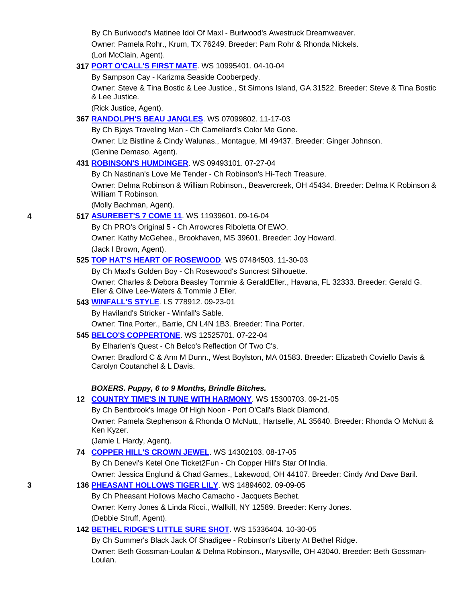By Ch Burlwood's Matinee Idol Of Maxl - Burlwood's Awestruck Dreamweaver. Owner: Pamela Rohr., Krum, TX 76249. Breeder: Pam Rohr & Rhonda Nickels. (Lori McClain, Agent).

### **317 PORT O'CALL'S FIRST MATE**. WS 10995401. 04-10-04

By Sampson Cay - Karizma Seaside Cooberpedy.

 Owner: Steve & Tina Bostic & Lee Justice., St Simons Island, GA 31522. Breeder: Steve & Tina Bostic & Lee Justice.

(Rick Justice, Agent).

# **367 RANDOLPH'S BEAU JANGLES**. WS 07099802. 11-17-03

By Ch Bjays Traveling Man - Ch Cameliard's Color Me Gone.

 Owner: Liz Bistline & Cindy Walunas., Montague, MI 49437. Breeder: Ginger Johnson. (Genine Demaso, Agent).

# **431 ROBINSON'S HUMDINGER**. WS 09493101. 07-27-04

By Ch Nastinan's Love Me Tender - Ch Robinson's Hi-Tech Treasure.

 Owner: Delma Robinson & William Robinson., Beavercreek, OH 45434. Breeder: Delma K Robinson & William T Robinson.

(Molly Bachman, Agent).

# **4 517 ASUREBET'S 7 COME 11**. WS 11939601. 09-16-04

By Ch PRO's Original 5 - Ch Arrowcres Riboletta Of EWO.

Owner: Kathy McGehee., Brookhaven, MS 39601. Breeder: Joy Howard.

(Jack I Brown, Agent).

# **525 TOP HAT'S HEART OF ROSEWOOD**. WS 07484503. 11-30-03

By Ch Maxl's Golden Boy - Ch Rosewood's Suncrest Silhouette.

 Owner: Charles & Debora Beasley Tommie & GeraldEller., Havana, FL 32333. Breeder: Gerald G. Eller & Olive Lee-Waters & Tommie J Eller.

# **543 WINFALL'S STYLE**. LS 778912. 09-23-01

By Haviland's Stricker - Winfall's Sable.

Owner: Tina Porter., Barrie, CN L4N 1B3. Breeder: Tina Porter.

# **545 BELCO'S COPPERTONE**. WS 12525701. 07-22-04

By Elharlen's Quest - Ch Belco's Reflection Of Two C's.

 Owner: Bradford C & Ann M Dunn., West Boylston, MA 01583. Breeder: Elizabeth Coviello Davis & Carolyn Coutanchel & L Davis.

# *BOXERS. Puppy, 6 to 9 Months, Brindle Bitches.*

# **12 COUNTRY TIME'S IN TUNE WITH HARMONY**. WS 15300703. 09-21-05

By Ch Bentbrook's Image Of High Noon - Port O'Call's Black Diamond.

 Owner: Pamela Stephenson & Rhonda O McNutt., Hartselle, AL 35640. Breeder: Rhonda O McNutt & Ken Kyzer.

(Jamie L Hardy, Agent).

# **74 COPPER HILL'S CROWN JEWEL**. WS 14302103. 08-17-05

 By Ch Denevi's Ketel One Ticket2Fun - Ch Copper Hill's Star Of India. Owner: Jessica Englund & Chad Garnes., Lakewood, OH 44107. Breeder: Cindy And Dave Baril.

# **3 136 PHEASANT HOLLOWS TIGER LILY**. WS 14894602. 09-09-05

 By Ch Pheasant Hollows Macho Camacho - Jacquets Bechet. Owner: Kerry Jones & Linda Ricci., Wallkill, NY 12589. Breeder: Kerry Jones. (Debbie Struff, Agent).

# **142 BETHEL RIDGE'S LITTLE SURE SHOT**. WS 15336404. 10-30-05

 By Ch Summer's Black Jack Of Shadigee - Robinson's Liberty At Bethel Ridge. Owner: Beth Gossman-Loulan & Delma Robinson., Marysville, OH 43040. Breeder: Beth Gossman-Loulan.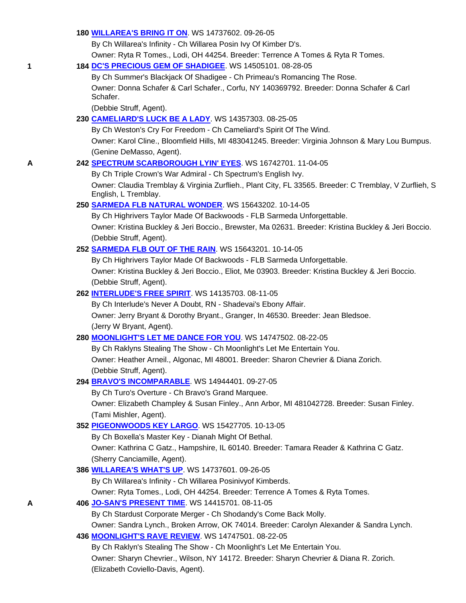### **180 WILLAREA'S BRING IT ON**. WS 14737602. 09-26-05

By Ch Willarea's Infinity - Ch Willarea Posin Ivy Of Kimber D's.

Owner: Ryta R Tomes., Lodi, OH 44254. Breeder: Terrence A Tomes & Ryta R Tomes.

#### **1 184 DC'S PRECIOUS GEM OF SHADIGEE**. WS 14505101. 08-28-05

 By Ch Summer's Blackjack Of Shadigee - Ch Primeau's Romancing The Rose. Owner: Donna Schafer & Carl Schafer., Corfu, NY 140369792. Breeder: Donna Schafer & Carl Schafer.

(Debbie Struff, Agent).

#### **230 CAMELIARD'S LUCK BE A LADY**. WS 14357303. 08-25-05

By Ch Weston's Cry For Freedom - Ch Cameliard's Spirit Of The Wind.

 Owner: Karol Cline., Bloomfield Hills, MI 483041245. Breeder: Virginia Johnson & Mary Lou Bumpus. (Genine DeMasso, Agent).

#### **A 242 SPECTRUM SCARBOROUGH LYIN' EYES**. WS 16742701. 11-04-05

 By Ch Triple Crown's War Admiral - Ch Spectrum's English Ivy. Owner: Claudia Tremblay & Virginia Zurflieh., Plant City, FL 33565. Breeder: C Tremblay, V Zurflieh, S English, L Tremblay.

#### **250 SARMEDA FLB NATURAL WONDER**. WS 15643202. 10-14-05

By Ch Highrivers Taylor Made Of Backwoods - FLB Sarmeda Unforgettable.

 Owner: Kristina Buckley & Jeri Boccio., Brewster, Ma 02631. Breeder: Kristina Buckley & Jeri Boccio. (Debbie Struff, Agent).

#### **252 SARMEDA FLB OUT OF THE RAIN**. WS 15643201. 10-14-05

By Ch Highrivers Taylor Made Of Backwoods - FLB Sarmeda Unforgettable.

 Owner: Kristina Buckley & Jeri Boccio., Eliot, Me 03903. Breeder: Kristina Buckley & Jeri Boccio. (Debbie Struff, Agent).

### **262 INTERLUDE'S FREE SPIRIT**. WS 14135703. 08-11-05

By Ch Interlude's Never A Doubt, RN - Shadevai's Ebony Affair.

 Owner: Jerry Bryant & Dorothy Bryant., Granger, In 46530. Breeder: Jean Bledsoe. (Jerry W Bryant, Agent).

#### **280 MOONLIGHT'S LET ME DANCE FOR YOU**. WS 14747502. 08-22-05

 By Ch Raklyns Stealing The Show - Ch Moonlight's Let Me Entertain You. Owner: Heather Arneil., Algonac, MI 48001. Breeder: Sharon Chevrier & Diana Zorich. (Debbie Struff, Agent).

# **294 BRAVO'S INCOMPARABLE**. WS 14944401. 09-27-05

By Ch Turo's Overture - Ch Bravo's Grand Marquee.

 Owner: Elizabeth Champley & Susan Finley., Ann Arbor, MI 481042728. Breeder: Susan Finley. (Tami Mishler, Agent).

#### **352 PIGEONWOODS KEY LARGO**. WS 15427705. 10-13-05

By Ch Boxella's Master Key - Dianah Might Of Bethal.

 Owner: Kathrina C Gatz., Hampshire, IL 60140. Breeder: Tamara Reader & Kathrina C Gatz. (Sherry Canciamille, Agent).

#### **386 WILLAREA'S WHAT'S UP**. WS 14737601. 09-26-05

By Ch Willarea's Infinity - Ch Willarea Posinivyof Kimberds.

Owner: Ryta Tomes., Lodi, OH 44254. Breeder: Terrence A Tomes & Ryta Tomes.

#### **A 406 JO-SAN'S PRESENT TIME**. WS 14415701. 08-11-05

By Ch Stardust Corporate Merger - Ch Shodandy's Come Back Molly.

Owner: Sandra Lynch., Broken Arrow, OK 74014. Breeder: Carolyn Alexander & Sandra Lynch.

#### **436 MOONLIGHT'S RAVE REVIEW**. WS 14747501. 08-22-05

 By Ch Raklyn's Stealing The Show - Ch Moonlight's Let Me Entertain You. Owner: Sharyn Chevrier., Wilson, NY 14172. Breeder: Sharyn Chevrier & Diana R. Zorich. (Elizabeth Coviello-Davis, Agent).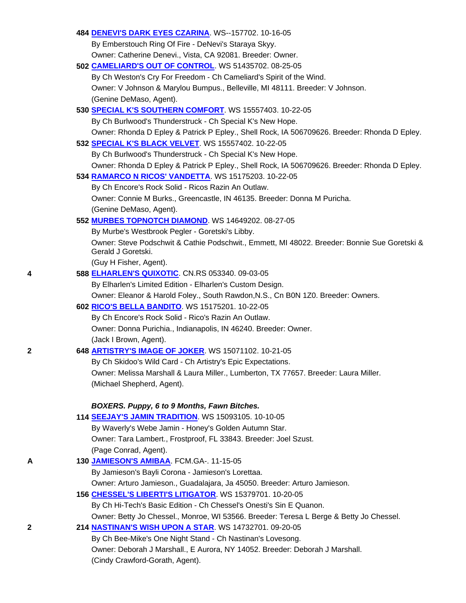|   | 484 DENEVI'S DARK EYES CZARINA. WS--157702. 10-16-05                                                               |
|---|--------------------------------------------------------------------------------------------------------------------|
|   | By Emberstouch Ring Of Fire - DeNevi's Staraya Skyy.                                                               |
|   | Owner: Catherine Denevi., Vista, CA 92081. Breeder: Owner.                                                         |
|   | 502 CAMELIARD'S OUT OF CONTROL. WS 51435702. 08-25-05                                                              |
|   | By Ch Weston's Cry For Freedom - Ch Cameliard's Spirit of the Wind.                                                |
|   | Owner: V Johnson & Marylou Bumpus., Belleville, MI 48111. Breeder: V Johnson.                                      |
|   | (Genine DeMaso, Agent).                                                                                            |
|   | 530 SPECIAL K'S SOUTHERN COMFORT. WS 15557403. 10-22-05                                                            |
|   | By Ch Burlwood's Thunderstruck - Ch Special K's New Hope.                                                          |
|   | Owner: Rhonda D Epley & Patrick P Epley., Shell Rock, IA 506709626. Breeder: Rhonda D Epley.                       |
|   | 532 SPECIAL K'S BLACK VELVET. WS 15557402. 10-22-05                                                                |
|   | By Ch Burlwood's Thunderstruck - Ch Special K's New Hope.                                                          |
|   | Owner: Rhonda D Epley & Patrick P Epley., Shell Rock, IA 506709626. Breeder: Rhonda D Epley.                       |
|   | 534 RAMARCO N RICOS' VANDETTA. WS 15175203. 10-22-05                                                               |
|   | By Ch Encore's Rock Solid - Ricos Razin An Outlaw.                                                                 |
|   | Owner: Connie M Burks., Greencastle, IN 46135. Breeder: Donna M Puricha.                                           |
|   | (Genine DeMaso, Agent).                                                                                            |
|   | 552 MURBES TOPNOTCH DIAMOND. WS 14649202. 08-27-05                                                                 |
|   | By Murbe's Westbrook Pegler - Goretski's Libby.                                                                    |
|   | Owner: Steve Podschwit & Cathie Podschwit., Emmett, MI 48022. Breeder: Bonnie Sue Goretski &<br>Gerald J Goretski. |
|   | (Guy H Fisher, Agent).                                                                                             |
| 4 | 588 ELHARLEN'S QUIXOTIC. CN.RS 053340. 09-03-05                                                                    |
|   | By Elharlen's Limited Edition - Elharlen's Custom Design.                                                          |
|   | Owner: Eleanor & Harold Foley., South Rawdon, N.S., Cn B0N 1Z0. Breeder: Owners.                                   |
|   | 602 RICO'S BELLA BANDITO. WS 15175201. 10-22-05                                                                    |
|   | By Ch Encore's Rock Solid - Rico's Razin An Outlaw.                                                                |
|   | Owner: Donna Purichia., Indianapolis, IN 46240. Breeder: Owner.                                                    |
|   | (Jack I Brown, Agent).                                                                                             |
| 2 | 648 ARTISTRY'S IMAGE OF JOKER. WS 15071102. 10-21-05                                                               |
|   | By Ch Skidoo's Wild Card - Ch Artistry's Epic Expectations.                                                        |
|   | Owner: Melissa Marshall & Laura Miller., Lumberton, TX 77657. Breeder: Laura Miller.                               |
|   | (Michael Shepherd, Agent).                                                                                         |
|   |                                                                                                                    |
|   | BOXERS. Puppy, 6 to 9 Months, Fawn Bitches.                                                                        |
|   | 114 SEEJAY'S JAMIN TRADITION. WS 15093105. 10-10-05                                                                |
|   | By Waverly's Webe Jamin - Honey's Golden Autumn Star.                                                              |
|   | Owner: Tara Lambert., Frostproof, FL 33843. Breeder: Joel Szust.                                                   |
|   | (Page Conrad, Agent).                                                                                              |
| Α | 130 JAMIESON'S AMIBAA. FCM.GA-. 11-15-05                                                                           |
|   | By Jamieson's Bayli Corona - Jamieson's Lorettaa.                                                                  |
|   | Owner: Arturo Jamieson., Guadalajara, Ja 45050. Breeder: Arturo Jamieson.                                          |
|   | 156 CHESSEL'S LIBERTI'S LITIGATOR. WS 15379701. 10-20-05                                                           |
|   | By Ch Hi-Tech's Basic Edition - Ch Chessel's Onesti's Sin E Quanon.                                                |
|   | Owner: Betty Jo Chessel., Monroe, WI 53566. Breeder: Teresa L Berge & Betty Jo Chessel.                            |
| 2 | 214 <b>NASTINAN'S WISH UPON A STAR.</b> WS 14732701. 09-20-05                                                      |
|   | By Ch Bee-Mike's One Night Stand - Ch Nastinan's Lovesong.                                                         |
|   | Owner: Deborah J Marshall., E Aurora, NY 14052. Breeder: Deborah J Marshall.                                       |
|   | (Cindy Crawford-Gorath, Agent).                                                                                    |
|   |                                                                                                                    |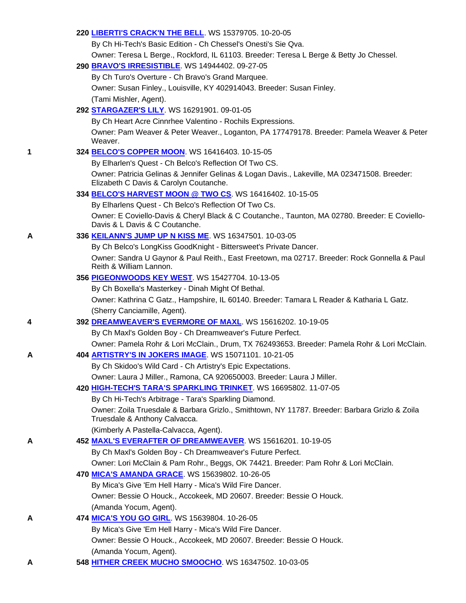# **220 LIBERTI'S CRACK'N THE BELL**. WS 15379705. 10-20-05

By Ch Hi-Tech's Basic Edition - Ch Chessel's Onesti's Sie Qva.

Owner: Teresa L Berge., Rockford, IL 61103. Breeder: Teresa L Berge & Betty Jo Chessel.

### **290 BRAVO'S IRRESISTIBLE**. WS 14944402. 09-27-05

 By Ch Turo's Overture - Ch Bravo's Grand Marquee. Owner: Susan Finley., Louisville, KY 402914043. Breeder: Susan Finley. (Tami Mishler, Agent).

# **292 STARGAZER'S LILY**. WS 16291901. 09-01-05

By Ch Heart Acre Cinnrhee Valentino - Rochils Expressions.

 Owner: Pam Weaver & Peter Weaver., Loganton, PA 177479178. Breeder: Pamela Weaver & Peter Weaver.

# **1 324 BELCO'S COPPER MOON**. WS 16416403. 10-15-05

By Elharlen's Quest - Ch Belco's Reflection Of Two CS.

 Owner: Patricia Gelinas & Jennifer Gelinas & Logan Davis., Lakeville, MA 023471508. Breeder: Elizabeth C Davis & Carolyn Coutanche.

# **334 BELCO'S HARVEST MOON @ TWO CS**. WS 16416402. 10-15-05

By Elharlens Quest - Ch Belco's Reflection Of Two Cs.

 Owner: E Coviello-Davis & Cheryl Black & C Coutanche., Taunton, MA 02780. Breeder: E Coviello-Davis & L Davis & C Coutanche.

# **A 336 KEILANN'S JUMP UP N KISS ME**. WS 16347501. 10-03-05

By Ch Belco's LongKiss GoodKnight - Bittersweet's Private Dancer.

 Owner: Sandra U Gaynor & Paul Reith., East Freetown, ma 02717. Breeder: Rock Gonnella & Paul Reith & William Lannon.

# **356 PIGEONWOODS KEY WEST**. WS 15427704. 10-13-05

By Ch Boxella's Masterkey - Dinah Might Of Bethal.

 Owner: Kathrina C Gatz., Hampshire, IL 60140. Breeder: Tamara L Reader & Katharia L Gatz. (Sherry Canciamille, Agent).

# **4 392 DREAMWEAVER'S EVERMORE OF MAXL**. WS 15616202. 10-19-05

By Ch Maxl's Golden Boy - Ch Dreamweaver's Future Perfect.

Owner: Pamela Rohr & Lori McClain., Drum, TX 762493653. Breeder: Pamela Rohr & Lori McClain.

# **A 404 ARTISTRY'S IN JOKERS IMAGE**. WS 15071101. 10-21-05

 By Ch Skidoo's Wild Card - Ch Artistry's Epic Expectations. Owner: Laura J Miller., Ramona, CA 920650003. Breeder: Laura J Miller.

# **420 HIGH-TECH'S TARA'S SPARKLING TRINKET**. WS 16695802. 11-07-05

By Ch Hi-Tech's Arbitrage - Tara's Sparkling Diamond.

 Owner: Zoila Truesdale & Barbara Grizlo., Smithtown, NY 11787. Breeder: Barbara Grizlo & Zoila Truesdale & Anthony Calvacca.

# (Kimberly A Pastella-Calvacca, Agent).

# **A 452 MAXL'S EVERAFTER OF DREAMWEAVER**. WS 15616201. 10-19-05

By Ch Maxl's Golden Boy - Ch Dreamweaver's Future Perfect.

Owner: Lori McClain & Pam Rohr., Beggs, OK 74421. Breeder: Pam Rohr & Lori McClain.

# **470 MICA'S AMANDA GRACE**. WS 15639802. 10-26-05

By Mica's Give 'Em Hell Harry - Mica's Wild Fire Dancer.

 Owner: Bessie O Houck., Accokeek, MD 20607. Breeder: Bessie O Houck. (Amanda Yocum, Agent).

# **A 474 MICA'S YOU GO GIRL**. WS 15639804. 10-26-05

By Mica's Give 'Em Hell Harry - Mica's Wild Fire Dancer.

 Owner: Bessie O Houck., Accokeek, MD 20607. Breeder: Bessie O Houck. (Amanda Yocum, Agent).

**A 548 HITHER CREEK MUCHO SMOOCHO**. WS 16347502. 10-03-05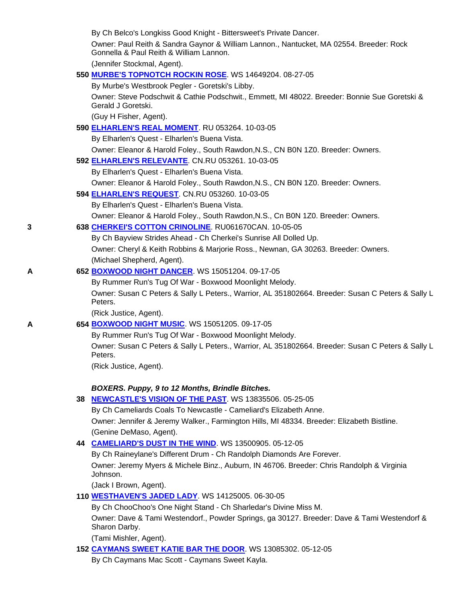|   | By Ch Belco's Longkiss Good Knight - Bittersweet's Private Dancer.                                                                 |
|---|------------------------------------------------------------------------------------------------------------------------------------|
|   | Owner: Paul Reith & Sandra Gaynor & William Lannon., Nantucket, MA 02554. Breeder: Rock<br>Gonnella & Paul Reith & William Lannon. |
|   | (Jennifer Stockmal, Agent).                                                                                                        |
|   | 550 MURBE'S TOPNOTCH ROCKIN ROSE. WS 14649204. 08-27-05                                                                            |
|   | By Murbe's Westbrook Pegler - Goretski's Libby.                                                                                    |
|   | Owner: Steve Podschwit & Cathie Podschwit., Emmett, MI 48022. Breeder: Bonnie Sue Goretski &<br>Gerald J Goretski.                 |
|   | (Guy H Fisher, Agent).                                                                                                             |
|   | 590 ELHARLEN'S REAL MOMENT. RU 053264. 10-03-05                                                                                    |
|   | By Elharlen's Quest - Elharlen's Buena Vista.                                                                                      |
|   | Owner: Eleanor & Harold Foley., South Rawdon, N.S., CN BON 1Z0. Breeder: Owners.                                                   |
|   | 592 <b>ELHARLEN'S RELEVANTE.</b> CN.RU 053261. 10-03-05                                                                            |
|   | By Elharlen's Quest - Elharlen's Buena Vista.                                                                                      |
|   | Owner: Eleanor & Harold Foley., South Rawdon, N.S., CN BON 1Z0. Breeder: Owners.                                                   |
|   | 594 ELHARLEN'S REQUEST. CN.RU 053260. 10-03-05                                                                                     |
|   | By Elharlen's Quest - Elharlen's Buena Vista.                                                                                      |
|   | Owner: Eleanor & Harold Foley., South Rawdon, N.S., Cn B0N 1Z0. Breeder: Owners.                                                   |
| 3 | 638 CHERKEI'S COTTON CRINOLINE. RU061670CAN. 10-05-05                                                                              |
|   | By Ch Bayview Strides Ahead - Ch Cherkei's Sunrise All Dolled Up.                                                                  |
|   | Owner: Cheryl & Keith Robbins & Marjorie Ross., Newnan, GA 30263. Breeder: Owners.                                                 |
|   | (Michael Shepherd, Agent).                                                                                                         |
| Α | 652 BOXWOOD NIGHT DANCER. WS 15051204. 09-17-05                                                                                    |
|   | By Rummer Run's Tug Of War - Boxwood Moonlight Melody.                                                                             |
|   | Owner: Susan C Peters & Sally L Peters., Warrior, AL 351802664. Breeder: Susan C Peters & Sally L<br>Peters.                       |
|   | (Rick Justice, Agent).                                                                                                             |
| А | 654 BOXWOOD NIGHT MUSIC. WS 15051205. 09-17-05                                                                                     |
|   | By Rummer Run's Tug Of War - Boxwood Moonlight Melody.                                                                             |
|   | Owner: Susan C Peters & Sally L Peters., Warrior, AL 351802664. Breeder: Susan C Peters & Sally L<br>Peters.                       |
|   | (Rick Justice, Agent).                                                                                                             |
|   |                                                                                                                                    |
|   | BOXERS. Puppy, 9 to 12 Months, Brindle Bitches.                                                                                    |
|   | 38 NEWCASTLE'S VISION OF THE PAST. WS 13835506. 05-25-05                                                                           |
|   | By Ch Cameliards Coals To Newcastle - Cameliard's Elizabeth Anne.                                                                  |
|   | Owner: Jennifer & Jeremy Walker., Farmington Hills, MI 48334. Breeder: Elizabeth Bistline.                                         |
|   | (Genine DeMaso, Agent).                                                                                                            |
|   | 44 CAMELIARD'S DUST IN THE WIND. WS 13500905. 05-12-05                                                                             |
|   | By Ch Raineylane's Different Drum - Ch Randolph Diamonds Are Forever.                                                              |
|   | Owner: Jeremy Myers & Michele Binz., Auburn, IN 46706. Breeder: Chris Randolph & Virginia<br>Johnson.                              |
|   | (Jack I Brown, Agent).                                                                                                             |
|   | 110 <b>WESTHAVEN'S JADED LADY</b> WS 14125005. 06-30-05                                                                            |
|   | By Ch ChooChoo's One Night Stand - Ch Sharledar's Divine Miss M.                                                                   |
|   | Owner: Dave & Tami Westendorf., Powder Springs, ga 30127. Breeder: Dave & Tami Westendorf &<br>Sharon Darby.                       |
|   | (Tami Mishler, Agent).                                                                                                             |
|   |                                                                                                                                    |

**152 CAYMANS SWEET KATIE BAR THE DOOR**. WS 13085302. 05-12-05

By Ch Caymans Mac Scott - Caymans Sweet Kayla.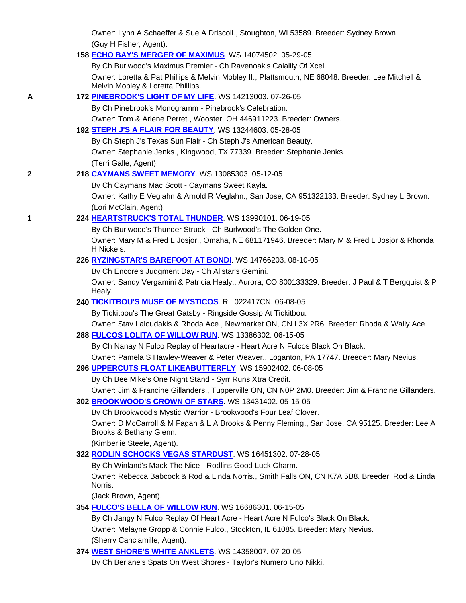Owner: Lynn A Schaeffer & Sue A Driscoll., Stoughton, WI 53589. Breeder: Sydney Brown. (Guy H Fisher, Agent).

#### **158 ECHO BAY'S MERGER OF MAXIMUS**. WS 14074502. 05-29-05

By Ch Burlwood's Maximus Premier - Ch Ravenoak's Calalily Of Xcel.

 Owner: Loretta & Pat Phillips & Melvin Mobley II., Plattsmouth, NE 68048. Breeder: Lee Mitchell & Melvin Mobley & Loretta Phillips.

#### **A 172 PINEBROOK'S LIGHT OF MY LIFE**. WS 14213003. 07-26-05

By Ch Pinebrook's Monogramm - Pinebrook's Celebration.

Owner: Tom & Arlene Perret., Wooster, OH 446911223. Breeder: Owners.

#### **192 STEPH J'S A FLAIR FOR BEAUTY**. WS 13244603. 05-28-05

 By Ch Steph J's Texas Sun Flair - Ch Steph J's American Beauty. Owner: Stephanie Jenks., Kingwood, TX 77339. Breeder: Stephanie Jenks. (Terri Galle, Agent).

#### **2 218 CAYMANS SWEET MEMORY**. WS 13085303. 05-12-05

By Ch Caymans Mac Scott - Caymans Sweet Kayla.

 Owner: Kathy E Veglahn & Arnold R Veglahn., San Jose, CA 951322133. Breeder: Sydney L Brown. (Lori McClain, Agent).

# **1 224 HEARTSTRUCK'S TOTAL THUNDER**. WS 13990101. 06-19-05

By Ch Burlwood's Thunder Struck - Ch Burlwood's The Golden One.

 Owner: Mary M & Fred L Josjor., Omaha, NE 681171946. Breeder: Mary M & Fred L Josjor & Rhonda H Nickels.

### **226 RYZINGSTAR'S BAREFOOT AT BONDI**. WS 14766203. 08-10-05

By Ch Encore's Judgment Day - Ch Allstar's Gemini.

 Owner: Sandy Vergamini & Patricia Healy., Aurora, CO 800133329. Breeder: J Paul & T Bergquist & P Healy.

#### **240 TICKITBOU'S MUSE OF MYSTICOS**. RL 022417CN. 06-08-05

By Tickitbou's The Great Gatsby - Ringside Gossip At Tickitbou.

Owner: Stav Laloudakis & Rhoda Ace., Newmarket ON, CN L3X 2R6. Breeder: Rhoda & Wally Ace.

#### **288 FULCOS LOLITA OF WILLOW RUN**. WS 13386302. 06-15-05

By Ch Nanay N Fulco Replay of Heartacre - Heart Acre N Fulcos Black On Black.

Owner: Pamela S Hawley-Weaver & Peter Weaver., Loganton, PA 17747. Breeder: Mary Nevius.

#### **296 UPPERCUTS FLOAT LIKEABUTTERFLY**. WS 15902402. 06-08-05

By Ch Bee Mike's One Night Stand - Syrr Runs Xtra Credit.

 Owner: Jim & Francine Gillanders., Tupperville ON, CN N0P 2M0. Breeder: Jim & Francine Gillanders. **302 BROOKWOOD'S CROWN OF STARS**. WS 13431402. 05-15-05

By Ch Brookwood's Mystic Warrior - Brookwood's Four Leaf Clover.

 Owner: D McCarroll & M Fagan & L A Brooks & Penny Fleming., San Jose, CA 95125. Breeder: Lee A Brooks & Bethany Glenn.

(Kimberlie Steele, Agent).

# **322 RODLIN SCHOCKS VEGAS STARDUST**. WS 16451302. 07-28-05

By Ch Winland's Mack The Nice - Rodlins Good Luck Charm.

 Owner: Rebecca Babcock & Rod & Linda Norris., Smith Falls ON, CN K7A 5B8. Breeder: Rod & Linda Norris.

(Jack Brown, Agent).

#### **354 FULCO'S BELLA OF WILLOW RUN**. WS 16686301. 06-15-05

By Ch Jangy N Fulco Replay Of Heart Acre - Heart Acre N Fulco's Black On Black.

 Owner: Melayne Gropp & Connie Fulco., Stockton, IL 61085. Breeder: Mary Nevius. (Sherry Canciamille, Agent).

#### **374 WEST SHORE'S WHITE ANKLETS**. WS 14358007. 07-20-05

By Ch Berlane's Spats On West Shores - Taylor's Numero Uno Nikki.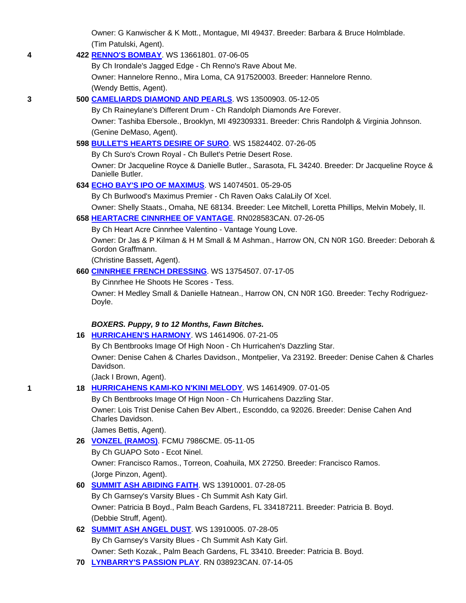Owner: G Kanwischer & K Mott., Montague, MI 49437. Breeder: Barbara & Bruce Holmblade. (Tim Patulski, Agent).

# **4 422 RENNO'S BOMBAY**. WS 13661801. 07-06-05

By Ch Irondale's Jagged Edge - Ch Renno's Rave About Me.

 Owner: Hannelore Renno., Mira Loma, CA 917520003. Breeder: Hannelore Renno. (Wendy Bettis, Agent).

# **3 500 CAMELIARDS DIAMOND AND PEARLS**. WS 13500903. 05-12-05

 By Ch Raineylane's Different Drum - Ch Randolph Diamonds Are Forever. Owner: Tashiba Ebersole., Brooklyn, MI 492309331. Breeder: Chris Randolph & Virginia Johnson. (Genine DeMaso, Agent).

# **598 BULLET'S HEARTS DESIRE OF SURO**. WS 15824402. 07-26-05

By Ch Suro's Crown Royal - Ch Bullet's Petrie Desert Rose.

 Owner: Dr Jacqueline Royce & Danielle Butler., Sarasota, FL 34240. Breeder: Dr Jacqueline Royce & Danielle Butler.

# **634 ECHO BAY'S IPO OF MAXIMUS**. WS 14074501. 05-29-05

By Ch Burlwood's Maximus Premier - Ch Raven Oaks CalaLily Of Xcel.

Owner: Shelly Staats., Omaha, NE 68134. Breeder: Lee Mitchell, Loretta Phillips, Melvin Mobely, II.

# **658 HEARTACRE CINNRHEE OF VANTAGE**. RN028583CAN. 07-26-05

By Ch Heart Acre Cinnrhee Valentino - Vantage Young Love.

 Owner: Dr Jas & P Kilman & H M Small & M Ashman., Harrow ON, CN N0R 1G0. Breeder: Deborah & Gordon Graffmann.

(Christine Bassett, Agent).

# **660 CINNRHEE FRENCH DRESSING**. WS 13754507. 07-17-05

By Cinnrhee He Shoots He Scores - Tess.

 Owner: H Medley Small & Danielle Hatnean., Harrow ON, CN N0R 1G0. Breeder: Techy Rodriguez-Doyle.

# *BOXERS. Puppy, 9 to 12 Months, Fawn Bitches.*

# **16 HURRICAHEN'S HARMONY**. WS 14614906. 07-21-05

By Ch Bentbrooks Image Of High Noon - Ch Hurricahen's Dazzling Star.

 Owner: Denise Cahen & Charles Davidson., Montpelier, Va 23192. Breeder: Denise Cahen & Charles Davidson.

(Jack I Brown, Agent).

**1 18 HURRICAHENS KAMI-KO N'KINI MELODY**. WS 14614909. 07-01-05

 By Ch Bentbrooks Image Of Hign Noon - Ch Hurricahens Dazzling Star. Owner: Lois Trist Denise Cahen Bev Albert., Esconddo, ca 92026. Breeder: Denise Cahen And Charles Davidson.

(James Bettis, Agent).

- **26 VONZEL (RAMOS)**. FCMU 7986CME. 05-11-05
	- By Ch GUAPO Soto Ecot Ninel.

 Owner: Francisco Ramos., Torreon, Coahuila, MX 27250. Breeder: Francisco Ramos. (Jorge Pinzon, Agent).

# **60 SUMMIT ASH ABIDING FAITH**. WS 13910001. 07-28-05

 By Ch Garnsey's Varsity Blues - Ch Summit Ash Katy Girl. Owner: Patricia B Boyd., Palm Beach Gardens, FL 334187211. Breeder: Patricia B. Boyd. (Debbie Struff, Agent).

# **62 SUMMIT ASH ANGEL DUST**. WS 13910005. 07-28-05 By Ch Garnsey's Varsity Blues - Ch Summit Ash Katy Girl. Owner: Seth Kozak., Palm Beach Gardens, FL 33410. Breeder: Patricia B. Boyd.

**70 LYNBARRY'S PASSION PLAY**. RN 038923CAN. 07-14-05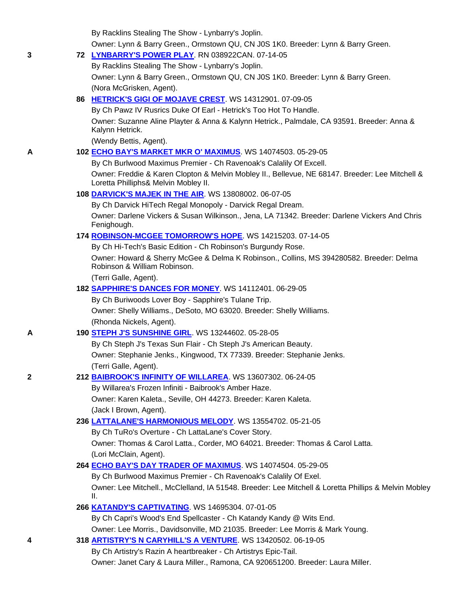By Racklins Stealing The Show - Lynbarry's Joplin.

Owner: Lynn & Barry Green., Ormstown QU, CN J0S 1K0. Breeder: Lynn & Barry Green.

|   | Owner. Lynn & Darry Green., Omnstown QO, ON JOS TRO. Dieeder. Lynn & Darry Green.                                                       |
|---|-----------------------------------------------------------------------------------------------------------------------------------------|
| 3 | 72 LYNBARRY'S POWER PLAY. RN 038922CAN. 07-14-05                                                                                        |
|   | By Racklins Stealing The Show - Lynbarry's Joplin.                                                                                      |
|   | Owner: Lynn & Barry Green., Ormstown QU, CN J0S 1K0. Breeder: Lynn & Barry Green.                                                       |
|   | (Nora McGrisken, Agent).                                                                                                                |
|   | 86 HETRICK'S GIGI OF MOJAVE CREST. WS 14312901. 07-09-05                                                                                |
|   | By Ch Pawz IV Rusrics Duke Of Earl - Hetrick's Too Hot To Handle.                                                                       |
|   | Owner: Suzanne Aline Playter & Anna & Kalynn Hetrick., Palmdale, CA 93591. Breeder: Anna &<br>Kalynn Hetrick.                           |
|   | (Wendy Bettis, Agent).                                                                                                                  |
| A | 102 ECHO BAY'S MARKET MKR O' MAXIMUS WS 14074503. 05-29-05                                                                              |
|   | By Ch Burlwood Maximus Premier - Ch Ravenoak's Calalily Of Excell.                                                                      |
|   | Owner: Freddie & Karen Clopton & Melvin Mobley II., Bellevue, NE 68147. Breeder: Lee Mitchell &<br>Loretta Philliphs& Melvin Mobley II. |
|   | 108 DARVICK'S MAJEK IN THE AIR. WS 13808002. 06-07-05                                                                                   |
|   | By Ch Darvick HiTech Regal Monopoly - Darvick Regal Dream.                                                                              |
|   | Owner: Darlene Vickers & Susan Wilkinson., Jena, LA 71342. Breeder: Darlene Vickers And Chris<br>Fenighough.                            |
|   | 174 ROBINSON-MCGEE TOMORROW'S HOPE. WS 14215203. 07-14-05                                                                               |
|   | By Ch Hi-Tech's Basic Edition - Ch Robinson's Burgundy Rose.                                                                            |
|   | Owner: Howard & Sherry McGee & Delma K Robinson., Collins, MS 394280582. Breeder: Delma<br>Robinson & William Robinson.                 |
|   | (Terri Galle, Agent).                                                                                                                   |
|   | 182 SAPPHIRE'S DANCES FOR MONEY. WS 14112401. 06-29-05                                                                                  |
|   | By Ch Buriwoods Lover Boy - Sapphire's Tulane Trip.                                                                                     |
|   | Owner: Shelly Williams., DeSoto, MO 63020. Breeder: Shelly Williams.                                                                    |
|   | (Rhonda Nickels, Agent).                                                                                                                |
| A | 190 STEPH J'S SUNSHINE GIRL. WS 13244602. 05-28-05                                                                                      |
|   | By Ch Steph J's Texas Sun Flair - Ch Steph J's American Beauty.                                                                         |
|   | Owner: Stephanie Jenks., Kingwood, TX 77339. Breeder: Stephanie Jenks.                                                                  |
|   | (Terri Galle, Agent).                                                                                                                   |
| 2 | 212 <b>BAIBROOK'S INFINITY OF WILLAREA.</b> WS 13607302. 06-24-05                                                                       |
|   | By Willarea's Frozen Infiniti - Baibrook's Amber Haze.                                                                                  |
|   | Owner: Karen Kaleta., Seville, OH 44273. Breeder: Karen Kaleta.                                                                         |
|   | (Jack I Brown, Agent).                                                                                                                  |
|   | 236 LATTALANE'S HARMONIOUS MELODY. WS 13554702. 05-21-05                                                                                |
|   | By Ch TuRo's Overture - Ch LattaLane's Cover Story.<br>Owner: Thomas & Carol Latta., Corder, MO 64021. Breeder: Thomas & Carol Latta.   |
|   | (Lori McClain, Agent).                                                                                                                  |
|   | 264 ECHO BAY'S DAY TRADER OF MAXIMUS. WS 14074504. 05-29-05                                                                             |
|   | By Ch Burlwood Maximus Premier - Ch Ravenoak's Calalily Of Exel.                                                                        |
|   | Owner: Lee Mitchell., McClelland, IA 51548. Breeder: Lee Mitchell & Loretta Phillips & Melvin Mobley                                    |
|   | Ш.                                                                                                                                      |
|   | 266 KATANDY'S CAPTIVATING. WS 14695304. 07-01-05                                                                                        |
|   | By Ch Capri's Wood's End Spellcaster - Ch Katandy Kandy @ Wits End.                                                                     |
|   | Owner: Lee Morris., Davidsonville, MD 21035. Breeder: Lee Morris & Mark Young.                                                          |
| 4 | 318 ARTISTRY'S N CARYHILL'S A VENTURE. WS 13420502. 06-19-05                                                                            |
|   | By Ch Artistry's Razin A heartbreaker - Ch Artistrys Epic-Tail.                                                                         |
|   |                                                                                                                                         |

Owner: Janet Cary & Laura Miller., Ramona, CA 920651200. Breeder: Laura Miller.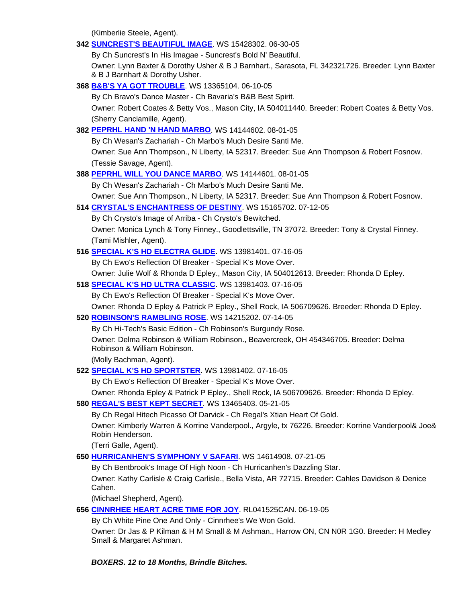(Kimberlie Steele, Agent).

# **342 SUNCREST'S BEAUTIFUL IMAGE**. WS 15428302. 06-30-05 By Ch Suncrest's In His Imagae - Suncrest's Bold N' Beautiful. Owner: Lynn Baxter & Dorothy Usher & B J Barnhart., Sarasota, FL 342321726. Breeder: Lynn Baxter & B J Barnhart & Dorothy Usher. **368 B&B'S YA GOT TROUBLE**. WS 13365104. 06-10-05 By Ch Bravo's Dance Master - Ch Bavaria's B&B Best Spirit. Owner: Robert Coates & Betty Vos., Mason City, IA 504011440. Breeder: Robert Coates & Betty Vos. (Sherry Canciamille, Agent). **382 PEPRHL HAND 'N HAND MARBO**. WS 14144602. 08-01-05 By Ch Wesan's Zachariah - Ch Marbo's Much Desire Santi Me. Owner: Sue Ann Thompson., N Liberty, IA 52317. Breeder: Sue Ann Thompson & Robert Fosnow. (Tessie Savage, Agent). **388 PEPRHL WILL YOU DANCE MARBO**. WS 14144601. 08-01-05 By Ch Wesan's Zachariah - Ch Marbo's Much Desire Santi Me. Owner: Sue Ann Thompson., N Liberty, IA 52317. Breeder: Sue Ann Thompson & Robert Fosnow. **514 CRYSTAL'S ENCHANTRESS OF DESTINY**. WS 15165702. 07-12-05 By Ch Crysto's Image of Arriba - Ch Crysto's Bewitched. Owner: Monica Lynch & Tony Finney., Goodlettsville, TN 37072. Breeder: Tony & Crystal Finney. (Tami Mishler, Agent). **516 SPECIAL K'S HD ELECTRA GLIDE**. WS 13981401. 07-16-05 By Ch Ewo's Reflection Of Breaker - Special K's Move Over. Owner: Julie Wolf & Rhonda D Epley., Mason City, IA 504012613. Breeder: Rhonda D Epley. **518 SPECIAL K'S HD ULTRA CLASSIC**. WS 13981403. 07-16-05 By Ch Ewo's Reflection Of Breaker - Special K's Move Over. Owner: Rhonda D Epley & Patrick P Epley., Shell Rock, IA 506709626. Breeder: Rhonda D Epley. **520 ROBINSON'S RAMBLING ROSE**. WS 14215202. 07-14-05 By Ch Hi-Tech's Basic Edition - Ch Robinson's Burgundy Rose. Owner: Delma Robinson & William Robinson., Beavercreek, OH 454346705. Breeder: Delma Robinson & William Robinson. (Molly Bachman, Agent). **522 SPECIAL K'S HD SPORTSTER**. WS 13981402. 07-16-05 By Ch Ewo's Reflection Of Breaker - Special K's Move Over. Owner: Rhonda Epley & Patrick P Epley., Shell Rock, IA 506709626. Breeder: Rhonda D Epley. **580 REGAL'S BEST KEPT SECRET**. WS 13465403. 05-21-05 By Ch Regal Hitech Picasso Of Darvick - Ch Regal's Xtian Heart Of Gold. Owner: Kimberly Warren & Korrine Vanderpool., Argyle, tx 76226. Breeder: Korrine Vanderpool& Joe& Robin Henderson. (Terri Galle, Agent). **650 HURRICANHEN'S SYMPHONY V SAFARI**. WS 14614908. 07-21-05 By Ch Bentbrook's Image Of High Noon - Ch Hurricanhen's Dazzling Star. Owner: Kathy Carlisle & Craig Carlisle., Bella Vista, AR 72715. Breeder: Cahles Davidson & Denice Cahen. (Michael Shepherd, Agent). **656 CINNRHEE HEART ACRE TIME FOR JOY**. RL041525CAN. 06-19-05 By Ch White Pine One And Only - Cinnrhee's We Won Gold. Owner: Dr Jas & P Kilman & H M Small & M Ashman., Harrow ON, CN N0R 1G0. Breeder: H Medley Small & Margaret Ashman.

# *BOXERS. 12 to 18 Months, Brindle Bitches.*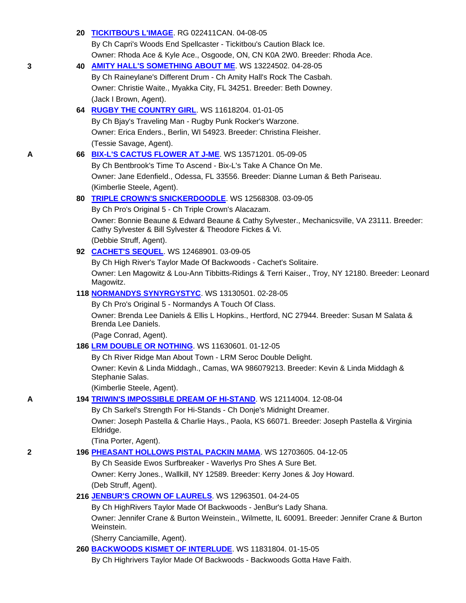|   | 20 TICKITBOU'S L'IMAGE. RG 022411CAN. 04-08-05                                                                                                          |
|---|---------------------------------------------------------------------------------------------------------------------------------------------------------|
|   | By Ch Capri's Woods End Spellcaster - Tickitbou's Caution Black Ice.                                                                                    |
|   | Owner: Rhoda Ace & Kyle Ace., Osgoode, ON, CN K0A 2W0. Breeder: Rhoda Ace.                                                                              |
| 3 | 40 AMITY HALL'S SOMETHING ABOUT ME. WS 13224502. 04-28-05                                                                                               |
|   | By Ch Raineylane's Different Drum - Ch Amity Hall's Rock The Casbah.                                                                                    |
|   | Owner: Christie Waite., Myakka City, FL 34251. Breeder: Beth Downey.                                                                                    |
|   | (Jack I Brown, Agent).                                                                                                                                  |
|   | 64 RUGBY THE COUNTRY GIRL WS 11618204. 01-01-05                                                                                                         |
|   | By Ch Bjay's Traveling Man - Rugby Punk Rocker's Warzone.                                                                                               |
|   | Owner: Erica Enders., Berlin, WI 54923. Breeder: Christina Fleisher.                                                                                    |
| A | (Tessie Savage, Agent).<br>66 BIX-L'S CACTUS FLOWER AT J-ME. WS 13571201. 05-09-05                                                                      |
|   | By Ch Bentbrook's Time To Ascend - Bix-L's Take A Chance On Me.                                                                                         |
|   | Owner: Jane Edenfield., Odessa, FL 33556. Breeder: Dianne Luman & Beth Pariseau.                                                                        |
|   | (Kimberlie Steele, Agent).                                                                                                                              |
|   | 80 TRIPLE CROWN'S SNICKERDOODLE. WS 12568308. 03-09-05                                                                                                  |
|   | By Ch Pro's Original 5 - Ch Triple Crown's Alacazam.                                                                                                    |
|   | Owner: Bonnie Beaune & Edward Beaune & Cathy Sylvester., Mechanicsville, VA 23111. Breeder:<br>Cathy Sylvester & Bill Sylvester & Theodore Fickes & Vi. |
|   | (Debbie Struff, Agent).                                                                                                                                 |
|   | 92 CACHET'S SEQUEL WS 12468901.03-09-05                                                                                                                 |
|   | By Ch High River's Taylor Made Of Backwoods - Cachet's Solitaire.                                                                                       |
|   | Owner: Len Magowitz & Lou-Ann Tibbitts-Ridings & Terri Kaiser., Troy, NY 12180. Breeder: Leonard<br>Magowitz.                                           |
|   | 118 <b>NORMANDYS SYNYRGYSTYC.</b> WS 13130501. 02-28-05                                                                                                 |
|   | By Ch Pro's Original 5 - Normandys A Touch Of Class.                                                                                                    |
|   | Owner: Brenda Lee Daniels & Ellis L Hopkins., Hertford, NC 27944. Breeder: Susan M Salata &<br>Brenda Lee Daniels.                                      |
|   | (Page Conrad, Agent).                                                                                                                                   |
|   | 186 LRM DOUBLE OR NOTHING. WS 11630601. 01-12-05                                                                                                        |
|   | By Ch River Ridge Man About Town - LRM Seroc Double Delight.                                                                                            |
|   | Owner: Kevin & Linda Middagh., Camas, WA 986079213. Breeder: Kevin & Linda Middagh &<br>Stephanie Salas.                                                |
|   | (Kimberlie Steele, Agent).                                                                                                                              |
| А | 194 TRIWIN'S IMPOSSIBLE DREAM OF HI-STAND. WS 12114004. 12-08-04                                                                                        |
|   | By Ch Sarkel's Strength For Hi-Stands - Ch Donje's Midnight Dreamer.                                                                                    |
|   | Owner: Joseph Pastella & Charlie Hays., Paola, KS 66071. Breeder: Joseph Pastella & Virginia<br>Eldridge.                                               |
|   | (Tina Porter, Agent).                                                                                                                                   |
| 2 | 196 PHEASANT HOLLOWS PISTAL PACKIN MAMA. WS 12703605. 04-12-05                                                                                          |
|   | By Ch Seaside Ewos Surfbreaker - Waverlys Pro Shes A Sure Bet.                                                                                          |
|   | Owner: Kerry Jones., Wallkill, NY 12589. Breeder: Kerry Jones & Joy Howard.<br>(Deb Struff, Agent).                                                     |
|   | 216 JENBUR'S CROWN OF LAURELS. WS 12963501. 04-24-05                                                                                                    |
|   | By Ch HighRivers Taylor Made Of Backwoods - JenBur's Lady Shana.                                                                                        |
|   | Owner: Jennifer Crane & Burton Weinstein., Wilmette, IL 60091. Breeder: Jennifer Crane & Burton<br>Weinstein.                                           |
|   | (Sherry Canciamille, Agent).                                                                                                                            |
|   | 260 BACKWOODS KISMET OF INTERLUDE. WS 11831804. 01-15-05                                                                                                |
|   | By Ch Highrivers Taylor Made Of Backwoods - Backwoods Gotta Have Faith.                                                                                 |
|   |                                                                                                                                                         |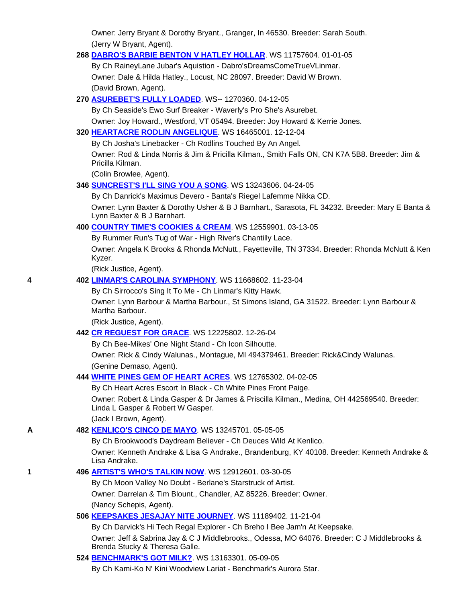Owner: Jerry Bryant & Dorothy Bryant., Granger, In 46530. Breeder: Sarah South. (Jerry W Bryant, Agent).

#### **268 DABRO'S BARBIE BENTON V HATLEY HOLLAR**. WS 11757604. 01-01-05

 By Ch RaineyLane Jubar's Aquistion - Dabro'sDreamsComeTrueVLinmar. Owner: Dale & Hilda Hatley., Locust, NC 28097. Breeder: David W Brown. (David Brown, Agent).

# **270 ASUREBET'S FULLY LOADED**. WS-- 1270360. 04-12-05

 By Ch Seaside's Ewo Surf Breaker - Waverly's Pro She's Asurebet. Owner: Joy Howard., Westford, VT 05494. Breeder: Joy Howard & Kerrie Jones.

# **320 HEARTACRE RODLIN ANGELIQUE**. WS 16465001. 12-12-04

By Ch Josha's Linebacker - Ch Rodlins Touched By An Angel.

 Owner: Rod & Linda Norris & Jim & Pricilla Kilman., Smith Falls ON, CN K7A 5B8. Breeder: Jim & Pricilla Kilman.

(Colin Browlee, Agent).

# **346 SUNCREST'S I'LL SING YOU A SONG**. WS 13243606. 04-24-05

By Ch Danrick's Maximus Devero - Banta's Riegel Lafemme Nikka CD.

 Owner: Lynn Baxter & Dorothy Usher & B J Barnhart., Sarasota, FL 34232. Breeder: Mary E Banta & Lynn Baxter & B J Barnhart.

# **400 COUNTRY TIME'S COOKIES & CREAM**. WS 12559901. 03-13-05

By Rummer Run's Tug of War - High River's Chantilly Lace.

 Owner: Angela K Brooks & Rhonda McNutt., Fayetteville, TN 37334. Breeder: Rhonda McNutt & Ken Kyzer.

(Rick Justice, Agent).

# **4 402 LINMAR'S CAROLINA SYMPHONY**. WS 11668602. 11-23-04

By Ch Sirrocco's Sing It To Me - Ch Linmar's Kitty Hawk.

 Owner: Lynn Barbour & Martha Barbour., St Simons Island, GA 31522. Breeder: Lynn Barbour & Martha Barbour.

(Rick Justice, Agent).

# **442 CR REGUEST FOR GRACE**. WS 12225802. 12-26-04

By Ch Bee-Mikes' One Night Stand - Ch Icon Silhoutte.

 Owner: Rick & Cindy Walunas., Montague, MI 494379461. Breeder: Rick&Cindy Walunas. (Genine Demaso, Agent).

# **444 WHITE PINES GEM OF HEART ACRES**. WS 12765302. 04-02-05

By Ch Heart Acres Escort In Black - Ch White Pines Front Paige.

 Owner: Robert & Linda Gasper & Dr James & Priscilla Kilman., Medina, OH 442569540. Breeder: Linda L Gasper & Robert W Gasper.

(Jack I Brown, Agent).

# **A 482 KENLICO'S CINCO DE MAYO**. WS 13245701. 05-05-05

By Ch Brookwood's Daydream Believer - Ch Deuces Wild At Kenlico.

 Owner: Kenneth Andrake & Lisa G Andrake., Brandenburg, KY 40108. Breeder: Kenneth Andrake & Lisa Andrake.

# **1 496 ARTIST'S WHO'S TALKIN NOW**. WS 12912601. 03-30-05

By Ch Moon Valley No Doubt - Berlane's Starstruck of Artist.

Owner: Darrelan & Tim Blount., Chandler, AZ 85226. Breeder: Owner.

(Nancy Schepis, Agent).

# **506 KEEPSAKES JESAJAY NITE JOURNEY**. WS 11189402. 11-21-04

By Ch Darvick's Hi Tech Regal Explorer - Ch Breho I Bee Jam'n At Keepsake.

 Owner: Jeff & Sabrina Jay & C J Middlebrooks., Odessa, MO 64076. Breeder: C J Middlebrooks & Brenda Stucky & Theresa Galle.

# **524 BENCHMARK'S GOT MILK?**. WS 13163301. 05-09-05

By Ch Kami-Ko N' Kini Woodview Lariat - Benchmark's Aurora Star.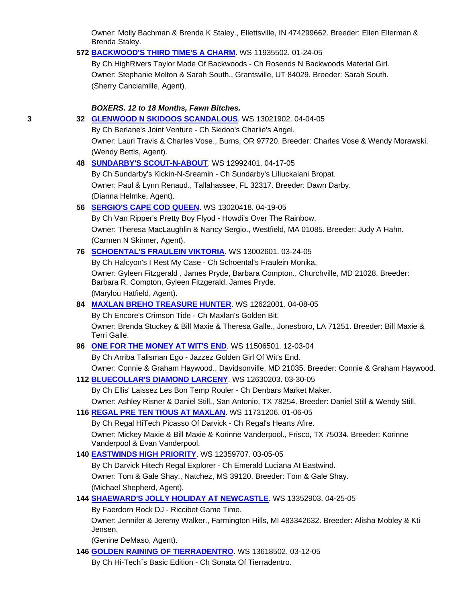Owner: Molly Bachman & Brenda K Staley., Ellettsville, IN 474299662. Breeder: Ellen Ellerman & Brenda Staley.

# **572 BACKWOOD'S THIRD TIME'S A CHARM**. WS 11935502. 01-24-05

 By Ch HighRivers Taylor Made Of Backwoods - Ch Rosends N Backwoods Material Girl. Owner: Stephanie Melton & Sarah South., Grantsville, UT 84029. Breeder: Sarah South. (Sherry Canciamille, Agent).

### *BOXERS. 12 to 18 Months, Fawn Bitches.*

| 3 | 32 GLENWOOD N SKIDOOS SCANDALOUS. WS 13021902. 04-04-05                                                                                         |
|---|-------------------------------------------------------------------------------------------------------------------------------------------------|
|   | By Ch Berlane's Joint Venture - Ch Skidoo's Charlie's Angel.                                                                                    |
|   | Owner: Lauri Travis & Charles Vose., Burns, OR 97720. Breeder: Charles Vose & Wendy Morawski.                                                   |
|   | (Wendy Bettis, Agent).                                                                                                                          |
|   | 48 SUNDARBY'S SCOUT-N-ABOUT. WS 12992401. 04-17-05                                                                                              |
|   | By Ch Sundarby's Kickin-N-Sreamin - Ch Sundarby's Liliuckalani Bropat.                                                                          |
|   | Owner: Paul & Lynn Renaud., Tallahassee, FL 32317. Breeder: Dawn Darby.                                                                         |
|   | (Dianna Helmke, Agent).                                                                                                                         |
|   | 56 SERGIO'S CAPE COD QUEEN. WS 13020418. 04-19-05                                                                                               |
|   | By Ch Van Ripper's Pretty Boy Flyod - Howdi's Over The Rainbow.                                                                                 |
|   | Owner: Theresa MacLaughlin & Nancy Sergio., Westfield, MA 01085. Breeder: Judy A Hahn.                                                          |
|   | (Carmen N Skinner, Agent).                                                                                                                      |
|   | 76 SCHOENTAL'S FRAULEIN VIKTORIA. WS 13002601. 03-24-05                                                                                         |
|   | By Ch Halcyon's I Rest My Case - Ch Schoental's Fraulein Monika.                                                                                |
|   | Owner: Gyleen Fitzgerald, James Pryde, Barbara Compton., Churchville, MD 21028. Breeder:<br>Barbara R. Compton, Gyleen Fitzgerald, James Pryde. |
|   | (Marylou Hatfield, Agent).                                                                                                                      |
|   | 84 MAXLAN BREHO TREASURE HUNTER. WS 12622001. 04-08-05                                                                                          |
|   | By Ch Encore's Crimson Tide - Ch Maxlan's Golden Bit.                                                                                           |
|   | Owner: Brenda Stuckey & Bill Maxie & Theresa Galle., Jonesboro, LA 71251. Breeder: Bill Maxie &<br>Terri Galle.                                 |
|   | 96 ONE FOR THE MONEY AT WIT'S END. WS 11506501. 12-03-04                                                                                        |
|   | By Ch Arriba Talisman Ego - Jazzez Golden Girl Of Wit's End.                                                                                    |
|   | Owner: Connie & Graham Haywood., Davidsonville, MD 21035. Breeder: Connie & Graham Haywood.                                                     |
|   | 112 BLUECOLLAR'S DIAMOND LARCENY. WS 12630203. 03-30-05                                                                                         |
|   | By Ch Ellis' Laissez Les Bon Temp Rouler - Ch Denbars Market Maker.                                                                             |
|   | Owner: Ashley Risner & Daniel Still., San Antonio, TX 78254. Breeder: Daniel Still & Wendy Still.                                               |
|   | 116 REGAL PRE TEN TIOUS AT MAXLAN. WS 11731206. 01-06-05                                                                                        |
|   | By Ch Regal HiTech Picasso Of Darvick - Ch Regal's Hearts Afire.                                                                                |
|   | Owner: Mickey Maxie & Bill Maxie & Korinne Vanderpool., Frisco, TX 75034. Breeder: Korinne<br>Vanderpool & Evan Vanderpool.                     |
|   | 140 EASTWINDS HIGH PRIORITY. WS 12359707. 03-05-05                                                                                              |
|   | By Ch Darvick Hitech Regal Explorer - Ch Emerald Luciana At Eastwind.                                                                           |
|   | Owner: Tom & Gale Shay., Natchez, MS 39120. Breeder: Tom & Gale Shay.                                                                           |
|   | (Michael Shepherd, Agent).                                                                                                                      |
|   | 144 SHAEWARD'S JOLLY HOLIDAY AT NEWCASTLE. WS 13352903. 04-25-05                                                                                |
|   | By Faerdorn Rock DJ - Riccibet Game Time.                                                                                                       |
|   | Owner: Jennifer & Jeremy Walker., Farmington Hills, MI 483342632. Breeder: Alisha Mobley & Kti<br>Jensen.                                       |
|   | (Genine DeMaso, Agent).                                                                                                                         |
|   | 146 <b>GOLDEN RAINING OF TIERRADENTRO.</b> WS 13618502. 03-12-05                                                                                |

By Ch Hi-Tech´s Basic Edition - Ch Sonata Of Tierradentro.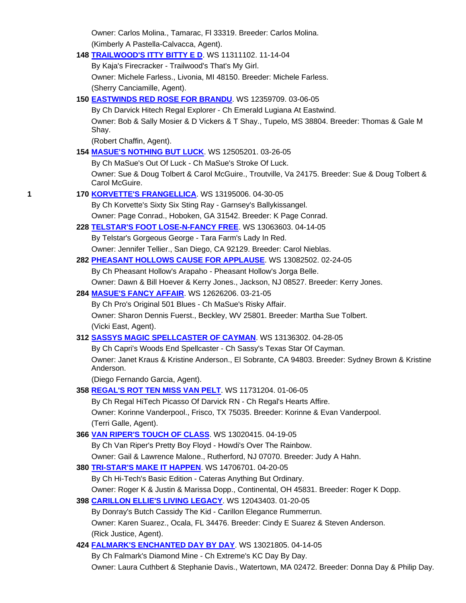|   | Owner: Carlos Molina., Tamarac, FI 33319. Breeder: Carlos Molina.                                                 |
|---|-------------------------------------------------------------------------------------------------------------------|
|   | (Kimberly A Pastella-Calvacca, Agent).                                                                            |
|   | 148 TRAILWOOD'S ITTY BITTY E D. WS 11311102. 11-14-04                                                             |
|   | By Kaja's Firecracker - Trailwood's That's My Girl.                                                               |
|   | Owner: Michele Farless., Livonia, MI 48150. Breeder: Michele Farless.                                             |
|   | (Sherry Canciamille, Agent).                                                                                      |
|   | 150 <b>EASTWINDS RED ROSE FOR BRANDU</b> . WS 12359709. 03-06-05                                                  |
|   | By Ch Darvick Hitech Regal Explorer - Ch Emerald Lugiana At Eastwind.                                             |
|   | Owner: Bob & Sally Mosier & D Vickers & T Shay., Tupelo, MS 38804. Breeder: Thomas & Gale M                       |
|   | Shay.                                                                                                             |
|   | (Robert Chaffin, Agent).                                                                                          |
|   | 154 MASUE'S NOTHING BUT LUCK WS 12505201. 03-26-05                                                                |
|   | By Ch MaSue's Out Of Luck - Ch MaSue's Stroke Of Luck.                                                            |
|   | Owner: Sue & Doug Tolbert & Carol McGuire., Troutville, Va 24175. Breeder: Sue & Doug Tolbert &<br>Carol McGuire. |
| 1 | 170 KORVETTE'S FRANGELLICA. WS 13195006. 04-30-05                                                                 |
|   | By Ch Korvette's Sixty Six Sting Ray - Garnsey's Ballykissangel.                                                  |
|   | Owner: Page Conrad., Hoboken, GA 31542. Breeder: K Page Conrad.                                                   |
|   | 228 TELSTAR'S FOOT LOSE-N-FANCY FREE. WS 13063603. 04-14-05                                                       |
|   | By Telstar's Gorgeous George - Tara Farm's Lady In Red.                                                           |
|   | Owner: Jennifer Tellier., San Diego, CA 92129. Breeder: Carol Nieblas.                                            |
|   | 282 PHEASANT HOLLOWS CAUSE FOR APPLAUSE. WS 13082502. 02-24-05                                                    |
|   | By Ch Pheasant Hollow's Arapaho - Pheasant Hollow's Jorga Belle.                                                  |
|   | Owner: Dawn & Bill Hoever & Kerry Jones., Jackson, NJ 08527. Breeder: Kerry Jones.                                |
|   | 284 MASUE'S FANCY AFFAIR. WS 12626206. 03-21-05                                                                   |
|   | By Ch Pro's Original 501 Blues - Ch MaSue's Risky Affair.                                                         |
|   | Owner: Sharon Dennis Fuerst., Beckley, WV 25801. Breeder: Martha Sue Tolbert.                                     |
|   | (Vicki East, Agent).                                                                                              |
|   | 312 SASSYS MAGIC SPELLCASTER OF CAYMAN. WS 13136302. 04-28-05                                                     |
|   | By Ch Capri's Woods End Spellcaster - Ch Sassy's Texas Star Of Cayman.                                            |
|   | Owner: Janet Kraus & Kristine Anderson., El Sobrante, CA 94803. Breeder: Sydney Brown & Kristine<br>Anderson.     |
|   | (Diego Fernando Garcia, Agent).                                                                                   |
|   | 358 REGAL'S ROT TEN MISS VAN PELT. WS 11731204. 01-06-05                                                          |
|   | By Ch Regal HiTech Picasso Of Darvick RN - Ch Regal's Hearts Affire.                                              |
|   | Owner: Korinne Vanderpool., Frisco, TX 75035. Breeder: Korinne & Evan Vanderpool.                                 |
|   | (Terri Galle, Agent).                                                                                             |
|   | 366 VAN RIPER'S TOUCH OF CLASS. WS 13020415. 04-19-05                                                             |
|   | By Ch Van Riper's Pretty Boy Floyd - Howdi's Over The Rainbow.                                                    |
|   | Owner: Gail & Lawrence Malone., Rutherford, NJ 07070. Breeder: Judy A Hahn.                                       |
|   | 380 TRI-STAR'S MAKE IT HAPPEN. WS 14706701. 04-20-05                                                              |
|   | By Ch Hi-Tech's Basic Edition - Cateras Anything But Ordinary.                                                    |
|   | Owner: Roger K & Justin & Marissa Dopp., Continental, OH 45831. Breeder: Roger K Dopp.                            |
|   | 398 CARILLON ELLIE'S LIVING LEGACY. WS 12043403. 01-20-05                                                         |
|   | By Donray's Butch Cassidy The Kid - Carillon Elegance Rummerrun.                                                  |
|   | Owner: Karen Suarez., Ocala, FL 34476. Breeder: Cindy E Suarez & Steven Anderson.                                 |
|   | (Rick Justice, Agent).                                                                                            |
|   | 424 FALMARK'S ENCHANTED DAY BY DAY. WS 13021805. 04-14-05                                                         |
|   | By Ch Falmark's Diamond Mine - Ch Extreme's KC Day By Day.                                                        |
|   | Owner: Laura Cuthbert & Stephanie Davis., Watertown, MA 02472. Breeder: Donna Day & Philip Day.                   |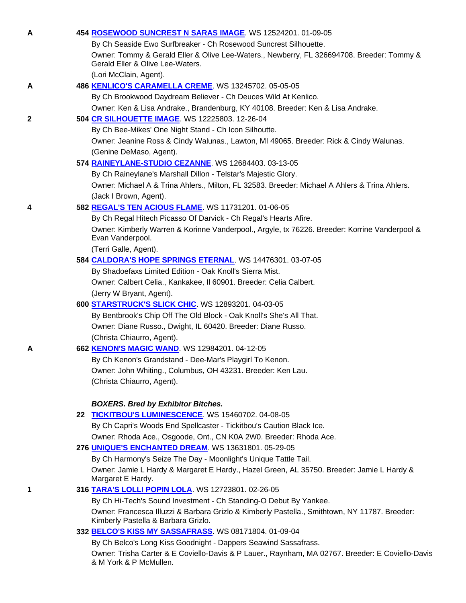| A | 454 ROSEWOOD SUNCREST N SARAS IMAGE. WS 12524201. 01-09-05                                                                           |
|---|--------------------------------------------------------------------------------------------------------------------------------------|
|   | By Ch Seaside Ewo Surfbreaker - Ch Rosewood Suncrest Silhouette.                                                                     |
|   | Owner: Tommy & Gerald Eller & Olive Lee-Waters., Newberry, FL 326694708. Breeder: Tommy &<br>Gerald Eller & Olive Lee-Waters.        |
|   | (Lori McClain, Agent).                                                                                                               |
| А | 486 KENLICO'S CARAMELLA CREME. WS 13245702. 05-05-05                                                                                 |
|   | By Ch Brookwood Daydream Believer - Ch Deuces Wild At Kenlico.                                                                       |
|   | Owner: Ken & Lisa Andrake., Brandenburg, KY 40108. Breeder: Ken & Lisa Andrake.                                                      |
| 2 | 504 CR SILHOUETTE IMAGE. WS 12225803. 12-26-04                                                                                       |
|   | By Ch Bee-Mikes' One Night Stand - Ch Icon Silhoutte.                                                                                |
|   | Owner: Jeanine Ross & Cindy Walunas., Lawton, MI 49065. Breeder: Rick & Cindy Walunas.                                               |
|   | (Genine DeMaso, Agent).                                                                                                              |
|   | 574 RAINEYLANE-STUDIO CEZANNE. WS 12684403. 03-13-05                                                                                 |
|   | By Ch Raineylane's Marshall Dillon - Telstar's Majestic Glory.                                                                       |
|   | Owner: Michael A & Trina Ahlers., Milton, FL 32583. Breeder: Michael A Ahlers & Trina Ahlers.                                        |
|   | (Jack I Brown, Agent).                                                                                                               |
| 4 | 582 REGAL'S TEN ACIOUS FLAME. WS 11731201. 01-06-05                                                                                  |
|   | By Ch Regal Hitech Picasso Of Darvick - Ch Regal's Hearts Afire.                                                                     |
|   | Owner: Kimberly Warren & Korinne Vanderpool., Argyle, tx 76226. Breeder: Korrine Vanderpool &                                        |
|   | Evan Vanderpool.                                                                                                                     |
|   | (Terri Galle, Agent).                                                                                                                |
|   | 584 CALDORA'S HOPE SPRINGS ETERNAL. WS 14476301. 03-07-05                                                                            |
|   | By Shadoefaxs Limited Edition - Oak Knoll's Sierra Mist.                                                                             |
|   | Owner: Calbert Celia., Kankakee, II 60901. Breeder: Celia Calbert.                                                                   |
|   | (Jerry W Bryant, Agent).                                                                                                             |
|   | 600 STARSTRUCK'S SLICK CHIC. WS 12893201. 04-03-05                                                                                   |
|   | By Bentbrook's Chip Off The Old Block - Oak Knoll's She's All That.                                                                  |
|   | Owner: Diane Russo., Dwight, IL 60420. Breeder: Diane Russo.                                                                         |
|   | (Christa Chiaurro, Agent).                                                                                                           |
| A | 662 KENON'S MAGIC WAND. WS 12984201. 04-12-05                                                                                        |
|   | By Ch Kenon's Grandstand - Dee-Mar's Playgirl To Kenon.                                                                              |
|   | Owner: John Whiting., Columbus, OH 43231. Breeder: Ken Lau.                                                                          |
|   | (Christa Chiaurro, Agent).                                                                                                           |
|   |                                                                                                                                      |
|   | <b>BOXERS. Bred by Exhibitor Bitches.</b>                                                                                            |
|   | 22 TICKITBOU'S LUMINESCENCE WS 15460702.04-08-05                                                                                     |
|   | By Ch Capri's Woods End Spellcaster - Tickitbou's Caution Black Ice.                                                                 |
|   | Owner: Rhoda Ace., Osgoode, Ont., CN K0A 2W0. Breeder: Rhoda Ace.                                                                    |
|   | 276 UNIQUE'S ENCHANTED DREAM. WS 13631801. 05-29-05                                                                                  |
|   | By Ch Harmony's Seize The Day - Moonlight's Unique Tattle Tail.                                                                      |
|   | Owner: Jamie L Hardy & Margaret E Hardy., Hazel Green, AL 35750. Breeder: Jamie L Hardy &<br>Margaret E Hardy.                       |
| 1 | 316 TARA'S LOLLI POPIN LOLA. WS 12723801. 02-26-05                                                                                   |
|   | By Ch Hi-Tech's Sound Investment - Ch Standing-O Debut By Yankee.                                                                    |
|   | Owner: Francesca Illuzzi & Barbara Grizlo & Kimberly Pastella., Smithtown, NY 11787. Breeder:<br>Kimberly Pastella & Barbara Grizlo. |
|   | 332 BELCO'S KISS MY SASSAFRASS. WS 08171804. 01-09-04                                                                                |
|   | By Ch Belco's Long Kiss Goodnight - Dappers Seawind Sassafrass.                                                                      |
|   | Owner: Trisha Carter & E Coviello-Davis & P Lauer., Raynham, MA 02767. Breeder: E Coviello-Davis<br>& M York & P McMullen.           |
|   |                                                                                                                                      |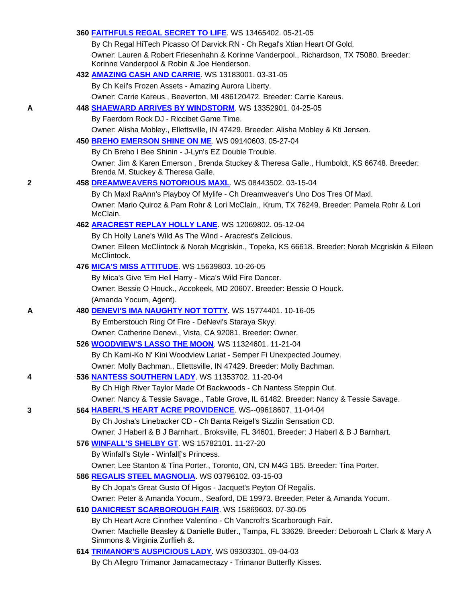|   | 360 FAITHFULS REGAL SECRET TO LIFE. WS 13465402. 05-21-05                                                                               |
|---|-----------------------------------------------------------------------------------------------------------------------------------------|
|   | By Ch Regal HiTech Picasso Of Darvick RN - Ch Regal's Xtian Heart Of Gold.                                                              |
|   | Owner: Lauren & Robert Friesenhahn & Korinne Vanderpool., Richardson, TX 75080. Breeder:<br>Korinne Vanderpool & Robin & Joe Henderson. |
|   | 432 AMAZING CASH AND CARRIE. WS 13183001. 03-31-05                                                                                      |
|   | By Ch Keil's Frozen Assets - Amazing Aurora Liberty.                                                                                    |
|   | Owner: Carrie Kareus., Beaverton, MI 486120472. Breeder: Carrie Kareus.                                                                 |
| A | 448 SHAEWARD ARRIVES BY WINDSTORM. WS 13352901. 04-25-05                                                                                |
|   | By Faerdorn Rock DJ - Riccibet Game Time.                                                                                               |
|   | Owner: Alisha Mobley., Ellettsville, IN 47429. Breeder: Alisha Mobley & Kti Jensen.                                                     |
|   | 450 BREHO EMERSON SHINE ON ME. WS 09140603. 05-27-04                                                                                    |
|   | By Ch Breho I Bee Shinin - J-Lyn's EZ Double Trouble.                                                                                   |
|   | Owner: Jim & Karen Emerson, Brenda Stuckey & Theresa Galle., Humboldt, KS 66748. Breeder:<br>Brenda M. Stuckey & Theresa Galle.         |
| 2 | 458 DREAMWEAVERS NOTORIOUS MAXL. WS 08443502. 03-15-04                                                                                  |
|   | By Ch Maxl RaAnn's Playboy Of Mylife - Ch Dreamweaver's Uno Dos Tres Of Maxl.                                                           |
|   | Owner: Mario Quiroz & Pam Rohr & Lori McClain., Krum, TX 76249. Breeder: Pamela Rohr & Lori<br>McClain.                                 |
|   | 462 <b>ARACREST REPLAY HOLLY LANE</b> . WS 12069802. 05-12-04                                                                           |
|   | By Ch Holly Lane's Wild As The Wind - Aracrest's Zelicious.                                                                             |
|   | Owner: Eileen McClintock & Norah Mcgriskin., Topeka, KS 66618. Breeder: Norah Mcgriskin & Eileen<br>McClintock.                         |
|   | 476 MICA'S MISS ATTITUDE. WS 15639803. 10-26-05                                                                                         |
|   | By Mica's Give 'Em Hell Harry - Mica's Wild Fire Dancer.                                                                                |
|   | Owner: Bessie O Houck., Accokeek, MD 20607. Breeder: Bessie O Houck.                                                                    |
|   | (Amanda Yocum, Agent).                                                                                                                  |
| A | 480 DENEVI'S IMA NAUGHTY NOT TOTTY. WS 15774401. 10-16-05                                                                               |
|   | By Emberstouch Ring Of Fire - DeNevi's Staraya Skyy.                                                                                    |
|   | Owner: Catherine Denevi., Vista, CA 92081. Breeder: Owner.                                                                              |
|   | 526 WOODVIEW'S LASSO THE MOON. WS 11324601. 11-21-04                                                                                    |
|   | By Ch Kami-Ko N' Kini Woodview Lariat - Semper Fi Unexpected Journey.                                                                   |
|   | Owner: Molly Bachman., Ellettsville, IN 47429. Breeder: Molly Bachman.                                                                  |
| 4 | 536 NANTESS SOUTHERN LADY. WS 11353702. 11-20-04                                                                                        |
|   | By Ch High River Taylor Made Of Backwoods - Ch Nantess Steppin Out.                                                                     |
|   | Owner: Nancy & Tessie Savage., Table Grove, IL 61482. Breeder: Nancy & Tessie Savage.                                                   |
| 3 | 564 HABERL'S HEART ACRE PROVIDENCE. WS--09618607. 11-04-04                                                                              |
|   | By Ch Josha's Linebacker CD - Ch Banta Reigel's Sizzlin Sensation CD.                                                                   |
|   | Owner: J Haberl & B J Barnhart., Broksville, FL 34601. Breeder: J Haberl & B J Barnhart.                                                |
|   | 576 WINFALL'S SHELBY GT. WS 15782101. 11-27-20                                                                                          |
|   | By Winfall's Style - Winfall['s Princess.                                                                                               |
|   | Owner: Lee Stanton & Tina Porter., Toronto, ON, CN M4G 1B5. Breeder: Tina Porter.                                                       |
|   | 586 REGALIS STEEL MAGNOLIA. WS 03796102. 03-15-03                                                                                       |
|   | By Ch Jopa's Great Gusto Of Higos - Jacquet's Peyton Of Regalis.                                                                        |
|   | Owner: Peter & Amanda Yocum., Seaford, DE 19973. Breeder: Peter & Amanda Yocum.                                                         |
|   | 610 DANICREST SCARBOROUGH FAIR. WS 15869603. 07-30-05                                                                                   |
|   | By Ch Heart Acre Cinnrhee Valentino - Ch Vancroft's Scarborough Fair.                                                                   |
|   | Owner: Machelle Beasley & Danielle Butler., Tampa, FL 33629. Breeder: Deboroah L Clark & Mary A<br>Simmons & Virginia Zurflieh &.       |
|   | 614 TRIMANOR'S AUSPICIOUS LADY. WS 09303301. 09-04-03                                                                                   |
|   | By Ch Allegro Trimanor Jamacamecrazy - Trimanor Butterfly Kisses.                                                                       |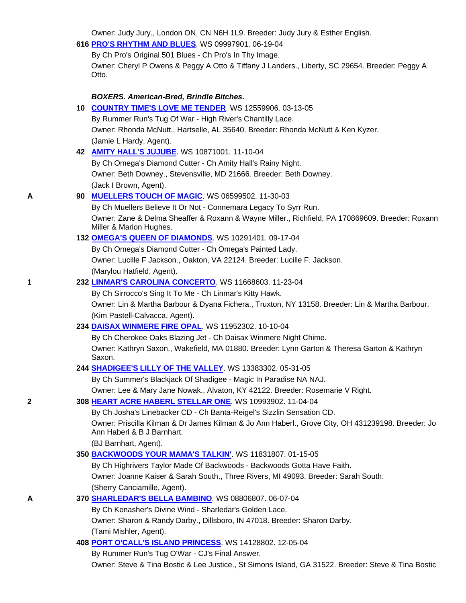Owner: Judy Jury., London ON, CN N6H 1L9. Breeder: Judy Jury & Esther English.

| 616 PRO'S RHYTHM AND BLUES. WS 09997901. 06-19-04 |
|---------------------------------------------------|
|---------------------------------------------------|

 By Ch Pro's Original 501 Blues - Ch Pro's In Thy Image. Owner: Cheryl P Owens & Peggy A Otto & Tiffany J Landers., Liberty, SC 29654. Breeder: Peggy A Otto.

# *BOXERS. American-Bred, Brindle Bitches.*

|   | 10 <b>COUNTRY TIME'S LOVE ME TENDER</b> . WS 12559906. 03-13-05                                                                 |
|---|---------------------------------------------------------------------------------------------------------------------------------|
|   | By Rummer Run's Tug Of War - High River's Chantilly Lace.                                                                       |
|   | Owner: Rhonda McNutt., Hartselle, AL 35640. Breeder: Rhonda McNutt & Ken Kyzer.                                                 |
|   | (Jamie L Hardy, Agent).                                                                                                         |
|   | 42 <b>AMITY HALL'S JUJUBE</b> . WS 10871001. 11-10-04                                                                           |
|   | By Ch Omega's Diamond Cutter - Ch Amity Hall's Rainy Night.                                                                     |
|   | Owner: Beth Downey., Stevensville, MD 21666. Breeder: Beth Downey.                                                              |
|   | (Jack I Brown, Agent).                                                                                                          |
| Α | 90 MUELLERS TOUCH OF MAGIC. WS 06599502. 11-30-03                                                                               |
|   | By Ch Muellers Believe It Or Not - Connemara Legacy To Syrr Run.                                                                |
|   | Owner: Zane & Delma Sheaffer & Roxann & Wayne Miller., Richfield, PA 170869609. Breeder: Roxann<br>Miller & Marion Hughes.      |
|   | 132 OMEGA'S QUEEN OF DIAMONDS. WS 10291401. 09-17-04                                                                            |
|   | By Ch Omega's Diamond Cutter - Ch Omega's Painted Lady.                                                                         |
|   | Owner: Lucille F Jackson., Oakton, VA 22124. Breeder: Lucille F. Jackson.                                                       |
|   | (Marylou Hatfield, Agent).                                                                                                      |
| 1 | 232 LINMAR'S CAROLINA CONCERTO. WS 11668603. 11-23-04                                                                           |
|   | By Ch Sirrocco's Sing It To Me - Ch Linmar's Kitty Hawk.                                                                        |
|   | Owner: Lin & Martha Barbour & Dyana Fichera., Truxton, NY 13158. Breeder: Lin & Martha Barbour.                                 |
|   | (Kim Pastell-Calvacca, Agent).                                                                                                  |
|   | 234 DAISAX WINMERE FIRE OPAL WS 11952302. 10-10-04                                                                              |
|   | By Ch Cherokee Oaks Blazing Jet - Ch Daisax Winmere Night Chime.                                                                |
|   | Owner: Kathryn Saxon., Wakefield, MA 01880. Breeder: Lynn Garton & Theresa Garton & Kathryn<br>Saxon.                           |
|   | 244 SHADIGEE'S LILLY OF THE VALLEY. WS 13383302. 05-31-05                                                                       |
|   | By Ch Summer's Blackjack Of Shadigee - Magic In Paradise NA NAJ.                                                                |
|   | Owner: Lee & Mary Jane Nowak., Alvaton, KY 42122. Breeder: Rosemarie V Right.                                                   |
| 2 | 308 HEART ACRE HABERL STELLAR ONE. WS 10993902. 11-04-04                                                                        |
|   | By Ch Josha's Linebacker CD - Ch Banta-Reigel's Sizzlin Sensation CD.                                                           |
|   | Owner: Priscilla Kilman & Dr James Kilman & Jo Ann Haberl., Grove City, OH 431239198. Breeder: Jo<br>Ann Haberl & B J Barnhart. |
|   | (BJ Barnhart, Agent).                                                                                                           |
|   | 350 BACKWOODS YOUR MAMA'S TALKIN'. WS 11831807. 01-15-05                                                                        |
|   | By Ch Highrivers Taylor Made Of Backwoods - Backwoods Gotta Have Faith.                                                         |
|   | Owner: Joanne Kaiser & Sarah South., Three Rivers, MI 49093. Breeder: Sarah South.                                              |
|   | (Sherry Canciamille, Agent).                                                                                                    |
| A | 370 SHARLEDAR'S BELLA BAMBINO. WS 08806807. 06-07-04                                                                            |
|   | By Ch Kenasher's Divine Wind - Sharledar's Golden Lace.                                                                         |
|   | Owner: Sharon & Randy Darby., Dillsboro, IN 47018. Breeder: Sharon Darby.                                                       |
|   | (Tami Mishler, Agent).                                                                                                          |
|   | 408 PORT O'CALL'S ISLAND PRINCESS. WS 14128802. 12-05-04                                                                        |
|   | By Rummer Run's Tug O'War - CJ's Final Answer.                                                                                  |
|   | Owner: Steve & Tina Bostic & Lee Justice., St Simons Island, GA 31522. Breeder: Steve & Tina Bostic                             |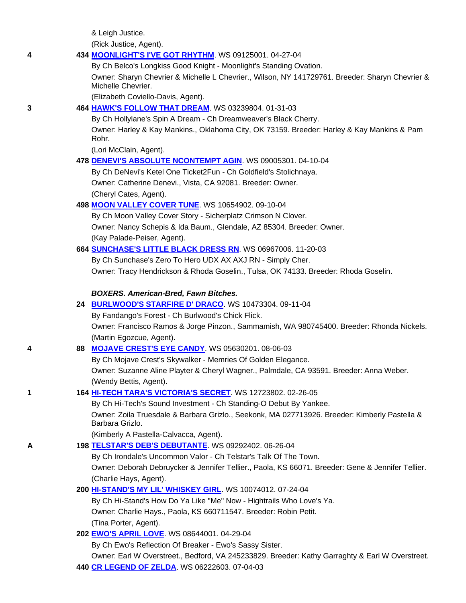& Leigh Justice.

(Rick Justice, Agent).

# **4 434 MOONLIGHT'S I'VE GOT RHYTHM**. WS 09125001. 04-27-04

By Ch Belco's Longkiss Good Knight - Moonlight's Standing Ovation.

 Owner: Sharyn Chevrier & Michelle L Chevrier., Wilson, NY 141729761. Breeder: Sharyn Chevrier & Michelle Chevrier.

(Elizabeth Coviello-Davis, Agent).

# **3 464 HAWK'S FOLLOW THAT DREAM**. WS 03239804. 01-31-03

By Ch Hollylane's Spin A Dream - Ch Dreamweaver's Black Cherry.

 Owner: Harley & Kay Mankins., Oklahoma City, OK 73159. Breeder: Harley & Kay Mankins & Pam Rohr.

(Lori McClain, Agent).

# **478 DENEVI'S ABSOLUTE NCONTEMPT AGIN**. WS 09005301. 04-10-04

 By Ch DeNevi's Ketel One Ticket2Fun - Ch Goldfield's Stolichnaya. Owner: Catherine Denevi., Vista, CA 92081. Breeder: Owner. (Cheryl Cates, Agent).

# **498 MOON VALLEY COVER TUNE**. WS 10654902. 09-10-04

 By Ch Moon Valley Cover Story - Sicherplatz Crimson N Clover. Owner: Nancy Schepis & Ida Baum., Glendale, AZ 85304. Breeder: Owner. (Kay Palade-Peiser, Agent).

# **664 SUNCHASE'S LITTLE BLACK DRESS RN**. WS 06967006. 11-20-03

By Ch Sunchase's Zero To Hero UDX AX AXJ RN - Simply Cher.

Owner: Tracy Hendrickson & Rhoda Goselin., Tulsa, OK 74133. Breeder: Rhoda Goselin.

# *BOXERS. American-Bred, Fawn Bitches.*

# **24 BURLWOOD'S STARFIRE D' DRACO**. WS 10473304. 09-11-04

By Fandango's Forest - Ch Burlwood's Chick Flick.

 Owner: Francisco Ramos & Jorge Pinzon., Sammamish, WA 980745400. Breeder: Rhonda Nickels. (Martin Egozcue, Agent).

# **4 88 MOJAVE CREST'S EYE CANDY**. WS 05630201. 08-06-03

By Ch Mojave Crest's Skywalker - Memries Of Golden Elegance.

 Owner: Suzanne Aline Playter & Cheryl Wagner., Palmdale, CA 93591. Breeder: Anna Weber. (Wendy Bettis, Agent).

# **1 164 HI-TECH TARA'S VICTORIA'S SECRET**. WS 12723802. 02-26-05

By Ch Hi-Tech's Sound Investment - Ch Standing-O Debut By Yankee.

 Owner: Zoila Truesdale & Barbara Grizlo., Seekonk, MA 027713926. Breeder: Kimberly Pastella & Barbara Grizlo.

(Kimberly A Pastella-Calvacca, Agent).

# **A 198 TELSTAR'S DEB'S DEBUTANTE**. WS 09292402. 06-26-04

By Ch Irondale's Uncommon Valor - Ch Telstar's Talk Of The Town.

 Owner: Deborah Debruycker & Jennifer Tellier., Paola, KS 66071. Breeder: Gene & Jennifer Tellier. (Charlie Hays, Agent).

# **200 HI-STAND'S MY LIL' WHISKEY GIRL**. WS 10074012. 07-24-04

 By Ch Hi-Stand's How Do Ya Like "Me" Now - Hightrails Who Love's Ya. Owner: Charlie Hays., Paola, KS 660711547. Breeder: Robin Petit. (Tina Porter, Agent).

# **202 EWO'S APRIL LOVE**. WS 08644001. 04-29-04

By Ch Ewo's Reflection Of Breaker - Ewo's Sassy Sister.

Owner: Earl W Overstreet., Bedford, VA 245233829. Breeder: Kathy Garraghty & Earl W Overstreet.

# **440 CR LEGEND OF ZELDA**. WS 06222603. 07-04-03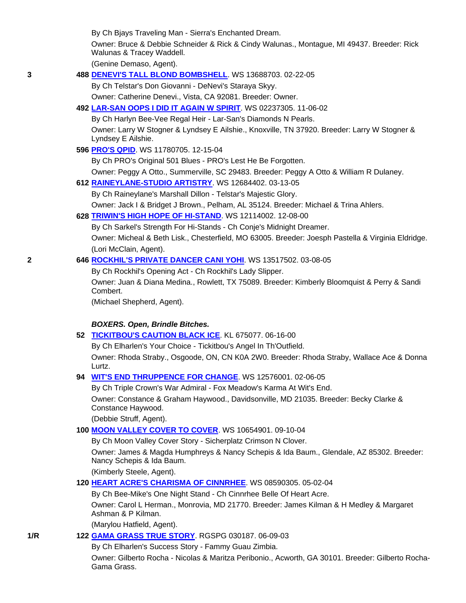By Ch Bjays Traveling Man - Sierra's Enchanted Dream.

 Owner: Bruce & Debbie Schneider & Rick & Cindy Walunas., Montague, MI 49437. Breeder: Rick Walunas & Tracey Waddell.

(Genine Demaso, Agent).

# **3 488 DENEVI'S TALL BLOND BOMBSHELL**. WS 13688703. 02-22-05

By Ch Telstar's Don Giovanni - DeNevi's Staraya Skyy.

Owner: Catherine Denevi., Vista, CA 92081. Breeder: Owner.

### **492 LAR-SAN OOPS I DID IT AGAIN W SPIRIT**. WS 02237305. 11-06-02

 By Ch Harlyn Bee-Vee Regal Heir - Lar-San's Diamonds N Pearls. Owner: Larry W Stogner & Lyndsey E Ailshie., Knoxville, TN 37920. Breeder: Larry W Stogner & Lyndsey E Ailshie.

**596 PRO'S QPID**. WS 11780705. 12-15-04

By Ch PRO's Original 501 Blues - PRO's Lest He Be Forgotten.

Owner: Peggy A Otto., Summerville, SC 29483. Breeder: Peggy A Otto & William R Dulaney.

**612 RAINEYLANE-STUDIO ARTISTRY**. WS 12684402. 03-13-05

By Ch Raineylane's Marshall Dillon - Telstar's Majestic Glory.

Owner: Jack I & Bridget J Brown., Pelham, AL 35124. Breeder: Michael & Trina Ahlers.

### **628 TRIWIN'S HIGH HOPE OF HI-STAND**. WS 12114002. 12-08-00

By Ch Sarkel's Strength For Hi-Stands - Ch Conje's Midnight Dreamer.

 Owner: Micheal & Beth Lisk., Chesterfield, MO 63005. Breeder: Joesph Pastella & Virginia Eldridge. (Lori McClain, Agent).

# **2 646 ROCKHIL'S PRIVATE DANCER CANI YOHI**. WS 13517502. 03-08-05

By Ch Rockhil's Opening Act - Ch Rockhil's Lady Slipper.

 Owner: Juan & Diana Medina., Rowlett, TX 75089. Breeder: Kimberly Bloomquist & Perry & Sandi Combert.

(Michael Shepherd, Agent).

### *BOXERS. Open, Brindle Bitches.*

#### **52 TICKITBOU'S CAUTION BLACK ICE**. KL 675077. 06-16-00

By Ch Elharlen's Your Choice - Tickitbou's Angel In Th'Outfield.

 Owner: Rhoda Straby., Osgoode, ON, CN K0A 2W0. Breeder: Rhoda Straby, Wallace Ace & Donna Lurtz.

# **94 WIT'S END THRUPPENCE FOR CHANGE**. WS 12576001. 02-06-05

By Ch Triple Crown's War Admiral - Fox Meadow's Karma At Wit's End.

 Owner: Constance & Graham Haywood., Davidsonville, MD 21035. Breeder: Becky Clarke & Constance Haywood.

(Debbie Struff, Agent).

# **100 MOON VALLEY COVER TO COVER**. WS 10654901. 09-10-04

By Ch Moon Valley Cover Story - Sicherplatz Crimson N Clover.

 Owner: James & Magda Humphreys & Nancy Schepis & Ida Baum., Glendale, AZ 85302. Breeder: Nancy Schepis & Ida Baum.

(Kimberly Steele, Agent).

# **120 HEART ACRE'S CHARISMA OF CINNRHEE**. WS 08590305. 05-02-04

 By Ch Bee-Mike's One Night Stand - Ch Cinnrhee Belle Of Heart Acre. Owner: Carol L Herman., Monrovia, MD 21770. Breeder: James Kilman & H Medley & Margaret Ashman & P Kilman.

(Marylou Hatfield, Agent).

# **1/R 122 GAMA GRASS TRUE STORY**. RGSPG 030187. 06-09-03

By Ch Elharlen's Success Story - Fammy Guau Zimbia.

 Owner: Gilberto Rocha - Nicolas & Maritza Peribonio., Acworth, GA 30101. Breeder: Gilberto Rocha-Gama Grass.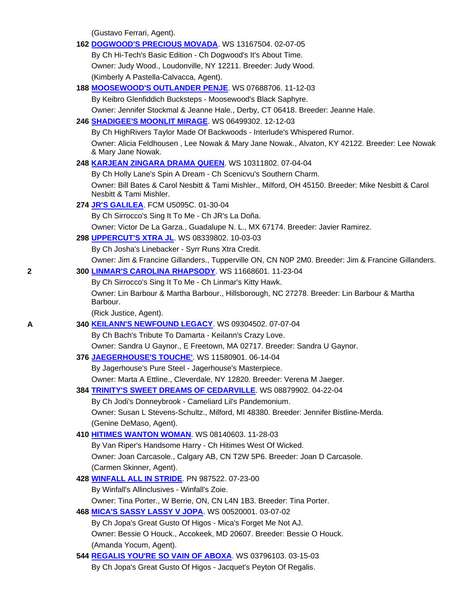(Gustavo Ferrari, Agent).

|   | 162 DOGWOOD'S PRECIOUS MOVADA. WS 13167504. 02-07-05                                                                           |  |
|---|--------------------------------------------------------------------------------------------------------------------------------|--|
|   | By Ch Hi-Tech's Basic Edition - Ch Dogwood's It's About Time.                                                                  |  |
|   | Owner: Judy Wood., Loudonville, NY 12211. Breeder: Judy Wood.                                                                  |  |
|   | (Kimberly A Pastella-Calvacca, Agent).                                                                                         |  |
|   | 188 MOOSEWOOD'S OUTLANDER PENJE. WS 07688706. 11-12-03                                                                         |  |
|   | By Keibro Glenfiddich Bucksteps - Moosewood's Black Saphyre.                                                                   |  |
|   | Owner: Jennifer Stockmal & Jeanne Hale., Derby, CT 06418. Breeder: Jeanne Hale.                                                |  |
|   | 246 SHADIGEE'S MOONLIT MIRAGE. WS 06499302. 12-12-03                                                                           |  |
|   | By Ch HighRivers Taylor Made Of Backwoods - Interlude's Whispered Rumor.                                                       |  |
|   | Owner: Alicia Feldhousen, Lee Nowak & Mary Jane Nowak., Alvaton, KY 42122. Breeder: Lee Nowak<br>& Mary Jane Nowak.            |  |
|   | 248 KARJEAN ZINGARA DRAMA QUEEN. WS 10311802. 07-04-04                                                                         |  |
|   | By Ch Holly Lane's Spin A Dream - Ch Scenicvu's Southern Charm.                                                                |  |
|   | Owner: Bill Bates & Carol Nesbitt & Tami Mishler., Milford, OH 45150. Breeder: Mike Nesbitt & Carol<br>Nesbitt & Tami Mishler. |  |
|   | 274 JR'S GALILEA. FCM U5095C. 01-30-04                                                                                         |  |
|   | By Ch Sirrocco's Sing It To Me - Ch JR's La Doña.                                                                              |  |
|   | Owner: Victor De La Garza., Guadalupe N. L., MX 67174. Breeder: Javier Ramirez.                                                |  |
|   | 298 <b>UPPERCUT'S XTRA JL. WS 08339802. 10-03-03</b>                                                                           |  |
|   | By Ch Josha's Linebacker - Syrr Runs Xtra Credit.                                                                              |  |
|   | Owner: Jim & Francine Gillanders., Tupperville ON, CN N0P 2M0. Breeder: Jim & Francine Gillanders.                             |  |
| 2 | 300 LINMAR'S CAROLINA RHAPSODY. WS 11668601. 11-23-04                                                                          |  |
|   | By Ch Sirrocco's Sing It To Me - Ch Linmar's Kitty Hawk.                                                                       |  |
|   | Owner: Lin Barbour & Martha Barbour., Hillsborough, NC 27278. Breeder: Lin Barbour & Martha<br>Barbour.                        |  |
|   | (Rick Justice, Agent).                                                                                                         |  |
| A | 340 KEILANN'S NEWFOUND LEGACY. WS 09304502. 07-07-04                                                                           |  |
|   | By Ch Bach's Tribute To Damarta - Keilann's Crazy Love.                                                                        |  |
|   | Owner: Sandra U Gaynor., E Freetown, MA 02717. Breeder: Sandra U Gaynor.                                                       |  |
|   | 376 JAEGERHOUSE'S TOUCHE'. WS 11580901. 06-14-04                                                                               |  |
|   | By Jagerhouse's Pure Steel - Jagerhouse's Masterpiece.                                                                         |  |
|   | Owner: Marta A Ettline., Cleverdale, NY 12820. Breeder: Verena M Jaeger.                                                       |  |
|   | 384 TRINITY'S SWEET DREAMS OF CEDARVILLE. WS 08879902. 04-22-04                                                                |  |
|   | By Ch Jodi's Donneybrook - Cameliard Lil's Pandemonium.                                                                        |  |
|   | Owner: Susan L Stevens-Schultz., Milford, MI 48380. Breeder: Jennifer Bistline-Merda.                                          |  |
|   | (Genine DeMaso, Agent).                                                                                                        |  |
|   | 410 HITIMES WANTON WOMAN. WS 08140603. 11-28-03                                                                                |  |
|   | By Van Riper's Handsome Harry - Ch Hitimes West Of Wicked.                                                                     |  |
|   | Owner: Joan Carcasole., Calgary AB, CN T2W 5P6. Breeder: Joan D Carcasole.                                                     |  |
|   | (Carmen Skinner, Agent).                                                                                                       |  |
|   | 428 WINFALL ALL IN STRIDE. PN 987522. 07-23-00<br>By Winfall's Allinclusives - Winfall's Zoie.                                 |  |
|   | Owner: Tina Porter., W Berrie, ON, CN L4N 1B3. Breeder: Tina Porter.                                                           |  |
|   | 468 MICA'S SASSY LASSY V JOPA. WS 00520001. 03-07-02                                                                           |  |
|   | By Ch Jopa's Great Gusto Of Higos - Mica's Forget Me Not AJ.                                                                   |  |
|   | Owner: Bessie O Houck., Accokeek, MD 20607. Breeder: Bessie O Houck.                                                           |  |
|   | (Amanda Yocum, Agent).                                                                                                         |  |
|   | 544 REGALIS YOU'RE SO VAIN OF ABOXA. WS 03796103. 03-15-03                                                                     |  |
|   | By Ch Jopa's Great Gusto Of Higos - Jacquet's Peyton Of Regalis.                                                               |  |
|   |                                                                                                                                |  |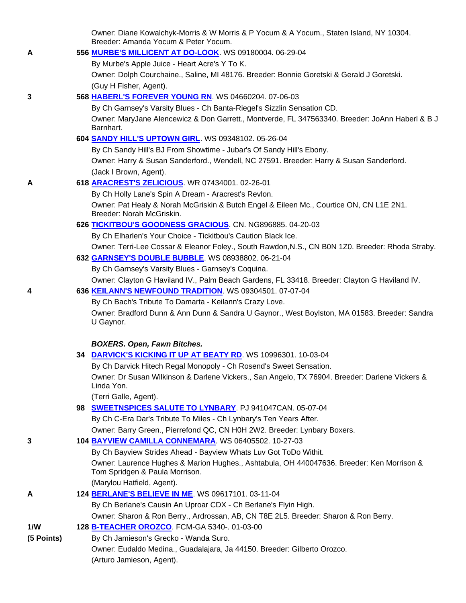|            | Owner: Diane Kowalchyk-Morris & W Morris & P Yocum & A Yocum., Staten Island, NY 10304.<br>Breeder: Amanda Yocum & Peter Yocum. |
|------------|---------------------------------------------------------------------------------------------------------------------------------|
| A          | 556 MURBE'S MILLICENT AT DO-LOOK. WS 09180004. 06-29-04                                                                         |
|            | By Murbe's Apple Juice - Heart Acre's Y To K.                                                                                   |
|            | Owner: Dolph Courchaine., Saline, MI 48176. Breeder: Bonnie Goretski & Gerald J Goretski.                                       |
|            | (Guy H Fisher, Agent).                                                                                                          |
| 3          | 568 HABERL'S FOREVER YOUNG RN. WS 04660204. 07-06-03                                                                            |
|            | By Ch Garnsey's Varsity Blues - Ch Banta-Riegel's Sizzlin Sensation CD.                                                         |
|            | Owner: MaryJane Alencewicz & Don Garrett., Montverde, FL 347563340. Breeder: JoAnn Haberl & B J                                 |
|            | Barnhart.                                                                                                                       |
|            | 604 SANDY HILL'S UPTOWN GIRL. WS 09348102. 05-26-04                                                                             |
|            | By Ch Sandy Hill's BJ From Showtime - Jubar's Of Sandy Hill's Ebony.                                                            |
|            | Owner: Harry & Susan Sanderford., Wendell, NC 27591. Breeder: Harry & Susan Sanderford.                                         |
|            | (Jack I Brown, Agent).                                                                                                          |
| Α          | 618 ARACREST'S ZELICIOUS. WR 07434001. 02-26-01                                                                                 |
|            | By Ch Holly Lane's Spin A Dream - Aracrest's Revlon.                                                                            |
|            | Owner: Pat Healy & Norah McGriskin & Butch Engel & Eileen Mc., Courtice ON, CN L1E 2N1.                                         |
|            | Breeder: Norah McGriskin.                                                                                                       |
|            | 626 TICKITBOU'S GOODNESS GRACIOUS. CN. NG896885. 04-20-03                                                                       |
|            | By Ch Elharlen's Your Choice - Tickitbou's Caution Black Ice.                                                                   |
|            | Owner: Terri-Lee Cossar & Eleanor Foley., South Rawdon, N.S., CN B0N 1Z0. Breeder: Rhoda Straby.                                |
|            | 632 GARNSEY'S DOUBLE BUBBLE. WS 08938802. 06-21-04                                                                              |
|            | By Ch Garnsey's Varsity Blues - Garnsey's Coquina.                                                                              |
|            | Owner: Clayton G Haviland IV., Palm Beach Gardens, FL 33418. Breeder: Clayton G Haviland IV.                                    |
| 4          | 636 KEILANN'S NEWFOUND TRADITION. WS 09304501. 07-07-04                                                                         |
|            | By Ch Bach's Tribute To Damarta - Keilann's Crazy Love.                                                                         |
|            | Owner: Bradford Dunn & Ann Dunn & Sandra U Gaynor., West Boylston, MA 01583. Breeder: Sandra<br>U Gaynor.                       |
|            |                                                                                                                                 |
|            | <b>BOXERS. Open, Fawn Bitches.</b>                                                                                              |
|            | 34 DARVICK'S KICKING IT UP AT BEATY RD. WS 10996301. 10-03-04                                                                   |
|            | By Ch Darvick Hitech Regal Monopoly - Ch Rosend's Sweet Sensation.                                                              |
|            | Owner: Dr Susan Wilkinson & Darlene Vickers., San Angelo, TX 76904. Breeder: Darlene Vickers &                                  |
|            | Linda Yon.                                                                                                                      |
|            | (Terri Galle, Agent).                                                                                                           |
|            | 98 SWEETNSPICES SALUTE TO LYNBARY. PJ 941047CAN. 05-07-04                                                                       |
|            | By Ch C-Era Dar's Tribute To Miles - Ch Lynbary's Ten Years After.                                                              |
|            | Owner: Barry Green., Pierrefond QC, CN H0H 2W2. Breeder: Lynbary Boxers.                                                        |
| 3          | 104 BAYVIEW CAMILLA CONNEMARA. WS 06405502. 10-27-03                                                                            |
|            | By Ch Bayview Strides Ahead - Bayview Whats Luv Got ToDo Withit.                                                                |
|            | Owner: Laurence Hughes & Marion Hughes., Ashtabula, OH 440047636. Breeder: Ken Morrison &<br>Tom Spridgen & Paula Morrison.     |
|            | (Marylou Hatfield, Agent).                                                                                                      |
| A          | 124 BERLANE'S BELIEVE IN ME. WS 09617101. 03-11-04                                                                              |
|            | By Ch Berlane's Causin An Uproar CDX - Ch Berlane's Flyin High.                                                                 |
|            | Owner: Sharon & Ron Berry., Ardrossan, AB, CN T8E 2L5. Breeder: Sharon & Ron Berry.                                             |
| 1/W        | 128 B-TEACHER OROZCO FCM-GA 5340-. 01-03-00                                                                                     |
| (5 Points) | By Ch Jamieson's Grecko - Wanda Suro.                                                                                           |
|            | Owner: Eudaldo Medina., Guadalajara, Ja 44150. Breeder: Gilberto Orozco.                                                        |
|            | (Arturo Jamieson, Agent).                                                                                                       |
|            |                                                                                                                                 |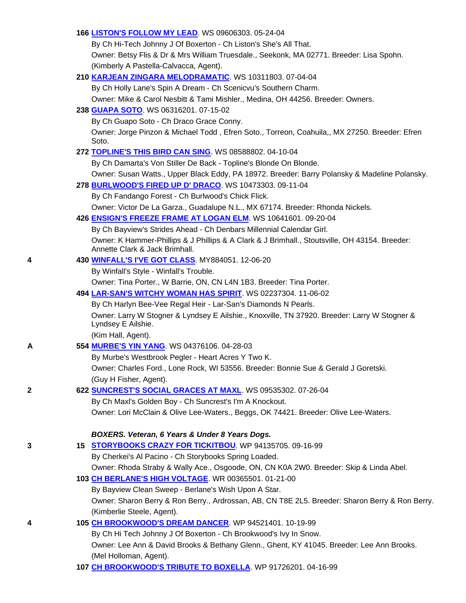### **166 LISTON'S FOLLOW MY LEAD**. WS 09606303. 05-24-04

 By Ch Hi-Tech Johnny J Of Boxerton - Ch Liston's She's All That. Owner: Betsy Flis & Dr & Mrs William Truesdale., Seekonk, MA 02771. Breeder: Lisa Spohn. (Kimberly A Pastella-Calvacca, Agent).

### **210 KARJEAN ZINGARA MELODRAMATIC**. WS 10311803. 07-04-04

By Ch Holly Lane's Spin A Dream - Ch Scenicvu's Southern Charm.

Owner: Mike & Carol Nesbitt & Tami Mishler., Medina, OH 44256. Breeder: Owners.

#### **238 GUAPA SOTO**. WS 06316201. 07-15-02

By Ch Guapo Soto - Ch Draco Grace Conny.

 Owner: Jorge Pinzon & Michael Todd , Efren Soto., Torreon, Coahuila,, MX 27250. Breeder: Efren Soto.

# **272 TOPLINE'S THIS BIRD CAN SING**. WS 08588802. 04-10-04

By Ch Damarta's Von Stiller De Back - Topline's Blonde On Blonde.

Owner: Susan Watts., Upper Black Eddy, PA 18972. Breeder: Barry Polansky & Madeline Polansky.

**278 BURLWOOD'S FIRED UP D' DRACO**. WS 10473303. 09-11-04

By Ch Fandango Forest - Ch Burlwood's Chick Flick.

Owner: Victor De La Garza., Guadalupe N.L., MX 67174. Breeder: Rhonda Nickels.

# **426 ENSIGN'S FREEZE FRAME AT LOGAN ELM**. WS 10641601. 09-20-04

By Ch Bayview's Strides Ahead - Ch Denbars Millennial Calendar Girl.

 Owner: K Hammer-Phillips & J Phillips & A Clark & J Brimhall., Stoutsville, OH 43154. Breeder: Annette Clark & Jack Brimhall.

### **4 430 WINFALL'S I'VE GOT CLASS**. MY884051. 12-06-20

By Winfall's Style - Winfall's Trouble.

Owner: Tina Porter., W Barrie, ON, CN L4N 1B3. Breeder: Tina Porter.

**494 LAR-SAN'S WITCHY WOMAN HAS SPIRIT**. WS 02237304. 11-06-02

By Ch Harlyn Bee-Vee Regal Heir - Lar-San's Diamonds N Pearls.

 Owner: Larry W Stogner & Lyndsey E Ailshie., Knoxville, TN 37920. Breeder: Larry W Stogner & Lyndsey E Ailshie.

(Kim Hall, Agent).

# **A 554 MURBE'S YIN YANG**. WS 04376106. 04-28-03

By Murbe's Westbrook Pegler - Heart Acres Y Two K.

 Owner: Charles Ford., Lone Rock, WI 53556. Breeder: Bonnie Sue & Gerald J Goretski. (Guy H Fisher, Agent).

#### **2 622 SUNCREST'S SOCIAL GRACES AT MAXL**. WS 09535302. 07-26-04

By Ch Maxl's Golden Boy - Ch Suncrest's I'm A Knockout.

# Owner: Lori McClain & Olive Lee-Waters., Beggs, OK 74421. Breeder: Olive Lee-Waters.

#### *BOXERS. Veteran, 6 Years & Under 8 Years Dogs.*

**3 15 STORYBOOKS CRAZY FOR TICKITBOU**. WP 94135705. 09-16-99 By Cherkei's Al Pacino - Ch Storybooks Spring Loaded. Owner: Rhoda Straby & Wally Ace., Osgoode, ON, CN K0A 2W0. Breeder: Skip & Linda Abel. **103 CH BERLANE'S HIGH VOLTAGE**. WR 00365501. 01-21-00 By Bayview Clean Sweep - Berlane's Wish Upon A Star. Owner: Sharon Berry & Ron Berry., Ardrossan, AB, CN T8E 2L5. Breeder: Sharon Berry & Ron Berry. (Kimberlie Steele, Agent). **4 105 CH BROOKWOOD'S DREAM DANCER**. WP 94521401. 10-19-99 By Ch Hi Tech Johnny J Of Boxerton - Ch Brookwood's Ivy In Snow.

 Owner: Lee Ann & David Brooks & Bethany Glenn., Ghent, KY 41045. Breeder: Lee Ann Brooks. (Mel Holloman, Agent).

**107 CH BROOKWOOD'S TRIBUTE TO BOXELLA**. WP 91726201. 04-16-99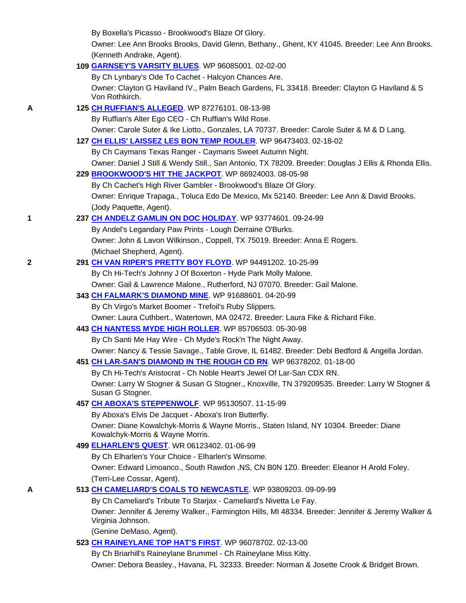By Boxella's Picasso - Brookwood's Blaze Of Glory.

 Owner: Lee Ann Brooks Brooks, David Glenn, Bethany., Ghent, KY 41045. Breeder: Lee Ann Brooks. (Kenneth Andrake, Agent).

| 109 GARNSEY'S VARSITY BLUES. WP 96085001. 02-02-00 |
|----------------------------------------------------|
|----------------------------------------------------|

By Ch Lynbary's Ode To Cachet - Halcyon Chances Are.

 Owner: Clayton G Haviland IV., Palm Beach Gardens, FL 33418. Breeder: Clayton G Haviland & S Von Rothkirch.

### **A 125 CH RUFFIAN'S ALLEGED**. WP 87276101. 08-13-98

By Ruffian's Alter Ego CEO - Ch Ruffian's Wild Rose.

Owner: Carole Suter & Ike Liotto., Gonzales, LA 70737. Breeder: Carole Suter & M & D Lang.

**127 CH ELLIS' LAISSEZ LES BON TEMP ROULER**. WP 96473403. 02-18-02

By Ch Caymans Texas Ranger - Caymans Sweet Autumn Night.

Owner: Daniel J Still & Wendy Still., San Antonio, TX 78209. Breeder: Douglas J Ellis & Rhonda Ellis.

### **229 BROOKWOOD'S HIT THE JACKPOT**. WP 86924003. 08-05-98

 By Ch Cachet's High River Gambler - Brookwood's Blaze Of Glory. Owner: Enrique Trapaga., Toluca Edo De Mexico, Mx 52140. Breeder: Lee Ann & David Brooks. (Jody Paquette, Agent).

# **1 237 CH ANDELZ GAMLIN ON DOC HOLIDAY**. WP 93774601. 09-24-99

By Andel's Legandary Paw Prints - Lough Derraine O'Burks.

 Owner: John & Lavon Wilkinson., Coppell, TX 75019. Breeder: Anna E Rogers. (Michael Shepherd, Agent).

# **2 291 CH VAN RIPER'S PRETTY BOY FLOYD**. WP 94491202. 10-25-99

By Ch Hi-Tech's Johnny J Of Boxerton - Hyde Park Molly Malone.

Owner: Gail & Lawrence Malone., Rutherford, NJ 07070. Breeder: Gail Malone.

# **343 CH FALMARK'S DIAMOND MINE**. WP 91688601. 04-20-99

By Ch Virgo's Market Boomer - Trefoil's Ruby Slippers.

Owner: Laura Cuthbert., Watertown, MA 02472. Breeder: Laura Fike & Richard Fike.

#### **443 CH NANTESS MYDE HIGH ROLLER**. WP 85706503. 05-30-98

By Ch Santi Me Hay Wire - Ch Myde's Rock'n The Night Away.

Owner: Nancy & Tessie Savage., Table Grove, IL 61482. Breeder: Debi Bedford & Angella Jordan.

# **451 CH LAR-SAN'S DIAMOND IN THE ROUGH CD RN**. WP 96378202. 01-18-00

By Ch Hi-Tech's Aristocrat - Ch Noble Heart's Jewel Of Lar-San CDX RN.

 Owner: Larry W Stogner & Susan G Stogner., Knoxville, TN 379209535. Breeder: Larry W Stogner & Susan G Stogner.

# **457 CH ABOXA'S STEPPENWOLF**. WP 95130507. 11-15-99

By Aboxa's Elvis De Jacquet - Aboxa's Iron Butterfly.

 Owner: Diane Kowalchyk-Morris & Wayne Morris., Staten Island, NY 10304. Breeder: Diane Kowalchyk-Morris & Wayne Morris.

# **499 ELHARLEN'S QUEST**. WR 06123402. 01-06-99

By Ch Elharlen's Your Choice - Elharlen's Winsome.

 Owner: Edward Limoanco., South Rawdon ,NS, CN B0N 1Z0. Breeder: Eleanor H Arold Foley. (Terri-Lee Cossar, Agent).

# **A 513 CH CAMELIARD'S COALS TO NEWCASTLE**. WP 93809203. 09-09-99

By Ch Cameliard's Tribute To Starjax - Cameliard's Nivetta Le Fay.

 Owner: Jennifer & Jeremy Walker., Farmington Hills, MI 48334. Breeder: Jennifer & Jeremy Walker & Virginia Johnson.

(Genine DeMaso, Agent).

**523 CH RAINEYLANE TOP HAT'S FIRST**. WP 96078702. 02-13-00

By Ch Briarhill's Raineylane Brummel - Ch Raineylane Miss Kitty.

Owner: Debora Beasley., Havana, FL 32333. Breeder: Norman & Josette Crook & Bridget Brown.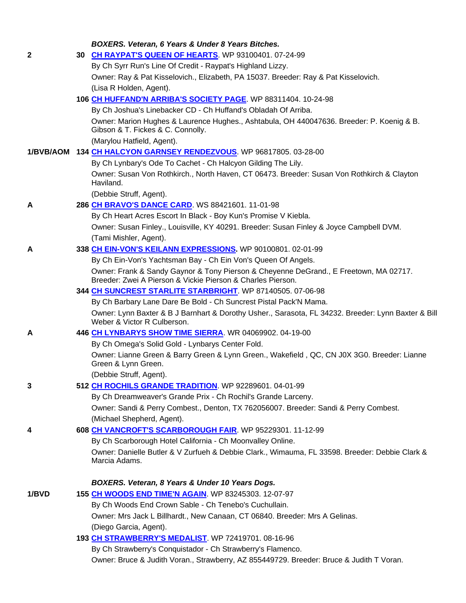|       | BOXERS. Veteran, 6 Years & Under 8 Years Bitches.                                                                                                    |
|-------|------------------------------------------------------------------------------------------------------------------------------------------------------|
| 2     | 30 CH RAYPAT'S QUEEN OF HEARTS. WP 93100401. 07-24-99                                                                                                |
|       | By Ch Syrr Run's Line Of Credit - Raypat's Highland Lizzy.                                                                                           |
|       | Owner: Ray & Pat Kisselovich., Elizabeth, PA 15037. Breeder: Ray & Pat Kisselovich.                                                                  |
|       | (Lisa R Holden, Agent).                                                                                                                              |
|       | 106 CH HUFFAND'N ARRIBA'S SOCIETY PAGE. WP 88311404. 10-24-98                                                                                        |
|       | By Ch Joshua's Linebacker CD - Ch Huffand's Obladah Of Arriba.                                                                                       |
|       | Owner: Marion Hughes & Laurence Hughes., Ashtabula, OH 440047636. Breeder: P. Koenig & B.<br>Gibson & T. Fickes & C. Connolly.                       |
|       | (Marylou Hatfield, Agent).                                                                                                                           |
|       | 1/BVB/AOM 134 CH HALCYON GARNSEY RENDEZVOUS. WP 96817805. 03-28-00                                                                                   |
|       | By Ch Lynbary's Ode To Cachet - Ch Halcyon Gilding The Lily.                                                                                         |
|       | Owner: Susan Von Rothkirch., North Haven, CT 06473. Breeder: Susan Von Rothkirch & Clayton<br>Haviland.                                              |
|       | (Debbie Struff, Agent).                                                                                                                              |
| Α     | 286 CH BRAVO'S DANCE CARD. WS 88421601. 11-01-98                                                                                                     |
|       | By Ch Heart Acres Escort In Black - Boy Kun's Promise V Kiebla.                                                                                      |
|       | Owner: Susan Finley., Louisville, KY 40291. Breeder: Susan Finley & Joyce Campbell DVM.                                                              |
|       | (Tami Mishler, Agent).                                                                                                                               |
| Α     | 338 CH EIN-VON'S KEILANN EXPRESSIONS. WP 90100801. 02-01-99                                                                                          |
|       | By Ch Ein-Von's Yachtsman Bay - Ch Ein Von's Queen Of Angels.                                                                                        |
|       | Owner: Frank & Sandy Gaynor & Tony Pierson & Cheyenne DeGrand., E Freetown, MA 02717.<br>Breeder: Zwei A Pierson & Vickie Pierson & Charles Pierson. |
|       | 344 CH SUNCREST STARLITE STARBRIGHT. WP 87140505. 07-06-98                                                                                           |
|       | By Ch Barbary Lane Dare Be Bold - Ch Suncrest Pistal Pack'N Mama.                                                                                    |
|       | Owner: Lynn Baxter & B J Barnhart & Dorothy Usher., Sarasota, FL 34232. Breeder: Lynn Baxter & Bill<br>Weber & Victor R Culberson.                   |
| Α     | 446 CH LYNBARYS SHOW TIME SIERRA. WR 04069902. 04-19-00                                                                                              |
|       | By Ch Omega's Solid Gold - Lynbarys Center Fold.                                                                                                     |
|       | Owner: Lianne Green & Barry Green & Lynn Green., Wakefield, QC, CN J0X 3G0. Breeder: Lianne<br>Green & Lynn Green.                                   |
|       | (Debbie Struff, Agent).                                                                                                                              |
| 3     | 512 CH ROCHILS GRANDE TRADITION. WP 92289601. 04-01-99                                                                                               |
|       | By Ch Dreamweaver's Grande Prix - Ch Rochil's Grande Larceny.                                                                                        |
|       | Owner: Sandi & Perry Combest., Denton, TX 762056007. Breeder: Sandi & Perry Combest.<br>(Michael Shepherd, Agent).                                   |
| 4     | 608 CH VANCROFT'S SCARBOROUGH FAIR. WP 95229301. 11-12-99                                                                                            |
|       | By Ch Scarborough Hotel California - Ch Moonvalley Online.                                                                                           |
|       | Owner: Danielle Butler & V Zurfueh & Debbie Clark., Wimauma, FL 33598. Breeder: Debbie Clark &                                                       |
|       | Marcia Adams.                                                                                                                                        |
|       | BOXERS. Veteran, 8 Years & Under 10 Years Dogs.                                                                                                      |
| 1/BVD | 155 CH WOODS END TIME'N AGAIN. WP 83245303. 12-07-97                                                                                                 |
|       | By Ch Woods End Crown Sable - Ch Tenebo's Cuchullain.                                                                                                |
|       | Owner: Mrs Jack L Billhardt., New Canaan, CT 06840. Breeder: Mrs A Gelinas.                                                                          |
|       | (Diego Garcia, Agent).                                                                                                                               |
|       | 193 CH STRAWBERRY'S MEDALIST WP 72419701.08-16-96                                                                                                    |
|       | By Ch Strawberry's Conquistador - Ch Strawberry's Flamenco.                                                                                          |
|       | Owner: Bruce & Judith Voran., Strawberry, AZ 855449729. Breeder: Bruce & Judith T Voran.                                                             |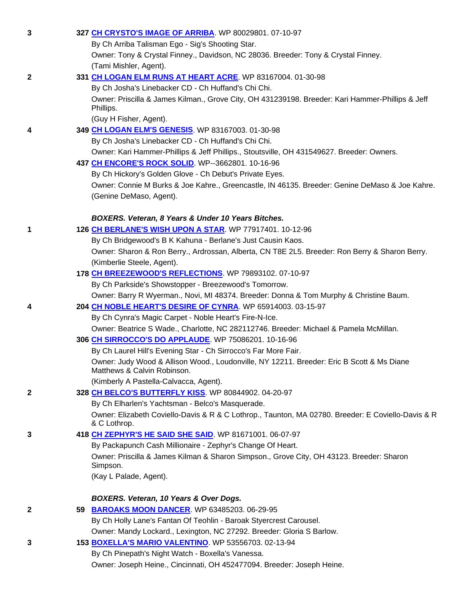| 3            | 327 CH CRYSTO'S IMAGE OF ARRIBA. WP 80029801. 07-10-97                                                                   |
|--------------|--------------------------------------------------------------------------------------------------------------------------|
|              | By Ch Arriba Talisman Ego - Sig's Shooting Star.                                                                         |
|              | Owner: Tony & Crystal Finney., Davidson, NC 28036. Breeder: Tony & Crystal Finney.                                       |
|              | (Tami Mishler, Agent).                                                                                                   |
| $\mathbf{2}$ | 331 CH LOGAN ELM RUNS AT HEART ACRE. WP 83167004. 01-30-98                                                               |
|              | By Ch Josha's Linebacker CD - Ch Huffand's Chi Chi.                                                                      |
|              | Owner: Priscilla & James Kilman., Grove City, OH 431239198. Breeder: Kari Hammer-Phillips & Jeff                         |
|              | Phillips.                                                                                                                |
|              | (Guy H Fisher, Agent).                                                                                                   |
| 4            | 349 CH LOGAN ELM'S GENESIS. WP 83167003. 01-30-98                                                                        |
|              | By Ch Josha's Linebacker CD - Ch Huffand's Chi Chi.                                                                      |
|              | Owner: Kari Hammer-Phillips & Jeff Phillips., Stoutsville, OH 431549627. Breeder: Owners.                                |
|              | 437 CH ENCORE'S ROCK SOLID. WP--3662801. 10-16-96                                                                        |
|              | By Ch Hickory's Golden Glove - Ch Debut's Private Eyes.                                                                  |
|              | Owner: Connie M Burks & Joe Kahre., Greencastle, IN 46135. Breeder: Genine DeMaso & Joe Kahre.                           |
|              | (Genine DeMaso, Agent).                                                                                                  |
|              |                                                                                                                          |
|              | BOXERS. Veteran, 8 Years & Under 10 Years Bitches.                                                                       |
| 1            | 126 CH BERLANE'S WISH UPON A STAR. WP 77917401. 10-12-96<br>By Ch Bridgewood's B K Kahuna - Berlane's Just Causin Kaos.  |
|              | Owner: Sharon & Ron Berry., Ardrossan, Alberta, CN T8E 2L5. Breeder: Ron Berry & Sharon Berry.                           |
|              | (Kimberlie Steele, Agent).                                                                                               |
|              | 178 CH BREEZEWOOD'S REFLECTIONS. WP 79893102. 07-10-97                                                                   |
|              | By Ch Parkside's Showstopper - Breezewood's Tomorrow.                                                                    |
|              | Owner: Barry R Wyerman., Novi, MI 48374. Breeder: Donna & Tom Murphy & Christine Baum.                                   |
| 4            | 204 CH NOBLE HEART'S DESIRE OF CYNRA. WP 65914003. 03-15-97                                                              |
|              | By Ch Cynra's Magic Carpet - Noble Heart's Fire-N-Ice.                                                                   |
|              | Owner: Beatrice S Wade., Charlotte, NC 282112746. Breeder: Michael & Pamela McMillan.                                    |
|              | 306 CH SIRROCCO'S DO APPLAUDE. WP 75086201. 10-16-96                                                                     |
|              | By Ch Laurel Hill's Evening Star - Ch Sirrocco's Far More Fair.                                                          |
|              | Owner: Judy Wood & Allison Wood., Loudonville, NY 12211. Breeder: Eric B Scott & Ms Diane<br>Matthews & Calvin Robinson. |
|              | (Kimberly A Pastella-Calvacca, Agent).                                                                                   |
| $\mathbf{2}$ | 328 CH BELCO'S BUTTERFLY KISS. WP 80844902. 04-20-97                                                                     |
|              | By Ch Elharlen's Yachtsman - Belco's Masquerade.                                                                         |
|              | Owner: Elizabeth Coviello-Davis & R & C Lothrop., Taunton, MA 02780. Breeder: E Coviello-Davis & R                       |
|              | & C Lothrop.                                                                                                             |
| 3            | 418 CH ZEPHYR'S HE SAID SHE SAID. WP 81671001. 06-07-97                                                                  |
|              | By Packapunch Cash Millionaire - Zephyr's Change Of Heart.                                                               |
|              | Owner: Priscilla & James Kilman & Sharon Simpson., Grove City, OH 43123. Breeder: Sharon<br>Simpson.                     |
|              | (Kay L Palade, Agent).                                                                                                   |
|              | BOXERS. Veteran, 10 Years & Over Dogs.                                                                                   |
| 2            | 59 BAROAKS MOON DANCER. WP 63485203. 06-29-95                                                                            |
|              | By Ch Holly Lane's Fantan Of Teohlin - Baroak Styercrest Carousel.                                                       |
|              | Owner: Mandy Lockard., Lexington, NC 27292. Breeder: Gloria S Barlow.                                                    |
| 3            | 153 BOXELLA'S MARIO VALENTINO. WP 53556703. 02-13-94                                                                     |
|              | By Ch Pinepath's Night Watch - Boxella's Vanessa.                                                                        |
|              | Owner: Joseph Heine., Cincinnati, OH 452477094. Breeder: Joseph Heine.                                                   |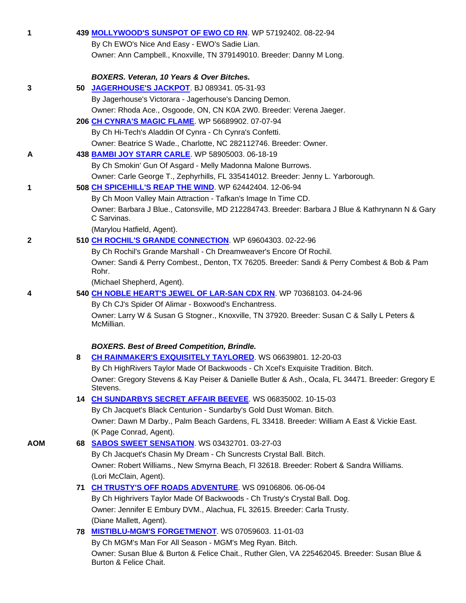| 1            |   | 439 MOLLYWOOD'S SUNSPOT OF EWO CD RN. WP 57192402. 08-22-94                                          |
|--------------|---|------------------------------------------------------------------------------------------------------|
|              |   | By Ch EWO's Nice And Easy - EWO's Sadie Lian.                                                        |
|              |   | Owner: Ann Campbell., Knoxville, TN 379149010. Breeder: Danny M Long.                                |
|              |   |                                                                                                      |
|              |   | BOXERS. Veteran, 10 Years & Over Bitches.                                                            |
| 3            |   | 50 JAGERHOUSE'S JACKPOT BJ 089341.05-31-93                                                           |
|              |   | By Jagerhouse's Victorara - Jagerhouse's Dancing Demon.                                              |
|              |   | Owner: Rhoda Ace., Osgoode, ON, CN K0A 2W0. Breeder: Verena Jaeger.                                  |
|              |   | 206 CH CYNRA'S MAGIC FLAME. WP 56689902. 07-07-94                                                    |
|              |   | By Ch Hi-Tech's Aladdin Of Cynra - Ch Cynra's Confetti.                                              |
|              |   | Owner: Beatrice S Wade., Charlotte, NC 282112746. Breeder: Owner.                                    |
|              |   |                                                                                                      |
| A            |   | 438 BAMBI JOY STARR CARLE. WP 58905003. 06-18-19                                                     |
|              |   | By Ch Smokin' Gun Of Asgard - Melly Madonna Malone Burrows.                                          |
|              |   | Owner: Carle George T., Zephyrhills, FL 335414012. Breeder: Jenny L. Yarborough.                     |
| 1            |   | 508 CH SPICEHILL'S REAP THE WIND. WP 62442404. 12-06-94                                              |
|              |   | By Ch Moon Valley Main Attraction - Tafkan's Image In Time CD.                                       |
|              |   | Owner: Barbara J Blue., Catonsville, MD 212284743. Breeder: Barbara J Blue & Kathrynann N & Gary     |
|              |   | C Sarvinas.                                                                                          |
|              |   | (Marylou Hatfield, Agent).                                                                           |
| $\mathbf{2}$ |   | 510 CH ROCHIL'S GRANDE CONNECTION. WP 69604303. 02-22-96                                             |
|              |   | By Ch Rochil's Grande Marshall - Ch Dreamweaver's Encore Of Rochil.                                  |
|              |   | Owner: Sandi & Perry Combest., Denton, TX 76205. Breeder: Sandi & Perry Combest & Bob & Pam<br>Rohr. |
|              |   | (Michael Shepherd, Agent).                                                                           |
| 4            |   | 540 CH NOBLE HEART'S JEWEL OF LAR-SAN CDX RN. WP 70368103. 04-24-96                                  |
|              |   | By Ch CJ's Spider Of Alimar - Boxwood's Enchantress.                                                 |
|              |   | Owner: Larry W & Susan G Stogner., Knoxville, TN 37920. Breeder: Susan C & Sally L Peters &          |
|              |   | McMillian.                                                                                           |
|              |   |                                                                                                      |
|              |   | <b>BOXERS. Best of Breed Competition, Brindle.</b>                                                   |
|              | 8 | CH RAINMAKER'S EXQUISITELY TAYLORED. WS 06639801. 12-20-03                                           |
|              |   | By Ch HighRivers Taylor Made Of Backwoods - Ch Xcel's Exquisite Tradition. Bitch.                    |
|              |   | Owner: Gregory Stevens & Kay Peiser & Danielle Butler & Ash., Ocala, FL 34471. Breeder: Gregory E    |
|              |   | Stevens.                                                                                             |
|              |   | 14 CH SUNDARBYS SECRET AFFAIR BEEVEE. WS 06835002. 10-15-03                                          |
|              |   | By Ch Jacquet's Black Centurion - Sundarby's Gold Dust Woman. Bitch.                                 |
|              |   | Owner: Dawn M Darby., Palm Beach Gardens, FL 33418. Breeder: William A East & Vickie East.           |
|              |   | (K Page Conrad, Agent).                                                                              |
| <b>AOM</b>   |   | 68 SABOS SWEET SENSATION. WS 03432701. 03-27-03                                                      |
|              |   | By Ch Jacquet's Chasin My Dream - Ch Suncrests Crystal Ball. Bitch.                                  |
|              |   | Owner: Robert Williams., New Smyrna Beach, FI 32618. Breeder: Robert & Sandra Williams.              |
|              |   | (Lori McClain, Agent).                                                                               |
|              |   | 71 CH TRUSTY'S OFF ROADS ADVENTURE. WS 09106806. 06-06-04                                            |
|              |   | By Ch Highrivers Taylor Made Of Backwoods - Ch Trusty's Crystal Ball. Dog.                           |
|              |   | Owner: Jennifer E Embury DVM., Alachua, FL 32615. Breeder: Carla Trusty.                             |
|              |   | (Diane Mallett, Agent).                                                                              |
|              |   | <b>78 MISTIBLU-MGM'S FORGETMENOT.</b> WS 07059603. 11-01-03                                          |
|              |   | By Ch MGM's Man For All Season - MGM's Meg Ryan. Bitch.                                              |
|              |   | Owner: Susan Blue & Burton & Felice Chait., Ruther Glen, VA 225462045. Breeder: Susan Blue &         |
|              |   | Burton & Felice Chait.                                                                               |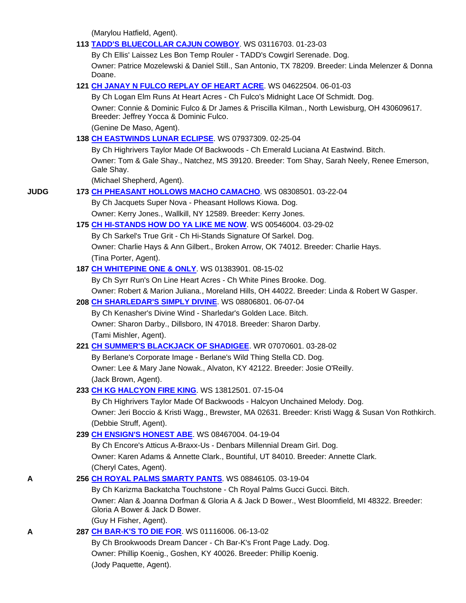(Marylou Hatfield, Agent).

|             | 113 TADD'S BLUECOLLAR CAJUN COWBOY. WS 03116703. 01-23-03                                                                               |
|-------------|-----------------------------------------------------------------------------------------------------------------------------------------|
|             | By Ch Ellis' Laissez Les Bon Temp Rouler - TADD's Cowgirl Serenade. Dog.                                                                |
|             | Owner: Patrice Mozelewski & Daniel Still., San Antonio, TX 78209. Breeder: Linda Melenzer & Donna<br>Doane.                             |
|             | 121 CH JANAY N FULCO REPLAY OF HEART ACRE. WS 04622504. 06-01-03                                                                        |
|             | By Ch Logan Elm Runs At Heart Acres - Ch Fulco's Midnight Lace Of Schmidt. Dog.                                                         |
|             | Owner: Connie & Dominic Fulco & Dr James & Priscilla Kilman., North Lewisburg, OH 430609617.<br>Breeder: Jeffrey Yocca & Dominic Fulco. |
|             | (Genine De Maso, Agent).                                                                                                                |
|             | 138 CH EASTWINDS LUNAR ECLIPSE. WS 07937309. 02-25-04                                                                                   |
|             | By Ch Highrivers Taylor Made Of Backwoods - Ch Emerald Luciana At Eastwind. Bitch.                                                      |
|             | Owner: Tom & Gale Shay., Natchez, MS 39120. Breeder: Tom Shay, Sarah Neely, Renee Emerson,<br>Gale Shay.                                |
|             | (Michael Shepherd, Agent).                                                                                                              |
| <b>JUDG</b> | 173 CH PHEASANT HOLLOWS MACHO CAMACHO. WS 08308501. 03-22-04                                                                            |
|             | By Ch Jacquets Super Nova - Pheasant Hollows Kiowa. Dog.                                                                                |
|             | Owner: Kerry Jones., Wallkill, NY 12589. Breeder: Kerry Jones.                                                                          |
|             | 175 CH HI-STANDS HOW DO YA LIKE ME NOW. WS 00546004. 03-29-02                                                                           |
|             | By Ch Sarkel's True Grit - Ch Hi-Stands Signature Of Sarkel. Dog.                                                                       |
|             | Owner: Charlie Hays & Ann Gilbert., Broken Arrow, OK 74012. Breeder: Charlie Hays.                                                      |
|             | (Tina Porter, Agent).                                                                                                                   |
|             | 187 CH WHITEPINE ONE & ONLY. WS 01383901. 08-15-02                                                                                      |
|             | By Ch Syrr Run's On Line Heart Acres - Ch White Pines Brooke. Dog.                                                                      |
|             | Owner: Robert & Marion Juliana., Moreland Hills, OH 44022. Breeder: Linda & Robert W Gasper.                                            |
|             | 208 CH SHARLEDAR'S SIMPLY DIVINE. WS 08806801. 06-07-04                                                                                 |
|             | By Ch Kenasher's Divine Wind - Sharledar's Golden Lace. Bitch.                                                                          |
|             | Owner: Sharon Darby., Dillsboro, IN 47018. Breeder: Sharon Darby.                                                                       |
|             | (Tami Mishler, Agent).                                                                                                                  |
|             | 221 CH SUMMER'S BLACKJACK OF SHADIGEE. WR 07070601. 03-28-02                                                                            |
|             | By Berlane's Corporate Image - Berlane's Wild Thing Stella CD. Dog.                                                                     |
|             | Owner: Lee & Mary Jane Nowak., Alvaton, KY 42122. Breeder: Josie O'Reilly.                                                              |
|             | (Jack Brown, Agent).                                                                                                                    |
|             | 233 CH KG HALCYON FIRE KING. WS 13812501. 07-15-04<br>By Ch Highrivers Taylor Made Of Backwoods - Halcyon Unchained Melody. Dog.        |
|             | Owner: Jeri Boccio & Kristi Wagg., Brewster, MA 02631. Breeder: Kristi Wagg & Susan Von Rothkirch.                                      |
|             | (Debbie Struff, Agent).                                                                                                                 |
|             | 239 CH ENSIGN'S HONEST ABE. WS 08467004. 04-19-04                                                                                       |
|             | By Ch Encore's Atticus A-Braxx-Us - Denbars Millennial Dream Girl. Dog.                                                                 |
|             | Owner: Karen Adams & Annette Clark., Bountiful, UT 84010. Breeder: Annette Clark.                                                       |
|             | (Cheryl Cates, Agent).                                                                                                                  |
| Α           | 256 CH ROYAL PALMS SMARTY PANTS. WS 08846105. 03-19-04                                                                                  |
|             | By Ch Karizma Backatcha Touchstone - Ch Royal Palms Gucci Gucci. Bitch.                                                                 |
|             | Owner: Alan & Joanna Dorfman & Gloria A & Jack D Bower., West Bloomfield, MI 48322. Breeder:<br>Gloria A Bower & Jack D Bower.          |
|             | (Guy H Fisher, Agent).                                                                                                                  |
| А           | 287 CH BAR-K'S TO DIE FOR. WS 01116006. 06-13-02                                                                                        |
|             | By Ch Brookwoods Dream Dancer - Ch Bar-K's Front Page Lady. Dog.                                                                        |
|             | Owner: Phillip Koenig., Goshen, KY 40026. Breeder: Phillip Koenig.                                                                      |
|             | (Jody Paquette, Agent).                                                                                                                 |
|             |                                                                                                                                         |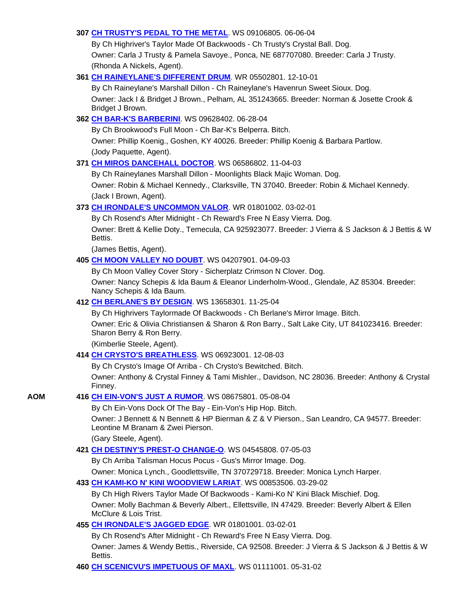# **307 CH TRUSTY'S PEDAL TO THE METAL**. WS 09106805. 06-06-04

 By Ch Highriver's Taylor Made Of Backwoods - Ch Trusty's Crystal Ball. Dog. Owner: Carla J Trusty & Pamela Savoye., Ponca, NE 687707080. Breeder: Carla J Trusty. (Rhonda A Nickels, Agent).

# **361 CH RAINEYLANE'S DIFFERENT DRUM**. WR 05502801. 12-10-01

 By Ch Raineylane's Marshall Dillon - Ch Raineylane's Havenrun Sweet Sioux. Dog. Owner: Jack I & Bridget J Brown., Pelham, AL 351243665. Breeder: Norman & Josette Crook & Bridget J Brown.

# **362 CH BAR-K'S BARBERINI**. WS 09628402. 06-28-04

By Ch Brookwood's Full Moon - Ch Bar-K's Belperra. Bitch.

 Owner: Phillip Koenig., Goshen, KY 40026. Breeder: Phillip Koenig & Barbara Partlow. (Jody Paquette, Agent).

# **371 CH MIROS DANCEHALL DOCTOR**. WS 06586802. 11-04-03

 By Ch Raineylanes Marshall Dillon - Moonlights Black Majic Woman. Dog. Owner: Robin & Michael Kennedy., Clarksville, TN 37040. Breeder: Robin & Michael Kennedy. (Jack I Brown, Agent).

# **373 CH IRONDALE'S UNCOMMON VALOR**. WR 01801002. 03-02-01

 By Ch Rosend's After Midnight - Ch Reward's Free N Easy Vierra. Dog. Owner: Brett & Kellie Doty., Temecula, CA 925923077. Breeder: J Vierra & S Jackson & J Bettis & W Bettis.

(James Bettis, Agent).

# **405 CH MOON VALLEY NO DOUBT**. WS 04207901. 04-09-03

By Ch Moon Valley Cover Story - Sicherplatz Crimson N Clover. Dog.

 Owner: Nancy Schepis & Ida Baum & Eleanor Linderholm-Wood., Glendale, AZ 85304. Breeder: Nancy Schepis & Ida Baum.

# **412 CH BERLANE'S BY DESIGN**. WS 13658301. 11-25-04

 By Ch Highrivers Taylormade Of Backwoods - Ch Berlane's Mirror Image. Bitch. Owner: Eric & Olivia Christiansen & Sharon & Ron Barry., Salt Lake City, UT 841023416. Breeder: Sharon Berry & Ron Berry.

(Kimberlie Steele, Agent).

# **414 CH CRYSTO'S BREATHLESS**. WS 06923001. 12-08-03

By Ch Crysto's Image Of Arriba - Ch Crysto's Bewitched. Bitch.

 Owner: Anthony & Crystal Finney & Tami Mishler., Davidson, NC 28036. Breeder: Anthony & Crystal Finney.

# **AOM 416 CH EIN-VON'S JUST A RUMOR**. WS 08675801. 05-08-04

By Ch Ein-Vons Dock Of The Bay - Ein-Von's Hip Hop. Bitch.

 Owner: J Bennett & N Bennett & HP Bierman & Z & V Pierson., San Leandro, CA 94577. Breeder: Leontine M Branam & Zwei Pierson.

(Gary Steele, Agent).

# **421 CH DESTINY'S PREST-O CHANGE-O**. WS 04545808. 07-05-03

By Ch Arriba Talisman Hocus Pocus - Gus's Mirror Image. Dog.

Owner: Monica Lynch., Goodlettsville, TN 370729718. Breeder: Monica Lynch Harper.

# **433 CH KAMI-KO N' KINI WOODVIEW LARIAT**. WS 00853506. 03-29-02

 By Ch High Rivers Taylor Made Of Backwoods - Kami-Ko N' Kini Black Mischief. Dog. Owner: Molly Bachman & Beverly Albert., Ellettsville, IN 47429. Breeder: Beverly Albert & Ellen McClure & Lois Trist.

# **455 CH IRONDALE'S JAGGED EDGE**. WR 01801001. 03-02-01

By Ch Rosend's After Midnight - Ch Reward's Free N Easy Vierra. Dog.

 Owner: James & Wendy Bettis., Riverside, CA 92508. Breeder: J Vierra & S Jackson & J Bettis & W Bettis.

**460 CH SCENICVU'S IMPETUOUS OF MAXL**. WS 01111001. 05-31-02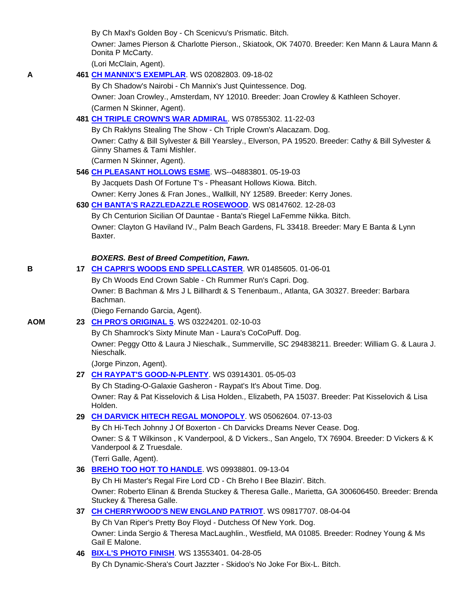By Ch Maxl's Golden Boy - Ch Scenicvu's Prismatic. Bitch.

 Owner: James Pierson & Charlotte Pierson., Skiatook, OK 74070. Breeder: Ken Mann & Laura Mann & Donita P McCarty.

(Lori McClain, Agent).

# **A 461 CH MANNIX'S EXEMPLAR**. WS 02082803. 09-18-02

 By Ch Shadow's Nairobi - Ch Mannix's Just Quintessence. Dog. Owner: Joan Crowley., Amsterdam, NY 12010. Breeder: Joan Crowley & Kathleen Schoyer. (Carmen N Skinner, Agent).

# **481 CH TRIPLE CROWN'S WAR ADMIRAL**. WS 07855302. 11-22-03

By Ch Raklyns Stealing The Show - Ch Triple Crown's Alacazam. Dog.

 Owner: Cathy & Bill Sylvester & Bill Yearsley., Elverson, PA 19520. Breeder: Cathy & Bill Sylvester & Ginny Shames & Tami Mishler.

(Carmen N Skinner, Agent).

# **546 CH PLEASANT HOLLOWS ESME**. WS--04883801. 05-19-03

By Jacquets Dash Of Fortune T's - Pheasant Hollows Kiowa. Bitch.

Owner: Kerry Jones & Fran Jones., Wallkill, NY 12589. Breeder: Kerry Jones.

# **630 CH BANTA'S RAZZLEDAZZLE ROSEWOOD**. WS 08147602. 12-28-03

 By Ch Centurion Sicilian Of Dauntae - Banta's Riegel LaFemme Nikka. Bitch. Owner: Clayton G Haviland IV., Palm Beach Gardens, FL 33418. Breeder: Mary E Banta & Lynn Baxter.

### *BOXERS. Best of Breed Competition, Fawn.*

**B 17 CH CAPRI'S WOODS END SPELLCASTER**. WR 01485605. 01-06-01

 By Ch Woods End Crown Sable - Ch Rummer Run's Capri. Dog. Owner: B Bachman & Mrs J L Billhardt & S Tenenbaum., Atlanta, GA 30327. Breeder: Barbara Bachman.

(Diego Fernando Garcia, Agent).

# **AOM 23 CH PRO'S ORIGINAL 5**. WS 03224201. 02-10-03

 By Ch Shamrock's Sixty Minute Man - Laura's CoCoPuff. Dog. Owner: Peggy Otto & Laura J Nieschalk., Summerville, SC 294838211. Breeder: William G. & Laura J. Nieschalk.

(Jorge Pinzon, Agent).

# **27 CH RAYPAT'S GOOD-N-PLENTY**. WS 03914301. 05-05-03

 By Ch Stading-O-Galaxie Gasheron - Raypat's It's About Time. Dog. Owner: Ray & Pat Kisselovich & Lisa Holden., Elizabeth, PA 15037. Breeder: Pat Kisselovich & Lisa Holden.

# **29 CH DARVICK HITECH REGAL MONOPOLY**. WS 05062604. 07-13-03

 By Ch Hi-Tech Johnny J Of Boxerton - Ch Darvicks Dreams Never Cease. Dog. Owner: S & T Wilkinson , K Vanderpool, & D Vickers., San Angelo, TX 76904. Breeder: D Vickers & K Vanderpool & Z Truesdale.

(Terri Galle, Agent).

**36 BREHO TOO HOT TO HANDLE**. WS 09938801. 09-13-04

By Ch Hi Master's Regal Fire Lord CD - Ch Breho I Bee Blazin'. Bitch.

 Owner: Roberto Elinan & Brenda Stuckey & Theresa Galle., Marietta, GA 300606450. Breeder: Brenda Stuckey & Theresa Galle.

**37 CH CHERRYWOOD'S NEW ENGLAND PATRIOT**. WS 09817707. 08-04-04

 By Ch Van Riper's Pretty Boy Floyd - Dutchess Of New York. Dog. Owner: Linda Sergio & Theresa MacLaughlin., Westfield, MA 01085. Breeder: Rodney Young & Ms Gail E Malone.

 **46 BIX-L'S PHOTO FINISH**. WS 13553401. 04-28-05 By Ch Dynamic-Shera's Court Jazzter - Skidoo's No Joke For Bix-L. Bitch.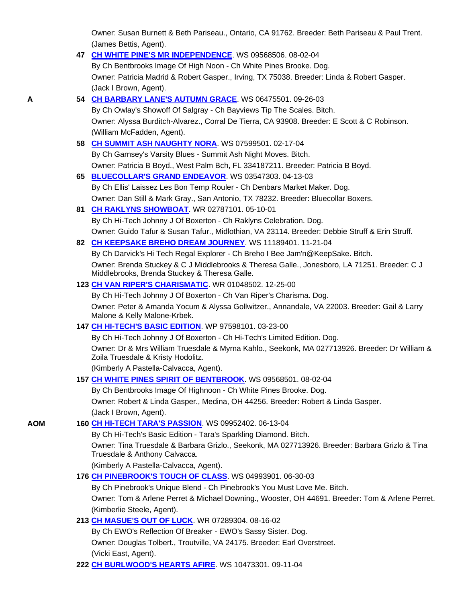Owner: Susan Burnett & Beth Pariseau., Ontario, CA 91762. Breeder: Beth Pariseau & Paul Trent. (James Bettis, Agent).

|     | 47 CH WHITE PINE'S MR INDEPENDENCE. WS 09568506. 08-02-04                                                                                     |
|-----|-----------------------------------------------------------------------------------------------------------------------------------------------|
|     | By Ch Bentbrooks Image Of High Noon - Ch White Pines Brooke. Dog.                                                                             |
|     | Owner: Patricia Madrid & Robert Gasper., Irving, TX 75038. Breeder: Linda & Robert Gasper.                                                    |
|     | (Jack I Brown, Agent).                                                                                                                        |
| A   | 54 CH BARBARY LANE'S AUTUMN GRACE. WS 06475501. 09-26-03                                                                                      |
|     | By Ch Owlay's Showoff Of Salgray - Ch Bayviews Tip The Scales. Bitch.                                                                         |
|     | Owner: Alyssa Burditch-Alvarez., Corral De Tierra, CA 93908. Breeder: E Scott & C Robinson.                                                   |
|     | (William McFadden, Agent).                                                                                                                    |
|     | 58 CH SUMMIT ASH NAUGHTY NORA. WS 07599501. 02-17-04                                                                                          |
|     | By Ch Garnsey's Varsity Blues - Summit Ash Night Moves. Bitch.                                                                                |
|     | Owner: Patricia B Boyd., West Palm Bch, FL 334187211. Breeder: Patricia B Boyd.                                                               |
|     | 65 BLUECOLLAR'S GRAND ENDEAVOR. WS 03547303. 04-13-03                                                                                         |
|     | By Ch Ellis' Laissez Les Bon Temp Rouler - Ch Denbars Market Maker. Dog.                                                                      |
|     | Owner: Dan Still & Mark Gray., San Antonio, TX 78232. Breeder: Bluecollar Boxers.                                                             |
|     | 81 CH RAKLYNS SHOWBOAT. WR 02787101. 05-10-01                                                                                                 |
|     | By Ch Hi-Tech Johnny J Of Boxerton - Ch Raklyns Celebration. Dog.                                                                             |
|     | Owner: Guido Tafur & Susan Tafur., Midlothian, VA 23114. Breeder: Debbie Struff & Erin Struff.                                                |
|     | 82 CH KEEPSAKE BREHO DREAM JOURNEY. WS 11189401. 11-21-04                                                                                     |
|     | By Ch Darvick's Hi Tech Regal Explorer - Ch Breho I Bee Jam'n@KeepSake. Bitch.                                                                |
|     | Owner: Brenda Stuckey & C J Middlebrooks & Theresa Galle., Jonesboro, LA 71251. Breeder: C J<br>Middlebrooks, Brenda Stuckey & Theresa Galle. |
|     | 123 CH VAN RIPER'S CHARISMATIC. WR 01048502. 12-25-00                                                                                         |
|     | By Ch Hi-Tech Johnny J Of Boxerton - Ch Van Riper's Charisma. Dog.                                                                            |
|     | Owner: Peter & Amanda Yocum & Alyssa Gollwitzer., Annandale, VA 22003. Breeder: Gail & Larry<br>Malone & Kelly Malone-Krbek.                  |
|     | 147 CH HI-TECH'S BASIC EDITION WP 97598101.03-23-00                                                                                           |
|     | By Ch Hi-Tech Johnny J Of Boxerton - Ch Hi-Tech's Limited Edition. Dog.                                                                       |
|     | Owner: Dr & Mrs William Truesdale & Myrna Kahlo., Seekonk, MA 027713926. Breeder: Dr William &<br>Zoila Truesdale & Kristy Hodolitz.          |
|     | (Kimberly A Pastella-Calvacca, Agent).                                                                                                        |
|     | 157 CH WHITE PINES SPIRIT OF BENTBROOK. WS 09568501.08-02-04                                                                                  |
|     | By Ch Bentbrooks Image Of Highnoon - Ch White Pines Brooke. Dog.                                                                              |
|     | Owner: Robert & Linda Gasper., Medina, OH 44256. Breeder: Robert & Linda Gasper.                                                              |
|     | (Jack I Brown, Agent).                                                                                                                        |
| AOM | 160 CH HI-TECH TARA'S PASSION WS 09952402. 06-13-04                                                                                           |
|     | By Ch Hi-Tech's Basic Edition - Tara's Sparkling Diamond. Bitch.                                                                              |
|     | Owner: Tina Truesdale & Barbara Grizlo., Seekonk, MA 027713926. Breeder: Barbara Grizlo & Tina<br>Truesdale & Anthony Calvacca.               |
|     | (Kimberly A Pastella-Calvacca, Agent).                                                                                                        |
|     | 176 CH PINEBROOK'S TOUCH OF CLASS. WS 04993901. 06-30-03                                                                                      |
|     | By Ch Pinebrook's Unique Blend - Ch Pinebrook's You Must Love Me. Bitch.                                                                      |
|     | Owner: Tom & Arlene Perret & Michael Downing., Wooster, OH 44691. Breeder: Tom & Arlene Perret.                                               |
|     | (Kimberlie Steele, Agent).                                                                                                                    |
|     | 213 CH MASUE'S OUT OF LUCK. WR 07289304. 08-16-02                                                                                             |
|     | By Ch EWO's Reflection Of Breaker - EWO's Sassy Sister. Dog.                                                                                  |
|     | Owner: Douglas Tolbert., Troutville, VA 24175. Breeder: Earl Overstreet.                                                                      |
|     | (Vicki East, Agent).<br>$11F + DTA + FIDF$ $110A + 2200A$                                                                                     |
|     |                                                                                                                                               |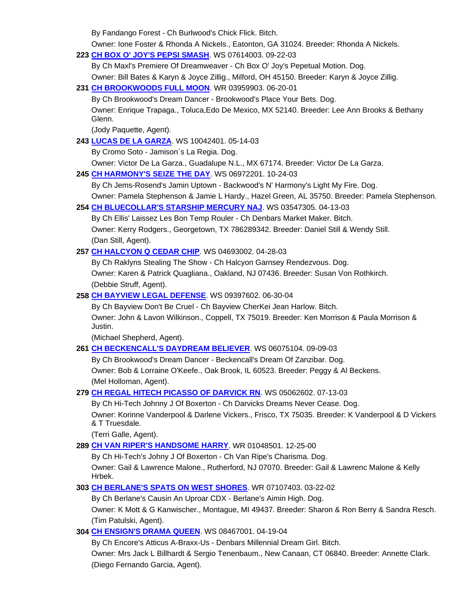By Fandango Forest - Ch Burlwood's Chick Flick. Bitch.

Owner: Ione Foster & Rhonda A Nickels., Eatonton, GA 31024. Breeder: Rhonda A Nickels.

**223 CH BOX O' JOY'S PEPSI SMASH**. WS 07614003. 09-22-03

By Ch Maxl's Premiere Of Dreamweaver - Ch Box O' Joy's Pepetual Motion. Dog.

Owner: Bill Bates & Karyn & Joyce Zillig., Milford, OH 45150. Breeder: Karyn & Joyce Zillig.

**231 CH BROOKWOODS FULL MOON**. WR 03959903. 06-20-01

By Ch Brookwood's Dream Dancer - Brookwood's Place Your Bets. Dog.

 Owner: Enrique Trapaga., Toluca,Edo De Mexico, MX 52140. Breeder: Lee Ann Brooks & Bethany Glenn.

(Jody Paquette, Agent).

# **243 LUCAS DE LA GARZA**. WS 10042401. 05-14-03

By Cromo Soto - Jamison´s La Regia. Dog.

Owner: Victor De La Garza., Guadalupe N.L., MX 67174. Breeder: Victor De La Garza.

**245 CH HARMONY'S SEIZE THE DAY**. WS 06972201. 10-24-03

By Ch Jems-Rosend's Jamin Uptown - Backwood's N' Harmony's Light My Fire. Dog.

Owner: Pamela Stephenson & Jamie L Hardy., Hazel Green, AL 35750. Breeder: Pamela Stephenson.

# **254 CH BLUECOLLAR'S STARSHIP MERCURY NAJ**. WS 03547305. 04-13-03

 By Ch Ellis' Laissez Les Bon Temp Rouler - Ch Denbars Market Maker. Bitch. Owner: Kerry Rodgers., Georgetown, TX 786289342. Breeder: Daniel Still & Wendy Still. (Dan Still, Agent).

# **257 CH HALCYON Q CEDAR CHIP**. WS 04693002. 04-28-03

 By Ch Raklyns Stealing The Show - Ch Halcyon Garnsey Rendezvous. Dog. Owner: Karen & Patrick Quagliana., Oakland, NJ 07436. Breeder: Susan Von Rothkirch. (Debbie Struff, Agent).

# **258 CH BAYVIEW LEGAL DEFENSE**. WS 09397602. 06-30-04

 By Ch Bayview Don't Be Cruel - Ch Bayview CherKei Jean Harlow. Bitch. Owner: John & Lavon Wilkinson., Coppell, TX 75019. Breeder: Ken Morrison & Paula Morrison & Justin.

(Michael Shepherd, Agent).

#### **261 CH BECKENCALL'S DAYDREAM BELIEVER**. WS 06075104. 09-09-03

 By Ch Brookwood's Dream Dancer - Beckencall's Dream Of Zanzibar. Dog. Owner: Bob & Lorraine O'Keefe., Oak Brook, IL 60523. Breeder: Peggy & Al Beckens. (Mel Holloman, Agent).

#### **279 CH REGAL HITECH PICASSO OF DARVICK RN**. WS 05062602. 07-13-03

 By Ch Hi-Tech Johnny J Of Boxerton - Ch Darvicks Dreams Never Cease. Dog. Owner: Korinne Vanderpool & Darlene Vickers., Frisco, TX 75035. Breeder: K Vanderpool & D Vickers & T Truesdale.

(Terri Galle, Agent).

**289 CH VAN RIPER'S HANDSOME HARRY**. WR 01048501. 12-25-00

 By Ch Hi-Tech's Johny J Of Boxerton - Ch Van Ripe's Charisma. Dog. Owner: Gail & Lawrence Malone., Rutherford, NJ 07070. Breeder: Gail & Lawrenc Malone & Kelly Hrbek.

# **303 CH BERLANE'S SPATS ON WEST SHORES**. WR 07107403. 03-22-02

By Ch Berlane's Causin An Uproar CDX - Berlane's Aimin High. Dog.

 Owner: K Mott & G Kanwischer., Montague, MI 49437. Breeder: Sharon & Ron Berry & Sandra Resch. (Tim Patulski, Agent).

# **304 CH ENSIGN'S DRAMA QUEEN**. WS 08467001. 04-19-04

 By Ch Encore's Atticus A-Braxx-Us - Denbars Millennial Dream Girl. Bitch. Owner: Mrs Jack L Billhardt & Sergio Tenenbaum., New Canaan, CT 06840. Breeder: Annette Clark. (Diego Fernando Garcia, Agent).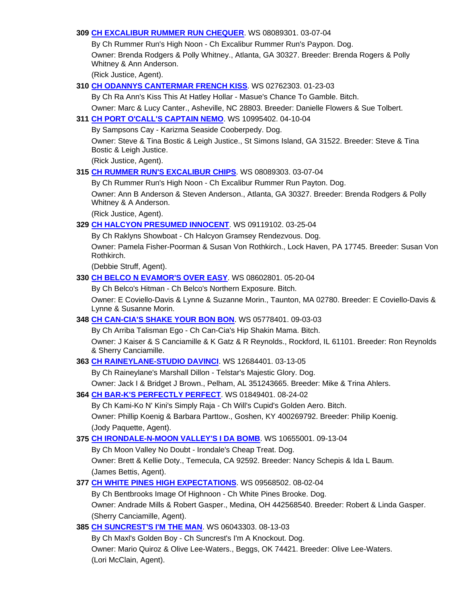# **309 CH EXCALIBUR RUMMER RUN CHEQUER**. WS 08089301. 03-07-04

 By Ch Rummer Run's High Noon - Ch Excalibur Rummer Run's Paypon. Dog. Owner: Brenda Rodgers & Polly Whitney., Atlanta, GA 30327. Breeder: Brenda Rogers & Polly Whitney & Ann Anderson.

(Rick Justice, Agent).

### **310 CH ODANNYS CANTERMAR FRENCH KISS**. WS 02762303. 01-23-03

By Ch Ra Ann's Kiss This At Hatley Hollar - Masue's Chance To Gamble. Bitch.

Owner: Marc & Lucy Canter., Asheville, NC 28803. Breeder: Danielle Flowers & Sue Tolbert.

# **311 CH PORT O'CALL'S CAPTAIN NEMO**. WS 10995402. 04-10-04

By Sampsons Cay - Karizma Seaside Cooberpedy. Dog.

 Owner: Steve & Tina Bostic & Leigh Justice., St Simons Island, GA 31522. Breeder: Steve & Tina Bostic & Leigh Justice.

(Rick Justice, Agent).

# **315 CH RUMMER RUN'S EXCALIBUR CHIPS**. WS 08089303. 03-07-04

 By Ch Rummer Run's High Noon - Ch Excalibur Rummer Run Payton. Dog. Owner: Ann B Anderson & Steven Anderson., Atlanta, GA 30327. Breeder: Brenda Rodgers & Polly Whitney & A Anderson.

(Rick Justice, Agent).

### **329 CH HALCYON PRESUMED INNOCENT**. WS 09119102. 03-25-04

By Ch Raklyns Showboat - Ch Halcyon Gramsey Rendezvous. Dog.

 Owner: Pamela Fisher-Poorman & Susan Von Rothkirch., Lock Haven, PA 17745. Breeder: Susan Von Rothkirch.

(Debbie Struff, Agent).

#### **330 CH BELCO N EVAMOR'S OVER EASY**. WS 08602801. 05-20-04

By Ch Belco's Hitman - Ch Belco's Northern Exposure. Bitch.

 Owner: E Coviello-Davis & Lynne & Suzanne Morin., Taunton, MA 02780. Breeder: E Coviello-Davis & Lynne & Susanne Morin.

#### **348 CH CAN-CIA'S SHAKE YOUR BON BON**. WS 05778401. 09-03-03

By Ch Arriba Talisman Ego - Ch Can-Cia's Hip Shakin Mama. Bitch.

 Owner: J Kaiser & S Canciamille & K Gatz & R Reynolds., Rockford, IL 61101. Breeder: Ron Reynolds & Sherry Canciamille.

#### **363 CH RAINEYLANE-STUDIO DAVINCI**. WS 12684401. 03-13-05

By Ch Raineylane's Marshall Dillon - Telstar's Majestic Glory. Dog.

Owner: Jack I & Bridget J Brown., Pelham, AL 351243665. Breeder: Mike & Trina Ahlers.

#### **364 CH BAR-K'S PERFECTLY PERFECT**. WS 01849401. 08-24-02

By Ch Kami-Ko N' Kini's Simply Raja - Ch Will's Cupid's Golden Aero. Bitch.

 Owner: Phillip Koenig & Barbara Parttow., Goshen, KY 400269792. Breeder: Philip Koenig. (Jody Paquette, Agent).

#### **375 CH IRONDALE-N-MOON VALLEY'S I DA BOMB**. WS 10655001. 09-13-04

 By Ch Moon Valley No Doubt - Irondale's Cheap Treat. Dog. Owner: Brett & Kellie Doty., Temecula, CA 92592. Breeder: Nancy Schepis & Ida L Baum. (James Bettis, Agent).

# **377 CH WHITE PINES HIGH EXPECTATIONS**. WS 09568502. 08-02-04

 By Ch Bentbrooks Image Of Highnoon - Ch White Pines Brooke. Dog. Owner: Andrade Mills & Robert Gasper., Medina, OH 442568540. Breeder: Robert & Linda Gasper. (Sherry Canciamille, Agent).

# **385 CH SUNCREST'S I'M THE MAN**. WS 06043303. 08-13-03

 By Ch Maxl's Golden Boy - Ch Suncrest's I'm A Knockout. Dog. Owner: Mario Quiroz & Olive Lee-Waters., Beggs, OK 74421. Breeder: Olive Lee-Waters. (Lori McClain, Agent).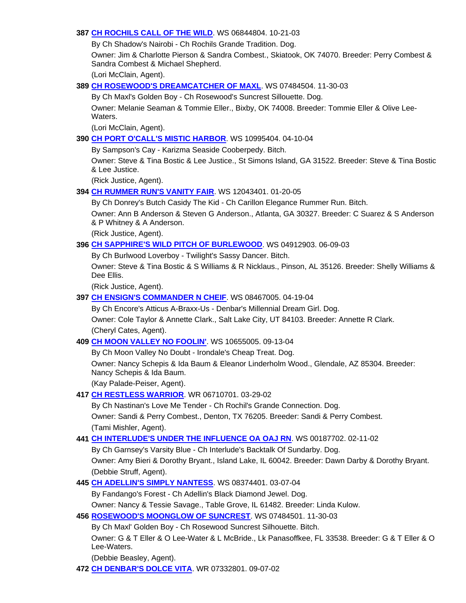# **387 CH ROCHILS CALL OF THE WILD**. WS 06844804. 10-21-03

By Ch Shadow's Nairobi - Ch Rochils Grande Tradition. Dog.

 Owner: Jim & Charlotte Pierson & Sandra Combest., Skiatook, OK 74070. Breeder: Perry Combest & Sandra Combest & Michael Shepherd.

(Lori McClain, Agent).

# **389 CH ROSEWOOD'S DREAMCATCHER OF MAXL**. WS 07484504. 11-30-03

By Ch Maxl's Golden Boy - Ch Rosewood's Suncrest Sillouette. Dog.

 Owner: Melanie Seaman & Tommie Eller., Bixby, OK 74008. Breeder: Tommie Eller & Olive Lee-Waters.

(Lori McClain, Agent).

# **390 CH PORT O'CALL'S MISTIC HARBOR**. WS 10995404. 04-10-04

By Sampson's Cay - Karizma Seaside Cooberpedy. Bitch.

 Owner: Steve & Tina Bostic & Lee Justice., St Simons Island, GA 31522. Breeder: Steve & Tina Bostic & Lee Justice.

(Rick Justice, Agent).

# **394 CH RUMMER RUN'S VANITY FAIR**. WS 12043401. 01-20-05

By Ch Donrey's Butch Casidy The Kid - Ch Carillon Elegance Rummer Run. Bitch.

 Owner: Ann B Anderson & Steven G Anderson., Atlanta, GA 30327. Breeder: C Suarez & S Anderson & P Whitney & A Anderson.

(Rick Justice, Agent).

# **396 CH SAPPHIRE'S WILD PITCH OF BURLEWOOD**. WS 04912903. 06-09-03

By Ch Burlwood Loverboy - Twilight's Sassy Dancer. Bitch.

 Owner: Steve & Tina Bostic & S Williams & R Nicklaus., Pinson, AL 35126. Breeder: Shelly Williams & Dee Ellis.

(Rick Justice, Agent).

# **397 CH ENSIGN'S COMMANDER N CHEIF**. WS 08467005. 04-19-04

By Ch Encore's Atticus A-Braxx-Us - Denbar's Millennial Dream Girl. Dog.

 Owner: Cole Taylor & Annette Clark., Salt Lake City, UT 84103. Breeder: Annette R Clark. (Cheryl Cates, Agent).

# **409 CH MOON VALLEY NO FOOLIN'**. WS 10655005. 09-13-04

By Ch Moon Valley No Doubt - Irondale's Cheap Treat. Dog.

 Owner: Nancy Schepis & Ida Baum & Eleanor Linderholm Wood., Glendale, AZ 85304. Breeder: Nancy Schepis & Ida Baum.

(Kay Palade-Peiser, Agent).

# **417 CH RESTLESS WARRIOR**. WR 06710701. 03-29-02

 By Ch Nastinan's Love Me Tender - Ch Rochil's Grande Connection. Dog. Owner: Sandi & Perry Combest., Denton, TX 76205. Breeder: Sandi & Perry Combest. (Tami Mishler, Agent).

# **441 CH INTERLUDE'S UNDER THE INFLUENCE OA OAJ RN**. WS 00187702. 02-11-02

By Ch Garnsey's Varsity Blue - Ch Interlude's Backtalk Of Sundarby. Dog.

 Owner: Amy Bieri & Dorothy Bryant., Island Lake, IL 60042. Breeder: Dawn Darby & Dorothy Bryant. (Debbie Struff, Agent).

# **445 CH ADELLIN'S SIMPLY NANTESS**. WS 08374401. 03-07-04

By Fandango's Forest - Ch Adellin's Black Diamond Jewel. Dog.

Owner: Nancy & Tessie Savage., Table Grove, IL 61482. Breeder: Linda Kulow.

# **456 ROSEWOOD'S MOONGLOW OF SUNCREST**. WS 07484501. 11-30-03

By Ch Maxl' Golden Boy - Ch Rosewood Suncrest Silhouette. Bitch.

 Owner: G & T Eller & O Lee-Water & L McBride., Lk Panasoffkee, FL 33538. Breeder: G & T Eller & O Lee-Waters.

(Debbie Beasley, Agent).

**472 CH DENBAR'S DOLCE VITA**. WR 07332801. 09-07-02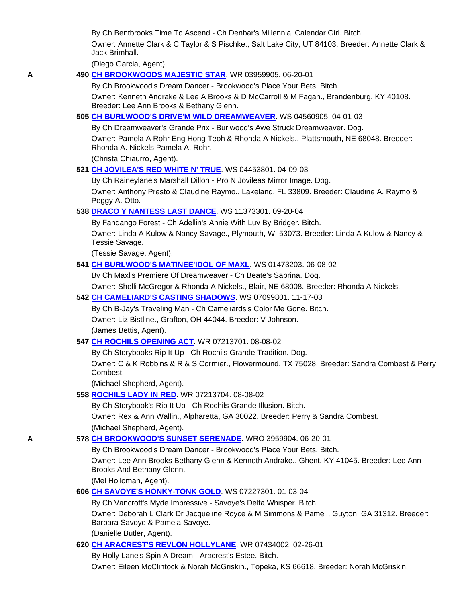By Ch Bentbrooks Time To Ascend - Ch Denbar's Millennial Calendar Girl. Bitch.

 Owner: Annette Clark & C Taylor & S Pischke., Salt Lake City, UT 84103. Breeder: Annette Clark & Jack Brimhall.

(Diego Garcia, Agent).

### **A 490 CH BROOKWOODS MAJESTIC STAR**. WR 03959905. 06-20-01

 By Ch Brookwood's Dream Dancer - Brookwood's Place Your Bets. Bitch. Owner: Kenneth Andrake & Lee A Brooks & D McCarroll & M Fagan., Brandenburg, KY 40108. Breeder: Lee Ann Brooks & Bethany Glenn.

### **505 CH BURLWOOD'S DRIVE'M WILD DREAMWEAVER**. WS 04560905. 04-01-03

By Ch Dreamweaver's Grande Prix - Burlwood's Awe Struck Dreamweaver. Dog.

 Owner: Pamela A Rohr Eng Hong Teoh & Rhonda A Nickels., Plattsmouth, NE 68048. Breeder: Rhonda A. Nickels Pamela A. Rohr.

(Christa Chiaurro, Agent).

**521 CH JOVILEA'S RED WHITE N' TRUE**. WS 04453801. 04-09-03

 By Ch Raineylane's Marshall Dillon - Pro N Jovileas Mirror Image. Dog. Owner: Anthony Presto & Claudine Raymo., Lakeland, FL 33809. Breeder: Claudine A. Raymo & Peggy A. Otto.

### **538 DRACO Y NANTESS LAST DANCE**. WS 11373301. 09-20-04

By Fandango Forest - Ch Adellin's Annie With Luv By Bridger. Bitch.

 Owner: Linda A Kulow & Nancy Savage., Plymouth, WI 53073. Breeder: Linda A Kulow & Nancy & Tessie Savage.

(Tessie Savage, Agent).

### **541 CH BURLWOOD'S MATINEE'IDOL OF MAXL**. WS 01473203. 06-08-02

By Ch Maxl's Premiere Of Dreamweaver - Ch Beate's Sabrina. Dog.

Owner: Shelli McGregor & Rhonda A Nickels., Blair, NE 68008. Breeder: Rhonda A Nickels.

### **542 CH CAMELIARD'S CASTING SHADOWS**. WS 07099801. 11-17-03

By Ch B-Jay's Traveling Man - Ch Cameliards's Color Me Gone. Bitch.

Owner: Liz Bistline., Grafton, OH 44044. Breeder: V Johnson.

(James Bettis, Agent).

# **547 CH ROCHILS OPENING ACT**. WR 07213701. 08-08-02

By Ch Storybooks Rip It Up - Ch Rochils Grande Tradition. Dog.

 Owner: C & K Robbins & R & S Cormier., Flowermound, TX 75028. Breeder: Sandra Combest & Perry Combest.

(Michael Shepherd, Agent).

#### **558 ROCHILS LADY IN RED**. WR 07213704. 08-08-02

By Ch Storybook's Rip It Up - Ch Rochils Grande Illusion. Bitch.

 Owner: Rex & Ann Wallin., Alpharetta, GA 30022. Breeder: Perry & Sandra Combest. (Michael Shepherd, Agent).

# **A 578 CH BROOKWOOD'S SUNSET SERENADE**. WRO 3959904. 06-20-01

By Ch Brookwood's Dream Dancer - Brookwood's Place Your Bets. Bitch.

 Owner: Lee Ann Brooks Bethany Glenn & Kenneth Andrake., Ghent, KY 41045. Breeder: Lee Ann Brooks And Bethany Glenn.

(Mel Holloman, Agent).

# **606 CH SAVOYE'S HONKY-TONK GOLD**. WS 07227301. 01-03-04

By Ch Vancroft's Myde Impressive - Savoye's Delta Whisper. Bitch.

 Owner: Deborah L Clark Dr Jacqueline Royce & M Simmons & Pamel., Guyton, GA 31312. Breeder: Barbara Savoye & Pamela Savoye.

(Danielle Butler, Agent).

#### **620 CH ARACREST'S REVLON HOLLYLANE**. WR 07434002. 02-26-01

By Holly Lane's Spin A Dream - Aracrest's Estee. Bitch.

Owner: Eileen McClintock & Norah McGriskin., Topeka, KS 66618. Breeder: Norah McGriskin.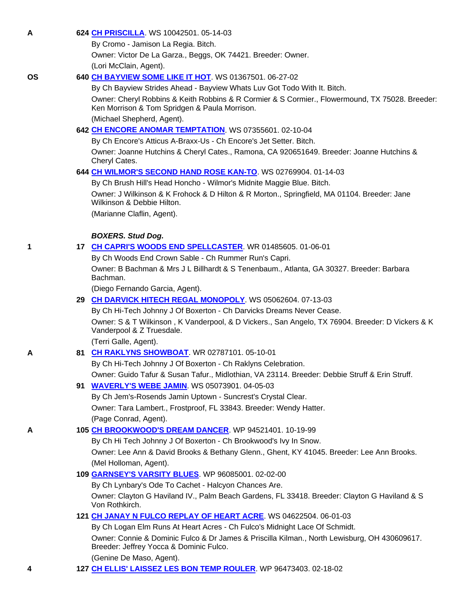**A 624 CH PRISCILLA**. WS 10042501. 05-14-03

By Cromo - Jamison La Regia. Bitch.

Owner: Victor De La Garza., Beggs, OK 74421. Breeder: Owner.

(Lori McClain, Agent).

# **OS 640 CH BAYVIEW SOME LIKE IT HOT**. WS 01367501. 06-27-02

By Ch Bayview Strides Ahead - Bayview Whats Luv Got Todo With It. Bitch.

 Owner: Cheryl Robbins & Keith Robbins & R Cormier & S Cormier., Flowermound, TX 75028. Breeder: Ken Morrison & Tom Spridgen & Paula Morrison.

(Michael Shepherd, Agent).

# **642 CH ENCORE ANOMAR TEMPTATION**. WS 07355601. 02-10-04

By Ch Encore's Atticus A-Braxx-Us - Ch Encore's Jet Setter. Bitch.

 Owner: Joanne Hutchins & Cheryl Cates., Ramona, CA 920651649. Breeder: Joanne Hutchins & Cheryl Cates.

# **644 CH WILMOR'S SECOND HAND ROSE KAN-TO**. WS 02769904. 01-14-03

 By Ch Brush Hill's Head Honcho - Wilmor's Midnite Maggie Blue. Bitch. Owner: J Wilkinson & K Frohock & D Hilton & R Morton., Springfield, MA 01104. Breeder: Jane Wilkinson & Debbie Hilton. (Marianne Claflin, Agent).

# *BOXERS. Stud Dog.*

# **1 17 CH CAPRI'S WOODS END SPELLCASTER**. WR 01485605. 01-06-01

By Ch Woods End Crown Sable - Ch Rummer Run's Capri.

 Owner: B Bachman & Mrs J L Billhardt & S Tenenbaum., Atlanta, GA 30327. Breeder: Barbara Bachman.

(Diego Fernando Garcia, Agent).

# **29 CH DARVICK HITECH REGAL MONOPOLY**. WS 05062604. 07-13-03

 By Ch Hi-Tech Johnny J Of Boxerton - Ch Darvicks Dreams Never Cease. Owner: S & T Wilkinson , K Vanderpool, & D Vickers., San Angelo, TX 76904. Breeder: D Vickers & K Vanderpool & Z Truesdale.

(Terri Galle, Agent).

# **A 81 CH RAKLYNS SHOWBOAT**. WR 02787101. 05-10-01

 By Ch Hi-Tech Johnny J Of Boxerton - Ch Raklyns Celebration. Owner: Guido Tafur & Susan Tafur., Midlothian, VA 23114. Breeder: Debbie Struff & Erin Struff.

# **91 WAVERLY'S WEBE JAMIN**. WS 05073901. 04-05-03

 By Ch Jem's-Rosends Jamin Uptown - Suncrest's Crystal Clear. Owner: Tara Lambert., Frostproof, FL 33843. Breeder: Wendy Hatter. (Page Conrad, Agent).

# **A 105 CH BROOKWOOD'S DREAM DANCER**. WP 94521401. 10-19-99

 By Ch Hi Tech Johnny J Of Boxerton - Ch Brookwood's Ivy In Snow. Owner: Lee Ann & David Brooks & Bethany Glenn., Ghent, KY 41045. Breeder: Lee Ann Brooks. (Mel Holloman, Agent).

# **109 GARNSEY'S VARSITY BLUES**. WP 96085001. 02-02-00

By Ch Lynbary's Ode To Cachet - Halcyon Chances Are.

 Owner: Clayton G Haviland IV., Palm Beach Gardens, FL 33418. Breeder: Clayton G Haviland & S Von Rothkirch.

# **121 CH JANAY N FULCO REPLAY OF HEART ACRE**. WS 04622504. 06-01-03

 By Ch Logan Elm Runs At Heart Acres - Ch Fulco's Midnight Lace Of Schmidt. Owner: Connie & Dominic Fulco & Dr James & Priscilla Kilman., North Lewisburg, OH 430609617. Breeder: Jeffrey Yocca & Dominic Fulco.

(Genine De Maso, Agent).

**4 127 CH ELLIS' LAISSEZ LES BON TEMP ROULER**. WP 96473403. 02-18-02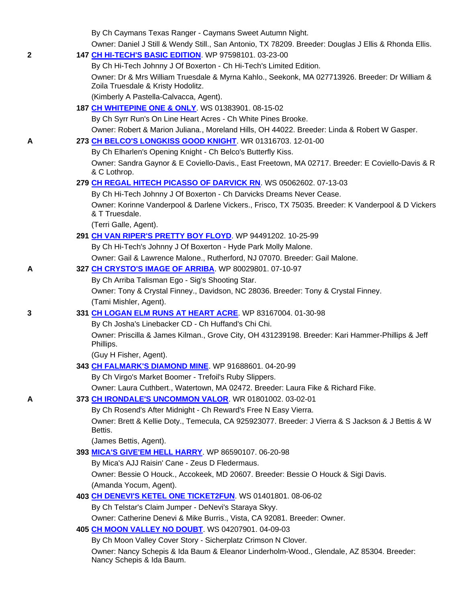By Ch Caymans Texas Ranger - Caymans Sweet Autumn Night.

Owner: Daniel J Still & Wendy Still., San Antonio, TX 78209. Breeder: Douglas J Ellis & Rhonda Ellis.

|  | <b>147 CH HI-TECH'S BASIC EDITION.</b> WP 97598101. 03-23-00 |
|--|--------------------------------------------------------------|
|--|--------------------------------------------------------------|

By Ch Hi-Tech Johnny J Of Boxerton - Ch Hi-Tech's Limited Edition.

 Owner: Dr & Mrs William Truesdale & Myrna Kahlo., Seekonk, MA 027713926. Breeder: Dr William & Zoila Truesdale & Kristy Hodolitz.

(Kimberly A Pastella-Calvacca, Agent).

**187 CH WHITEPINE ONE & ONLY**. WS 01383901. 08-15-02

By Ch Syrr Run's On Line Heart Acres - Ch White Pines Brooke.

Owner: Robert & Marion Juliana., Moreland Hills, OH 44022. Breeder: Linda & Robert W Gasper.

# **A 273 CH BELCO'S LONGKISS GOOD KNIGHT**. WR 01316703. 12-01-00

By Ch Elharlen's Opening Knight - Ch Belco's Butterfly Kiss.

 Owner: Sandra Gaynor & E Coviello-Davis., East Freetown, MA 02717. Breeder: E Coviello-Davis & R & C Lothrop.

# **279 CH REGAL HITECH PICASSO OF DARVICK RN**. WS 05062602. 07-13-03

By Ch Hi-Tech Johnny J Of Boxerton - Ch Darvicks Dreams Never Cease.

 Owner: Korinne Vanderpool & Darlene Vickers., Frisco, TX 75035. Breeder: K Vanderpool & D Vickers & T Truesdale.

(Terri Galle, Agent).

# **291 CH VAN RIPER'S PRETTY BOY FLOYD**. WP 94491202. 10-25-99

By Ch Hi-Tech's Johnny J Of Boxerton - Hyde Park Molly Malone.

Owner: Gail & Lawrence Malone., Rutherford, NJ 07070. Breeder: Gail Malone.

# **A 327 CH CRYSTO'S IMAGE OF ARRIBA**. WP 80029801. 07-10-97

By Ch Arriba Talisman Ego - Sig's Shooting Star.

 Owner: Tony & Crystal Finney., Davidson, NC 28036. Breeder: Tony & Crystal Finney. (Tami Mishler, Agent).

# **3 331 CH LOGAN ELM RUNS AT HEART ACRE**. WP 83167004. 01-30-98

By Ch Josha's Linebacker CD - Ch Huffand's Chi Chi.

 Owner: Priscilla & James Kilman., Grove City, OH 431239198. Breeder: Kari Hammer-Phillips & Jeff Phillips.

(Guy H Fisher, Agent).

# **343 CH FALMARK'S DIAMOND MINE**. WP 91688601. 04-20-99

By Ch Virgo's Market Boomer - Trefoil's Ruby Slippers.

Owner: Laura Cuthbert., Watertown, MA 02472. Breeder: Laura Fike & Richard Fike.

# **A 373 CH IRONDALE'S UNCOMMON VALOR**. WR 01801002. 03-02-01

By Ch Rosend's After Midnight - Ch Reward's Free N Easy Vierra.

 Owner: Brett & Kellie Doty., Temecula, CA 925923077. Breeder: J Vierra & S Jackson & J Bettis & W Bettis.

(James Bettis, Agent).

# **393 MICA'S GIVE'EM HELL HARRY**. WP 86590107. 06-20-98

By Mica's AJJ Raisin' Cane - Zeus D Fledermaus.

 Owner: Bessie O Houck., Accokeek, MD 20607. Breeder: Bessie O Houck & Sigi Davis. (Amanda Yocum, Agent).

# **403 CH DENEVI'S KETEL ONE TICKET2FUN**. WS 01401801. 08-06-02

By Ch Telstar's Claim Jumper - DeNevi's Staraya Skyy.

Owner: Catherine Denevi & Mike Burris., Vista, CA 92081. Breeder: Owner.

# **405 CH MOON VALLEY NO DOUBT**. WS 04207901. 04-09-03

By Ch Moon Valley Cover Story - Sicherplatz Crimson N Clover.

 Owner: Nancy Schepis & Ida Baum & Eleanor Linderholm-Wood., Glendale, AZ 85304. Breeder: Nancy Schepis & Ida Baum.